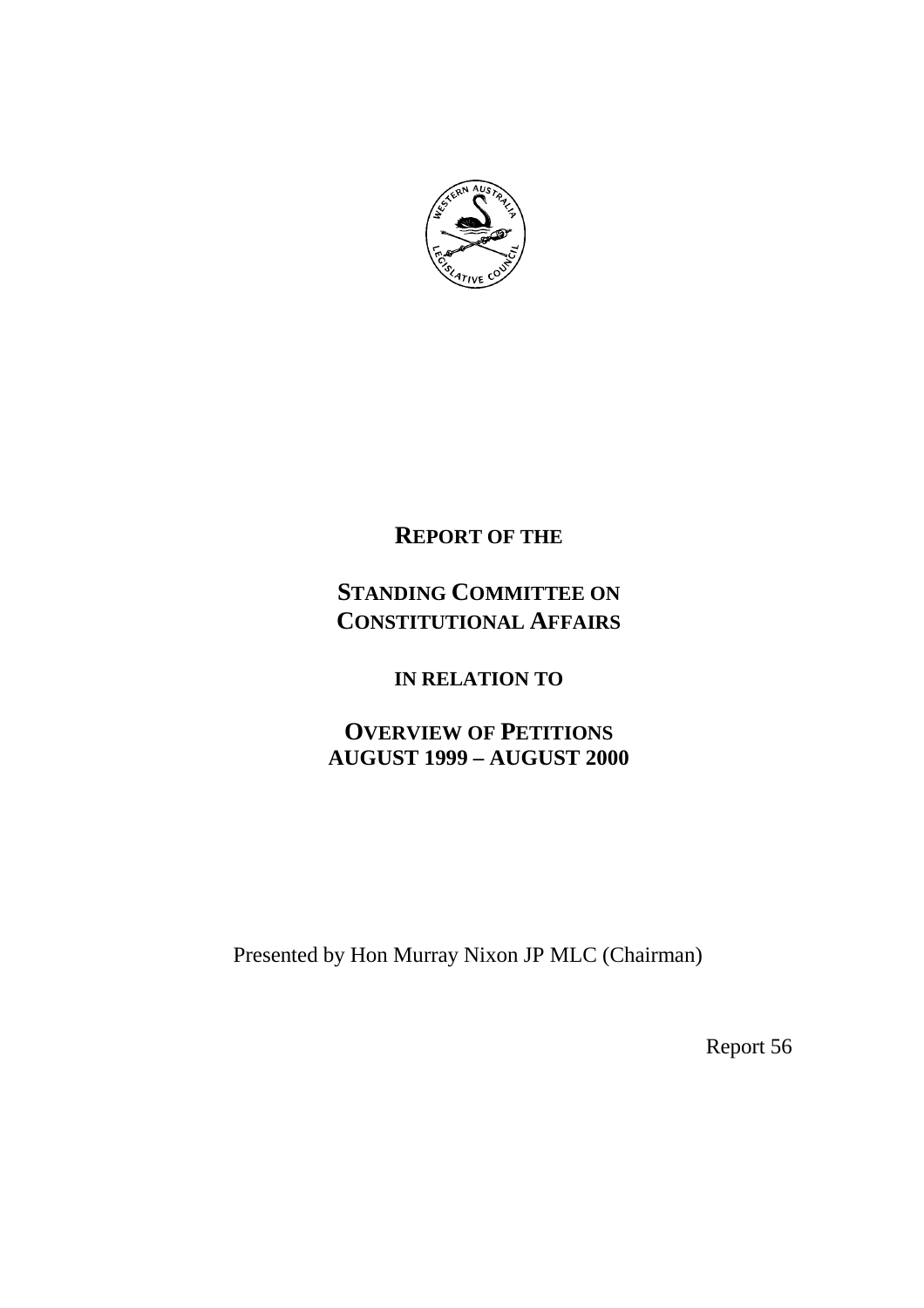

# **REPORT OF THE**

# **STANDING COMMITTEE ON CONSTITUTIONAL AFFAIRS**

# **IN RELATION TO**

# **OVERVIEW OF PETITIONS AUGUST 1999 – AUGUST 2000**

Presented by Hon Murray Nixon JP MLC (Chairman)

Report 56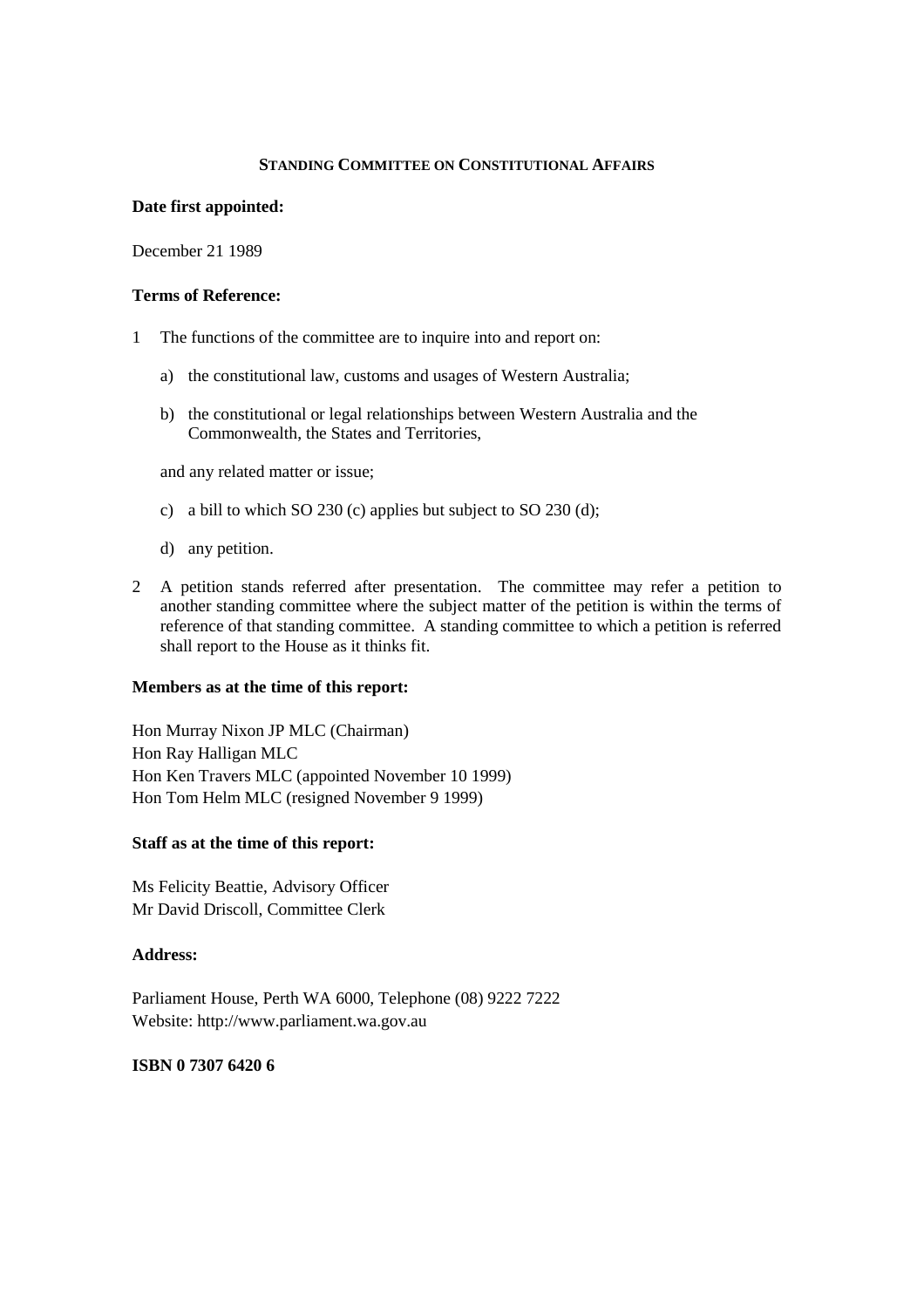### **STANDING COMMITTEE ON CONSTITUTIONAL AFFAIRS**

#### **Date first appointed:**

December 21 1989

#### **Terms of Reference:**

- 1 The functions of the committee are to inquire into and report on:
	- a) the constitutional law, customs and usages of Western Australia;
	- b) the constitutional or legal relationships between Western Australia and the Commonwealth, the States and Territories,

and any related matter or issue;

- c) a bill to which SO 230 (c) applies but subject to SO 230 (d);
- d) any petition.
- 2 A petition stands referred after presentation. The committee may refer a petition to another standing committee where the subject matter of the petition is within the terms of reference of that standing committee. A standing committee to which a petition is referred shall report to the House as it thinks fit.

### **Members as at the time of this report:**

Hon Murray Nixon JP MLC (Chairman) Hon Ray Halligan MLC Hon Ken Travers MLC (appointed November 10 1999) Hon Tom Helm MLC (resigned November 9 1999)

### **Staff as at the time of this report:**

Ms Felicity Beattie, Advisory Officer Mr David Driscoll, Committee Clerk

### **Address:**

Parliament House, Perth WA 6000, Telephone (08) 9222 7222 Website: http://www.parliament.wa.gov.au

### **ISBN 0 7307 6420 6**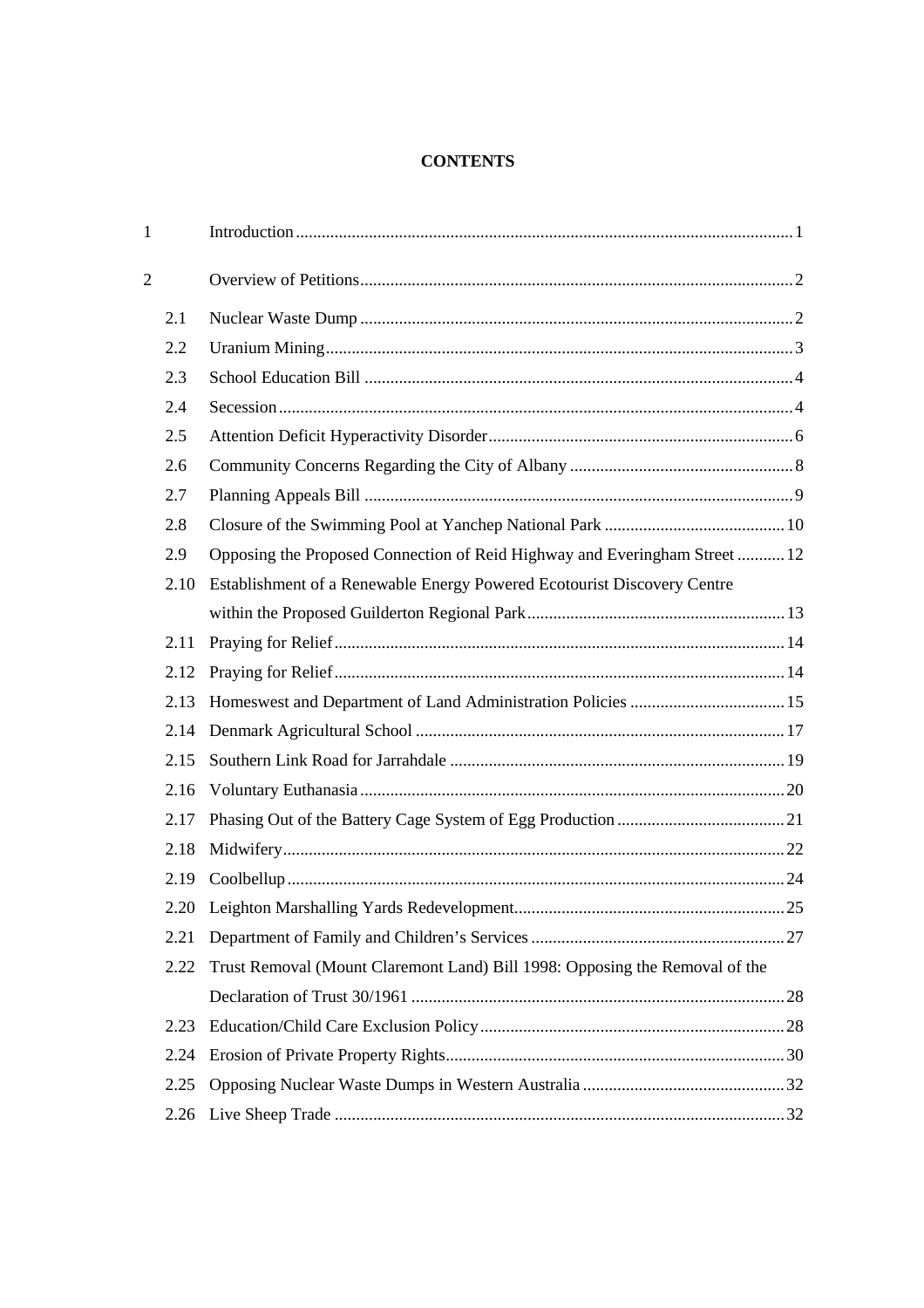# **CONTENTS**

| $\mathbf{1}$   |      |                                                                             |  |
|----------------|------|-----------------------------------------------------------------------------|--|
| $\overline{2}$ |      |                                                                             |  |
|                | 2.1  |                                                                             |  |
|                | 2.2  |                                                                             |  |
|                | 2.3  |                                                                             |  |
|                | 2.4  |                                                                             |  |
|                | 2.5  |                                                                             |  |
|                | 2.6  |                                                                             |  |
|                | 2.7  |                                                                             |  |
|                | 2.8  |                                                                             |  |
|                | 2.9  | Opposing the Proposed Connection of Reid Highway and Everingham Street  12  |  |
|                | 2.10 | Establishment of a Renewable Energy Powered Ecotourist Discovery Centre     |  |
|                |      |                                                                             |  |
|                | 2.11 |                                                                             |  |
|                | 2.12 |                                                                             |  |
|                | 2.13 | Homeswest and Department of Land Administration Policies  15                |  |
|                | 2.14 |                                                                             |  |
|                | 2.15 |                                                                             |  |
|                | 2.16 |                                                                             |  |
|                | 2.17 |                                                                             |  |
|                | 2.18 |                                                                             |  |
|                | 2.19 |                                                                             |  |
|                |      |                                                                             |  |
|                | 2.21 |                                                                             |  |
|                | 2.22 | Trust Removal (Mount Claremont Land) Bill 1998: Opposing the Removal of the |  |
|                |      |                                                                             |  |
|                | 2.23 |                                                                             |  |
|                | 2.24 |                                                                             |  |
|                | 2.25 |                                                                             |  |
|                | 2.26 |                                                                             |  |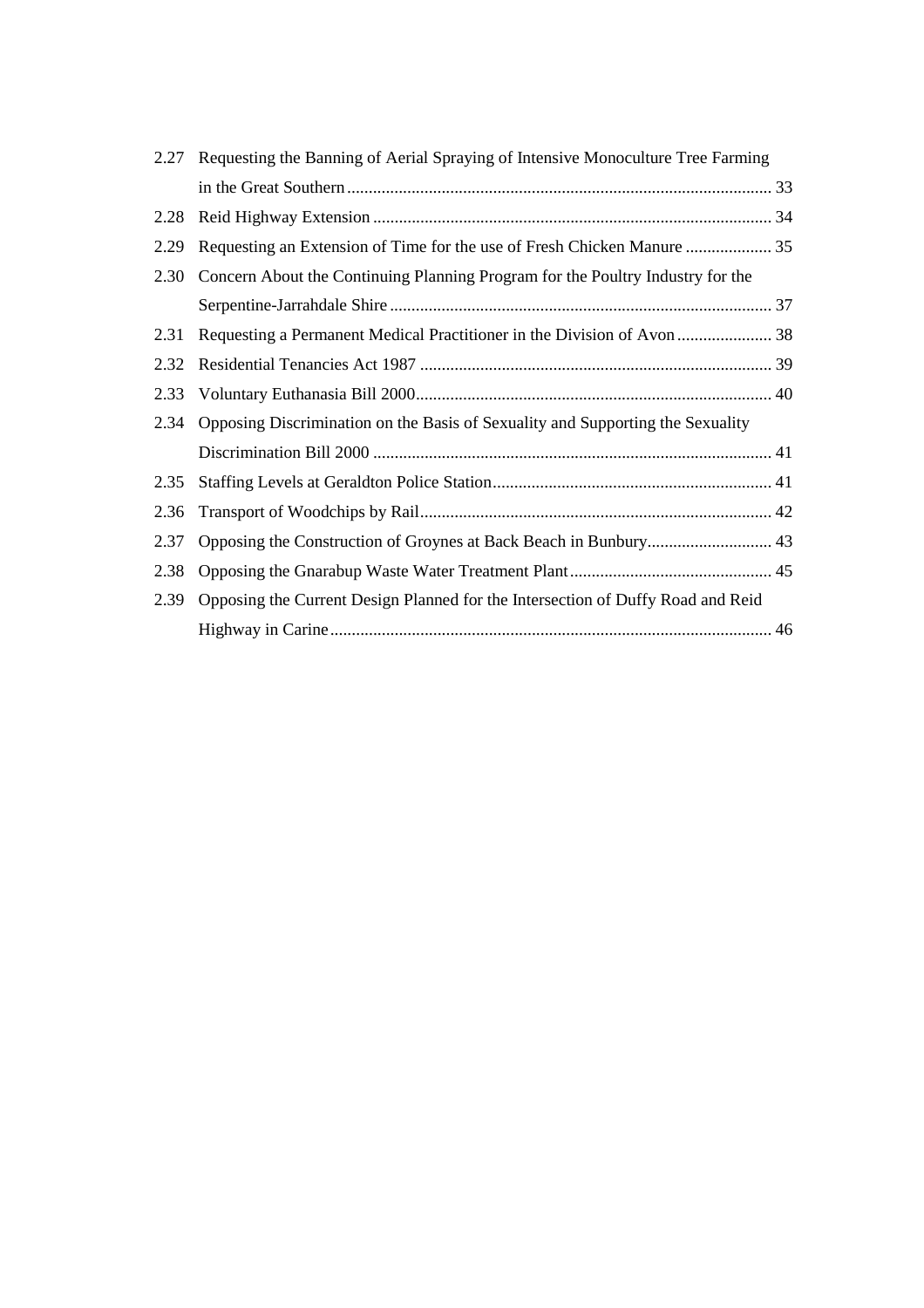| 2.27 | Requesting the Banning of Aerial Spraying of Intensive Monoculture Tree Farming |  |
|------|---------------------------------------------------------------------------------|--|
|      |                                                                                 |  |
| 2.28 |                                                                                 |  |
| 2.29 |                                                                                 |  |
| 2.30 | Concern About the Continuing Planning Program for the Poultry Industry for the  |  |
|      |                                                                                 |  |
| 2.31 |                                                                                 |  |
| 2.32 |                                                                                 |  |
| 2.33 |                                                                                 |  |
| 2.34 | Opposing Discrimination on the Basis of Sexuality and Supporting the Sexuality  |  |
|      |                                                                                 |  |
| 2.35 |                                                                                 |  |
| 2.36 |                                                                                 |  |
| 2.37 |                                                                                 |  |
| 2.38 |                                                                                 |  |
| 2.39 | Opposing the Current Design Planned for the Intersection of Duffy Road and Reid |  |
|      |                                                                                 |  |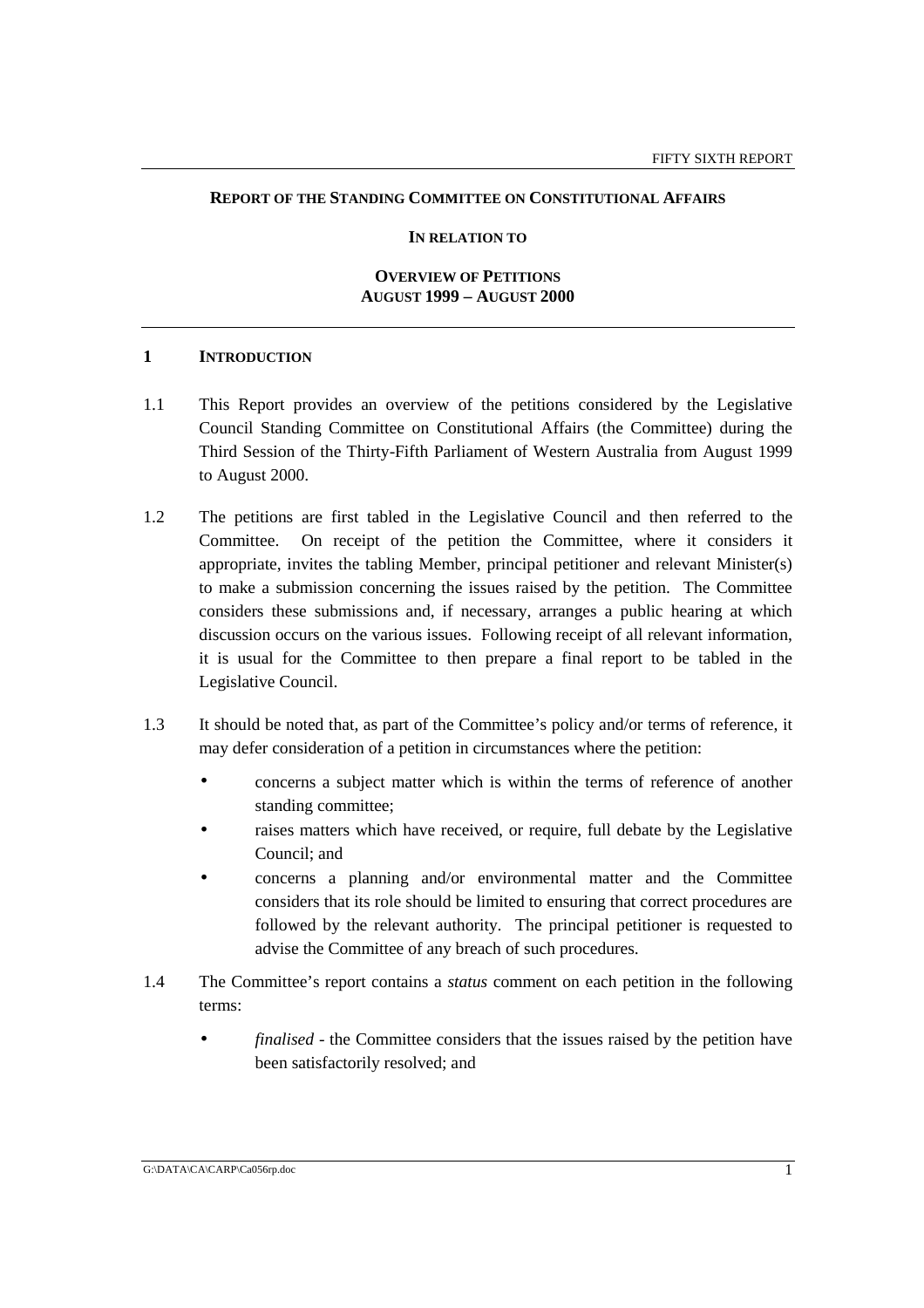### **REPORT OF THE STANDING COMMITTEE ON CONSTITUTIONAL AFFAIRS**

#### **IN RELATION TO**

#### **OVERVIEW OF PETITIONS AUGUST 1999 – AUGUST 2000**

### **1 INTRODUCTION**

- 1.1 This Report provides an overview of the petitions considered by the Legislative Council Standing Committee on Constitutional Affairs (the Committee) during the Third Session of the Thirty-Fifth Parliament of Western Australia from August 1999 to August 2000.
- 1.2 The petitions are first tabled in the Legislative Council and then referred to the Committee. On receipt of the petition the Committee, where it considers it appropriate, invites the tabling Member, principal petitioner and relevant Minister(s) to make a submission concerning the issues raised by the petition. The Committee considers these submissions and, if necessary, arranges a public hearing at which discussion occurs on the various issues. Following receipt of all relevant information, it is usual for the Committee to then prepare a final report to be tabled in the Legislative Council.
- 1.3 It should be noted that, as part of the Committee's policy and/or terms of reference, it may defer consideration of a petition in circumstances where the petition:
	- concerns a subject matter which is within the terms of reference of another standing committee;
	- raises matters which have received, or require, full debate by the Legislative Council; and
	- concerns a planning and/or environmental matter and the Committee considers that its role should be limited to ensuring that correct procedures are followed by the relevant authority. The principal petitioner is requested to advise the Committee of any breach of such procedures.
- 1.4 The Committee's report contains a *status* comment on each petition in the following terms:
	- *finalised* the Committee considers that the issues raised by the petition have been satisfactorily resolved; and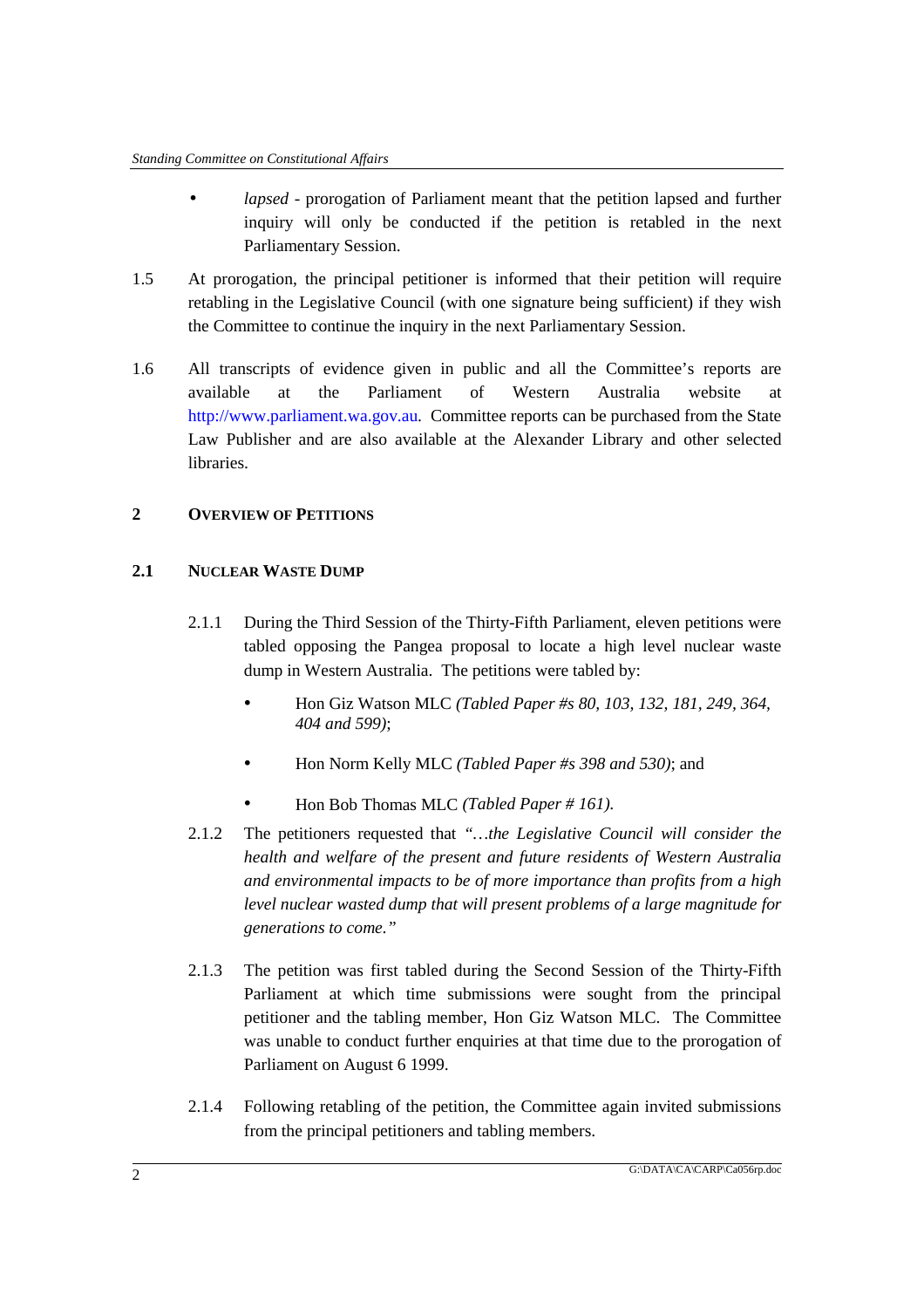- *lapsed*  prorogation of Parliament meant that the petition lapsed and further inquiry will only be conducted if the petition is retabled in the next Parliamentary Session.
- 1.5 At prorogation, the principal petitioner is informed that their petition will require retabling in the Legislative Council (with one signature being sufficient) if they wish the Committee to continue the inquiry in the next Parliamentary Session.
- 1.6 All transcripts of evidence given in public and all the Committee's reports are available at the Parliament of Western Australia website http://www.parliament.wa.gov.au. Committee reports can be purchased from the State Law Publisher and are also available at the Alexander Library and other selected libraries.

# **2 OVERVIEW OF PETITIONS**

# **2.1 NUCLEAR WASTE DUMP**

- 2.1.1 During the Third Session of the Thirty-Fifth Parliament, eleven petitions were tabled opposing the Pangea proposal to locate a high level nuclear waste dump in Western Australia. The petitions were tabled by:
	- Hon Giz Watson MLC *(Tabled Paper #s 80, 103, 132, 181, 249, 364, 404 and 599)*;
	- Hon Norm Kelly MLC *(Tabled Paper #s 398 and 530)*; and
	- Hon Bob Thomas MLC *(Tabled Paper # 161).*
- 2.1.2 The petitioners requested that *"…the Legislative Council will consider the health and welfare of the present and future residents of Western Australia and environmental impacts to be of more importance than profits from a high level nuclear wasted dump that will present problems of a large magnitude for generations to come."*
- 2.1.3 The petition was first tabled during the Second Session of the Thirty-Fifth Parliament at which time submissions were sought from the principal petitioner and the tabling member, Hon Giz Watson MLC. The Committee was unable to conduct further enquiries at that time due to the prorogation of Parliament on August 6 1999.
- 2.1.4 Following retabling of the petition, the Committee again invited submissions from the principal petitioners and tabling members.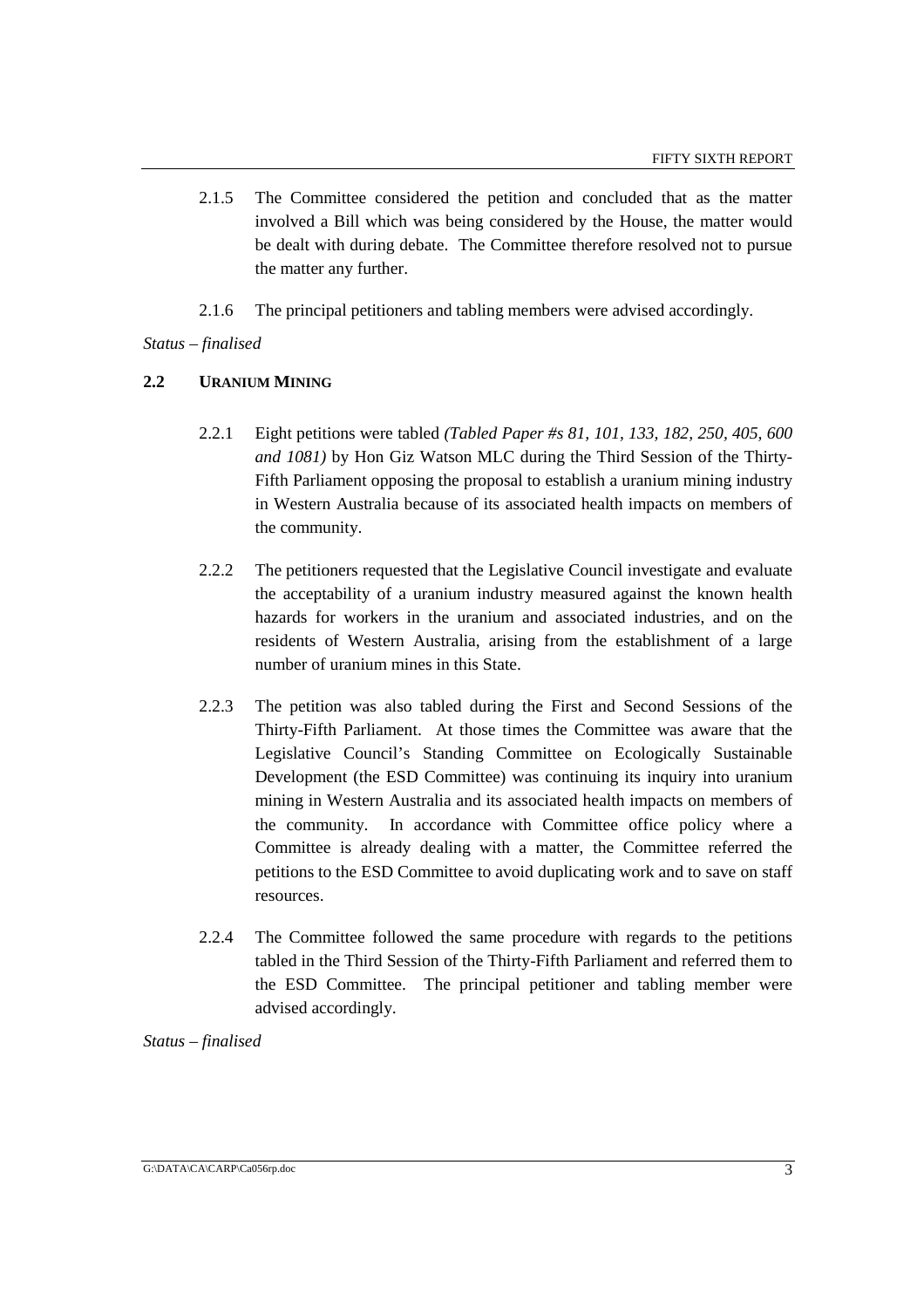- 2.1.5 The Committee considered the petition and concluded that as the matter involved a Bill which was being considered by the House, the matter would be dealt with during debate. The Committee therefore resolved not to pursue the matter any further.
- 2.1.6 The principal petitioners and tabling members were advised accordingly.

# *Status – finalised*

# **2.2 URANIUM MINING**

- 2.2.1 Eight petitions were tabled *(Tabled Paper #s 81, 101, 133, 182, 250, 405, 600 and 1081)* by Hon Giz Watson MLC during the Third Session of the Thirty-Fifth Parliament opposing the proposal to establish a uranium mining industry in Western Australia because of its associated health impacts on members of the community.
- 2.2.2 The petitioners requested that the Legislative Council investigate and evaluate the acceptability of a uranium industry measured against the known health hazards for workers in the uranium and associated industries, and on the residents of Western Australia, arising from the establishment of a large number of uranium mines in this State.
- 2.2.3 The petition was also tabled during the First and Second Sessions of the Thirty-Fifth Parliament. At those times the Committee was aware that the Legislative Council's Standing Committee on Ecologically Sustainable Development (the ESD Committee) was continuing its inquiry into uranium mining in Western Australia and its associated health impacts on members of the community. In accordance with Committee office policy where a Committee is already dealing with a matter, the Committee referred the petitions to the ESD Committee to avoid duplicating work and to save on staff resources.
- 2.2.4 The Committee followed the same procedure with regards to the petitions tabled in the Third Session of the Thirty-Fifth Parliament and referred them to the ESD Committee. The principal petitioner and tabling member were advised accordingly.

*Status – finalised*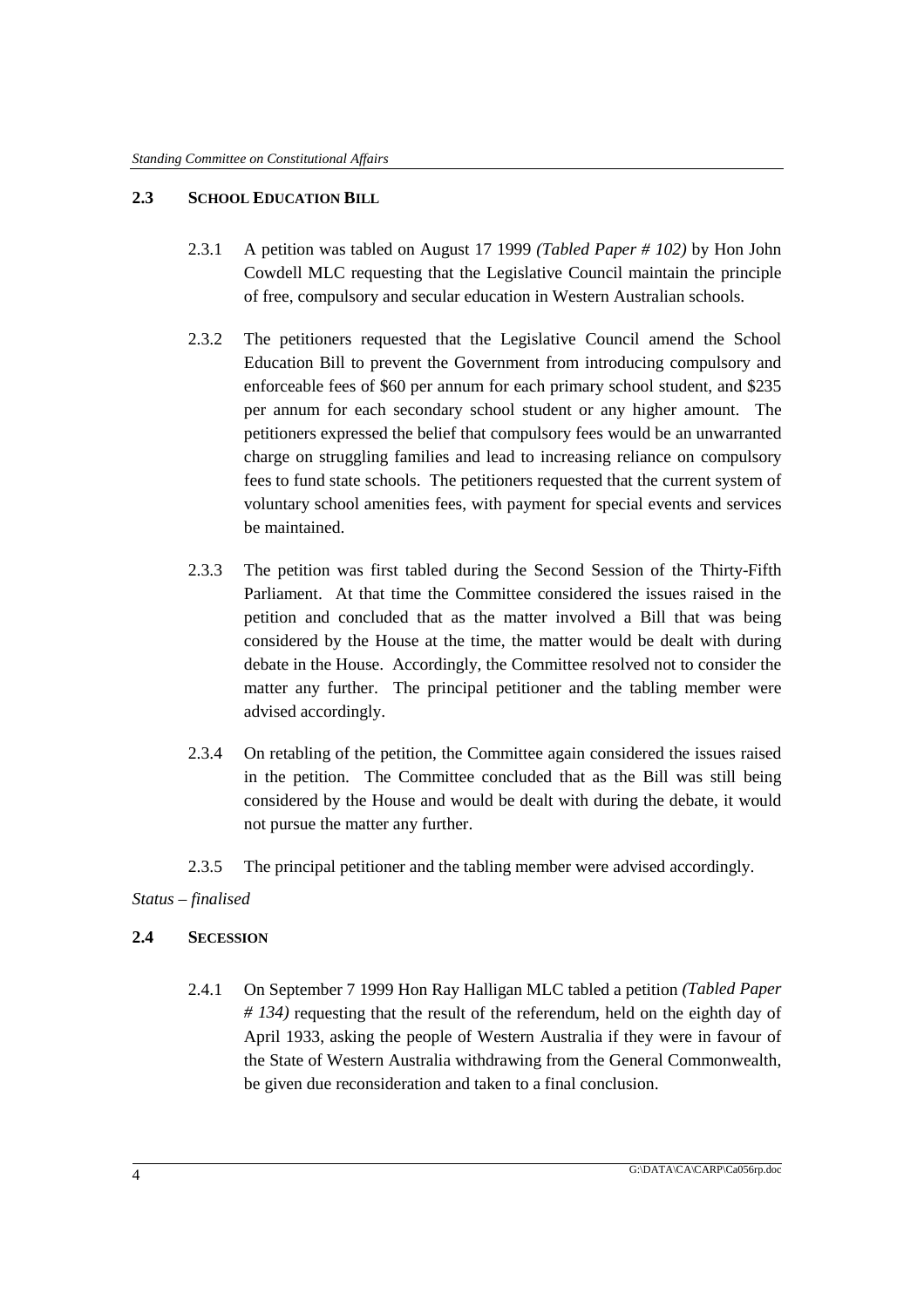# **2.3 SCHOOL EDUCATION BILL**

- 2.3.1 A petition was tabled on August 17 1999 *(Tabled Paper # 102)* by Hon John Cowdell MLC requesting that the Legislative Council maintain the principle of free, compulsory and secular education in Western Australian schools.
- 2.3.2 The petitioners requested that the Legislative Council amend the School Education Bill to prevent the Government from introducing compulsory and enforceable fees of \$60 per annum for each primary school student, and \$235 per annum for each secondary school student or any higher amount. The petitioners expressed the belief that compulsory fees would be an unwarranted charge on struggling families and lead to increasing reliance on compulsory fees to fund state schools. The petitioners requested that the current system of voluntary school amenities fees, with payment for special events and services be maintained.
- 2.3.3 The petition was first tabled during the Second Session of the Thirty-Fifth Parliament. At that time the Committee considered the issues raised in the petition and concluded that as the matter involved a Bill that was being considered by the House at the time, the matter would be dealt with during debate in the House. Accordingly, the Committee resolved not to consider the matter any further. The principal petitioner and the tabling member were advised accordingly.
- 2.3.4 On retabling of the petition, the Committee again considered the issues raised in the petition. The Committee concluded that as the Bill was still being considered by the House and would be dealt with during the debate, it would not pursue the matter any further.
- 2.3.5 The principal petitioner and the tabling member were advised accordingly.

# *Status – finalised*

# **2.4 SECESSION**

2.4.1 On September 7 1999 Hon Ray Halligan MLC tabled a petition *(Tabled Paper # 134)* requesting that the result of the referendum, held on the eighth day of April 1933, asking the people of Western Australia if they were in favour of the State of Western Australia withdrawing from the General Commonwealth, be given due reconsideration and taken to a final conclusion.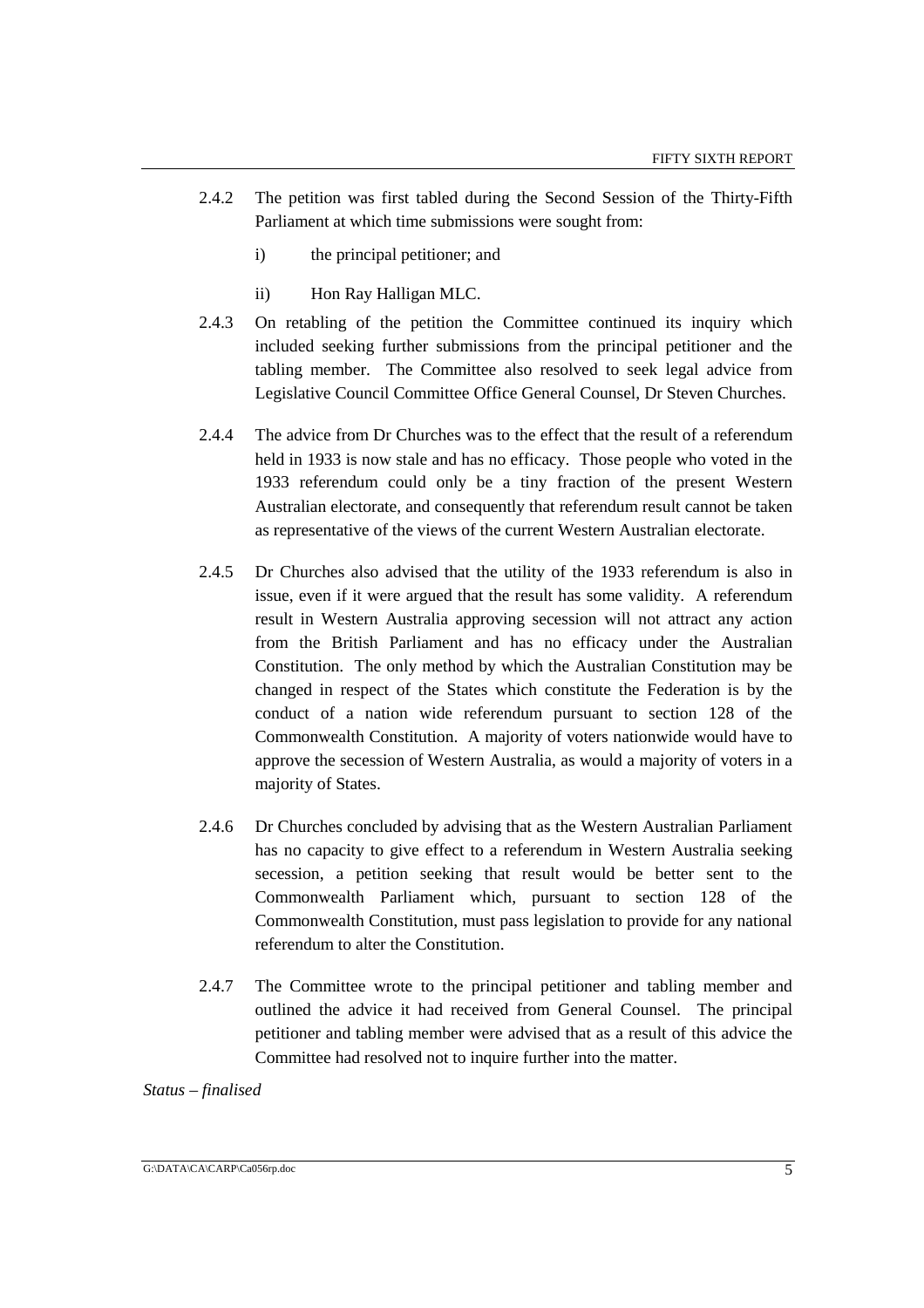- 2.4.2 The petition was first tabled during the Second Session of the Thirty-Fifth Parliament at which time submissions were sought from:
	- i) the principal petitioner; and
	- ii) Hon Ray Halligan MLC.
- 2.4.3 On retabling of the petition the Committee continued its inquiry which included seeking further submissions from the principal petitioner and the tabling member. The Committee also resolved to seek legal advice from Legislative Council Committee Office General Counsel, Dr Steven Churches.
- 2.4.4 The advice from Dr Churches was to the effect that the result of a referendum held in 1933 is now stale and has no efficacy. Those people who voted in the 1933 referendum could only be a tiny fraction of the present Western Australian electorate, and consequently that referendum result cannot be taken as representative of the views of the current Western Australian electorate.
- 2.4.5 Dr Churches also advised that the utility of the 1933 referendum is also in issue, even if it were argued that the result has some validity. A referendum result in Western Australia approving secession will not attract any action from the British Parliament and has no efficacy under the Australian Constitution. The only method by which the Australian Constitution may be changed in respect of the States which constitute the Federation is by the conduct of a nation wide referendum pursuant to section 128 of the Commonwealth Constitution. A majority of voters nationwide would have to approve the secession of Western Australia, as would a majority of voters in a majority of States.
- 2.4.6 Dr Churches concluded by advising that as the Western Australian Parliament has no capacity to give effect to a referendum in Western Australia seeking secession, a petition seeking that result would be better sent to the Commonwealth Parliament which, pursuant to section 128 of the Commonwealth Constitution, must pass legislation to provide for any national referendum to alter the Constitution.
- 2.4.7 The Committee wrote to the principal petitioner and tabling member and outlined the advice it had received from General Counsel. The principal petitioner and tabling member were advised that as a result of this advice the Committee had resolved not to inquire further into the matter.

*Status – finalised*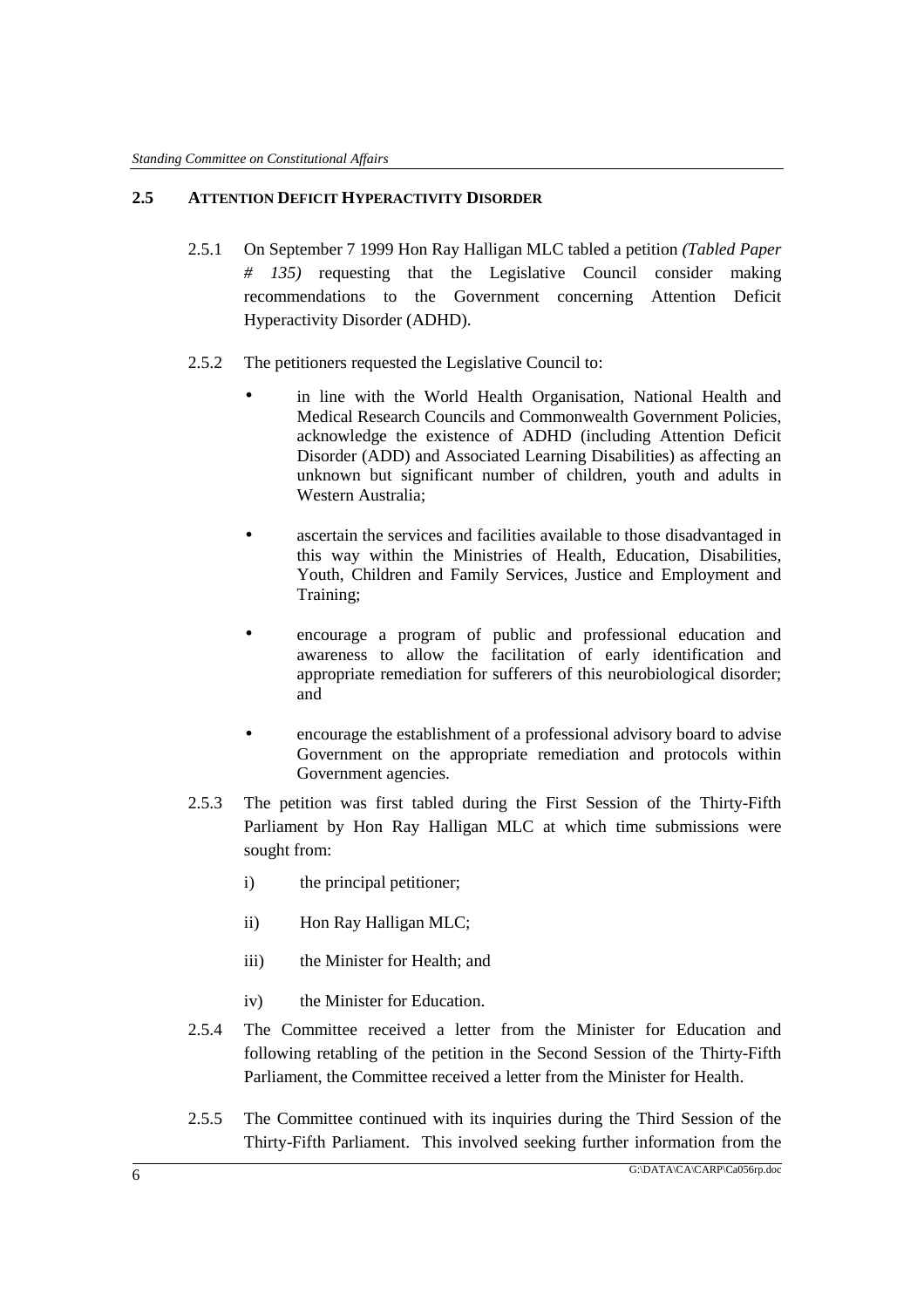### **2.5 ATTENTION DEFICIT HYPERACTIVITY DISORDER**

- 2.5.1 On September 7 1999 Hon Ray Halligan MLC tabled a petition *(Tabled Paper # 135)* requesting that the Legislative Council consider making recommendations to the Government concerning Attention Deficit Hyperactivity Disorder (ADHD).
- 2.5.2 The petitioners requested the Legislative Council to:
	- in line with the World Health Organisation, National Health and Medical Research Councils and Commonwealth Government Policies, acknowledge the existence of ADHD (including Attention Deficit Disorder (ADD) and Associated Learning Disabilities) as affecting an unknown but significant number of children, youth and adults in Western Australia;
	- ascertain the services and facilities available to those disadvantaged in this way within the Ministries of Health, Education, Disabilities, Youth, Children and Family Services, Justice and Employment and Training;
	- encourage a program of public and professional education and awareness to allow the facilitation of early identification and appropriate remediation for sufferers of this neurobiological disorder; and
	- encourage the establishment of a professional advisory board to advise Government on the appropriate remediation and protocols within Government agencies.
- 2.5.3 The petition was first tabled during the First Session of the Thirty-Fifth Parliament by Hon Ray Halligan MLC at which time submissions were sought from:
	- i) the principal petitioner;
	- ii) Hon Ray Halligan MLC;
	- iii) the Minister for Health; and
	- iv) the Minister for Education.
- 2.5.4 The Committee received a letter from the Minister for Education and following retabling of the petition in the Second Session of the Thirty-Fifth Parliament, the Committee received a letter from the Minister for Health.
- 2.5.5 The Committee continued with its inquiries during the Third Session of the Thirty-Fifth Parliament. This involved seeking further information from the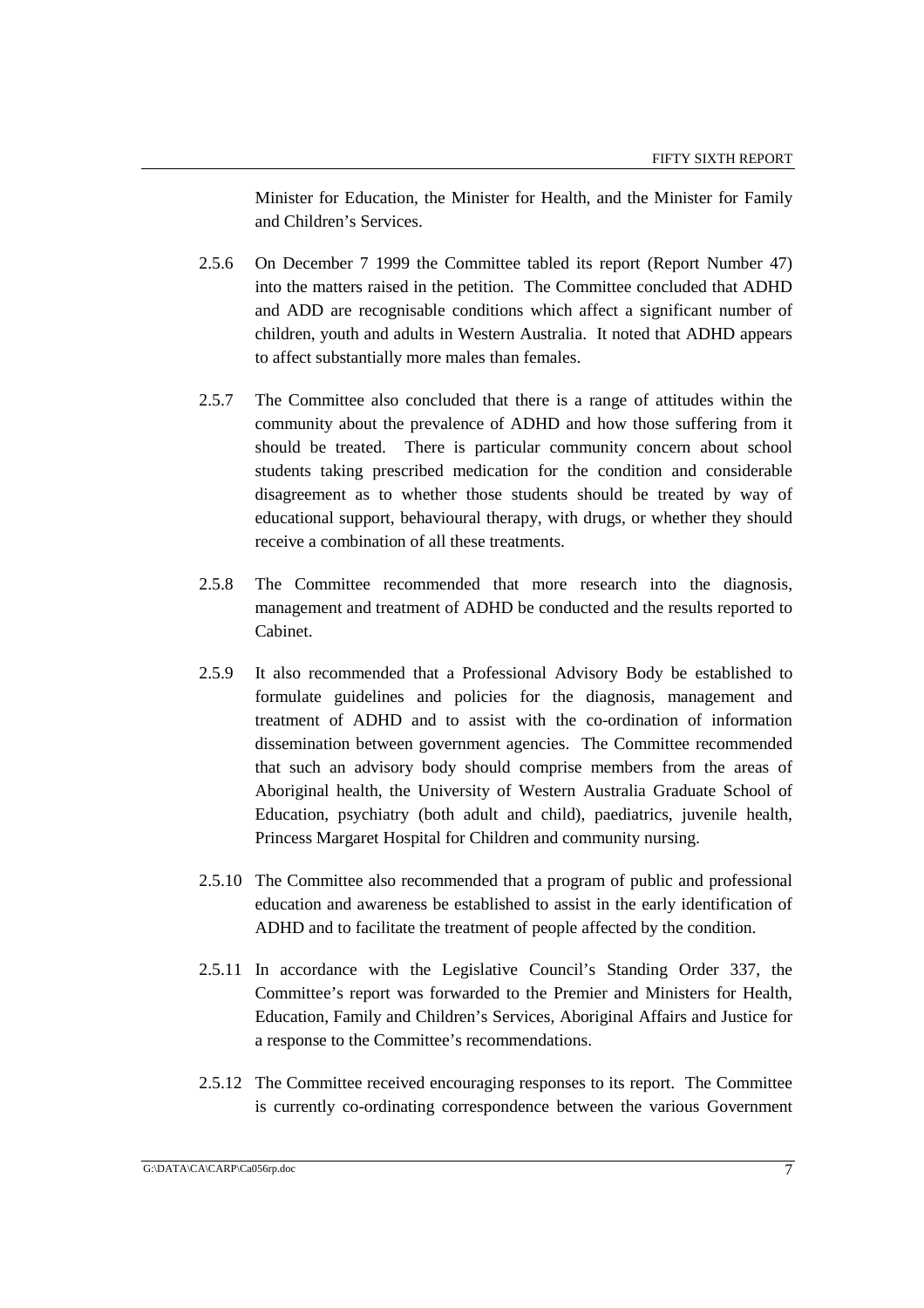Minister for Education, the Minister for Health, and the Minister for Family and Children's Services.

- 2.5.6 On December 7 1999 the Committee tabled its report (Report Number 47) into the matters raised in the petition. The Committee concluded that ADHD and ADD are recognisable conditions which affect a significant number of children, youth and adults in Western Australia. It noted that ADHD appears to affect substantially more males than females.
- 2.5.7 The Committee also concluded that there is a range of attitudes within the community about the prevalence of ADHD and how those suffering from it should be treated. There is particular community concern about school students taking prescribed medication for the condition and considerable disagreement as to whether those students should be treated by way of educational support, behavioural therapy, with drugs, or whether they should receive a combination of all these treatments.
- 2.5.8 The Committee recommended that more research into the diagnosis, management and treatment of ADHD be conducted and the results reported to Cabinet.
- 2.5.9 It also recommended that a Professional Advisory Body be established to formulate guidelines and policies for the diagnosis, management and treatment of ADHD and to assist with the co-ordination of information dissemination between government agencies. The Committee recommended that such an advisory body should comprise members from the areas of Aboriginal health, the University of Western Australia Graduate School of Education, psychiatry (both adult and child), paediatrics, juvenile health, Princess Margaret Hospital for Children and community nursing.
- 2.5.10 The Committee also recommended that a program of public and professional education and awareness be established to assist in the early identification of ADHD and to facilitate the treatment of people affected by the condition.
- 2.5.11 In accordance with the Legislative Council's Standing Order 337, the Committee's report was forwarded to the Premier and Ministers for Health, Education, Family and Children's Services, Aboriginal Affairs and Justice for a response to the Committee's recommendations.
- 2.5.12 The Committee received encouraging responses to its report. The Committee is currently co-ordinating correspondence between the various Government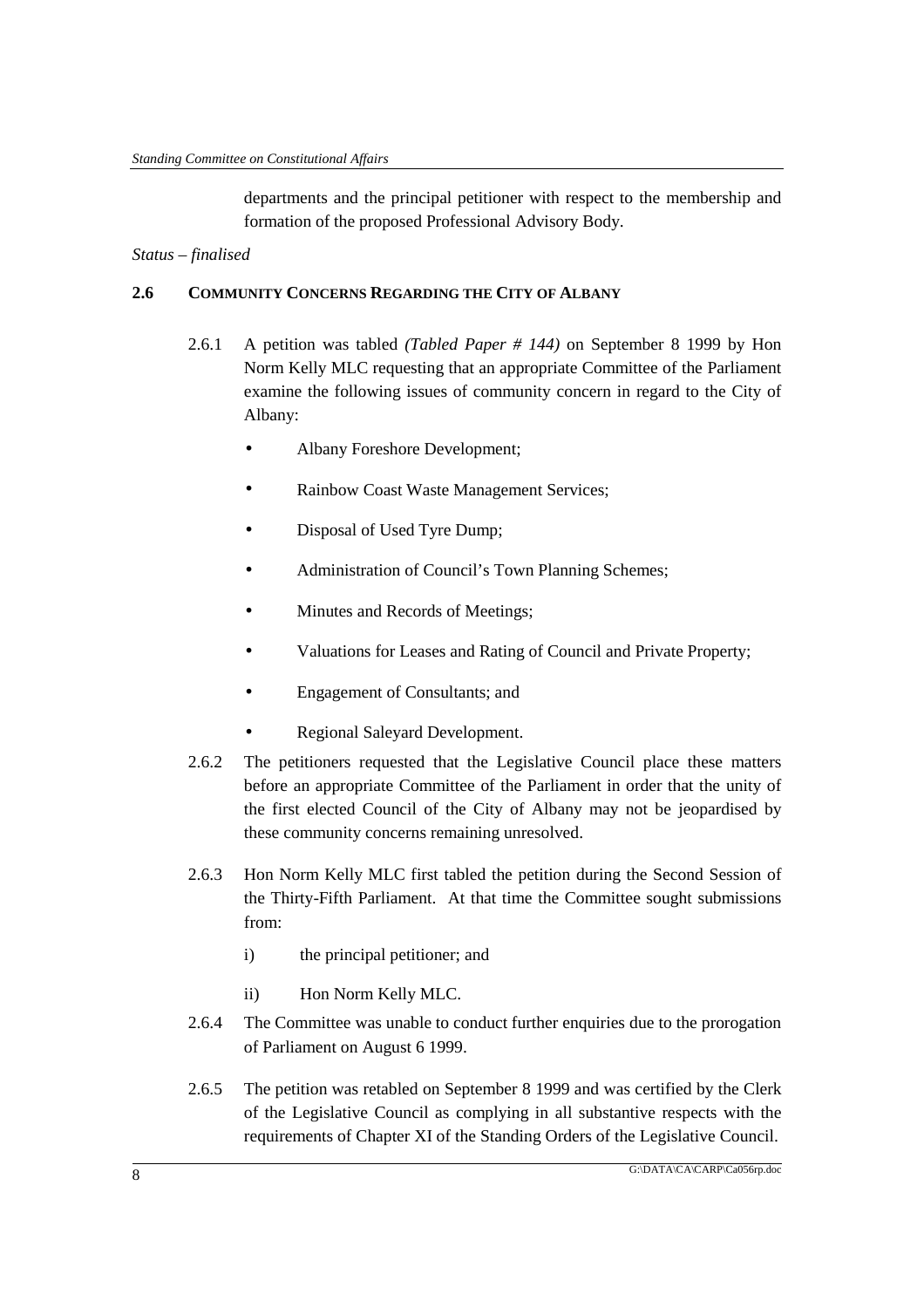departments and the principal petitioner with respect to the membership and formation of the proposed Professional Advisory Body.

### *Status – finalised*

### **2.6 COMMUNITY CONCERNS REGARDING THE CITY OF ALBANY**

- 2.6.1 A petition was tabled *(Tabled Paper # 144)* on September 8 1999 by Hon Norm Kelly MLC requesting that an appropriate Committee of the Parliament examine the following issues of community concern in regard to the City of Albany:
	- Albany Foreshore Development;
	- Rainbow Coast Waste Management Services;
	- Disposal of Used Tyre Dump;
	- Administration of Council's Town Planning Schemes;
	- Minutes and Records of Meetings;
	- Valuations for Leases and Rating of Council and Private Property;
	- Engagement of Consultants; and
	- Regional Saleyard Development.
- 2.6.2 The petitioners requested that the Legislative Council place these matters before an appropriate Committee of the Parliament in order that the unity of the first elected Council of the City of Albany may not be jeopardised by these community concerns remaining unresolved.
- 2.6.3 Hon Norm Kelly MLC first tabled the petition during the Second Session of the Thirty-Fifth Parliament. At that time the Committee sought submissions from:
	- i) the principal petitioner; and
	- ii) Hon Norm Kelly MLC.
- 2.6.4 The Committee was unable to conduct further enquiries due to the prorogation of Parliament on August 6 1999.
- 2.6.5 The petition was retabled on September 8 1999 and was certified by the Clerk of the Legislative Council as complying in all substantive respects with the requirements of Chapter XI of the Standing Orders of the Legislative Council.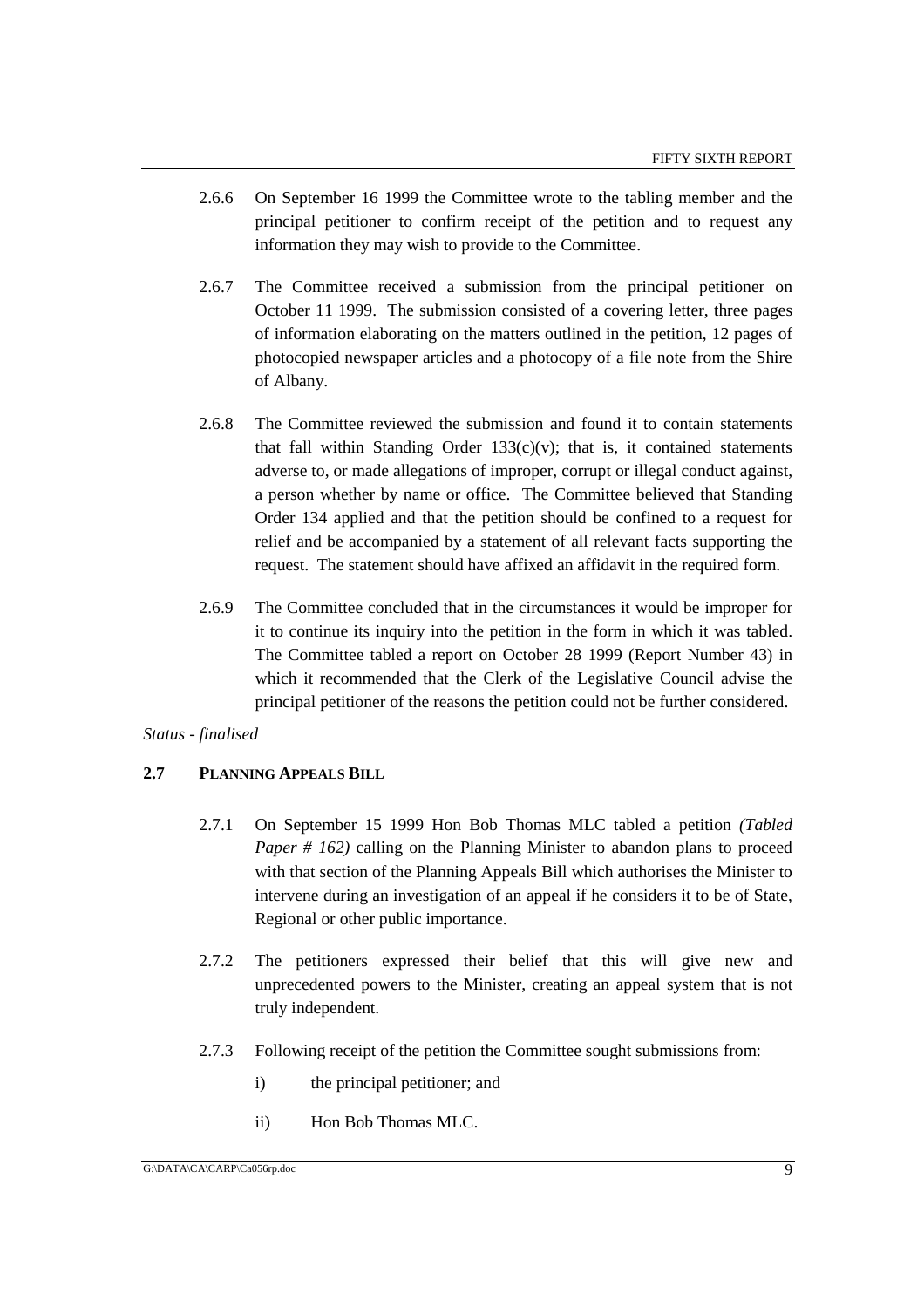- 2.6.6 On September 16 1999 the Committee wrote to the tabling member and the principal petitioner to confirm receipt of the petition and to request any information they may wish to provide to the Committee.
- 2.6.7 The Committee received a submission from the principal petitioner on October 11 1999. The submission consisted of a covering letter, three pages of information elaborating on the matters outlined in the petition, 12 pages of photocopied newspaper articles and a photocopy of a file note from the Shire of Albany.
- 2.6.8 The Committee reviewed the submission and found it to contain statements that fall within Standing Order  $133(c)(v)$ ; that is, it contained statements adverse to, or made allegations of improper, corrupt or illegal conduct against, a person whether by name or office. The Committee believed that Standing Order 134 applied and that the petition should be confined to a request for relief and be accompanied by a statement of all relevant facts supporting the request. The statement should have affixed an affidavit in the required form.
- 2.6.9 The Committee concluded that in the circumstances it would be improper for it to continue its inquiry into the petition in the form in which it was tabled. The Committee tabled a report on October 28 1999 (Report Number 43) in which it recommended that the Clerk of the Legislative Council advise the principal petitioner of the reasons the petition could not be further considered.

# *Status - finalised*

# **2.7 PLANNING APPEALS BILL**

- 2.7.1 On September 15 1999 Hon Bob Thomas MLC tabled a petition *(Tabled Paper # 162)* calling on the Planning Minister to abandon plans to proceed with that section of the Planning Appeals Bill which authorises the Minister to intervene during an investigation of an appeal if he considers it to be of State, Regional or other public importance.
- 2.7.2 The petitioners expressed their belief that this will give new and unprecedented powers to the Minister, creating an appeal system that is not truly independent.
- 2.7.3 Following receipt of the petition the Committee sought submissions from:
	- i) the principal petitioner; and
	- ii) Hon Bob Thomas MLC.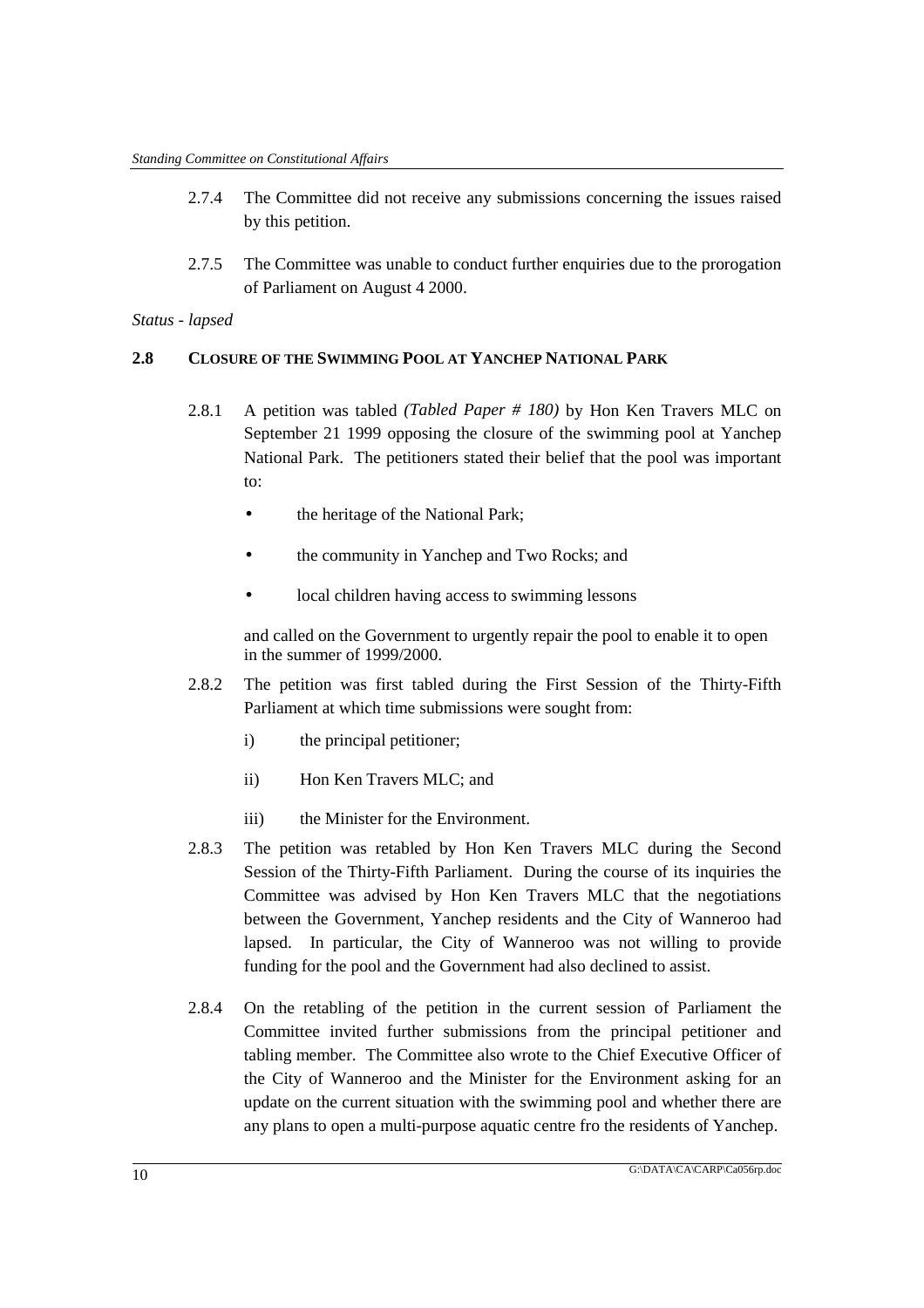- 2.7.4 The Committee did not receive any submissions concerning the issues raised by this petition.
- 2.7.5 The Committee was unable to conduct further enquiries due to the prorogation of Parliament on August 4 2000.

# **2.8 CLOSURE OF THE SWIMMING POOL AT YANCHEP NATIONAL PARK**

- 2.8.1 A petition was tabled *(Tabled Paper # 180)* by Hon Ken Travers MLC on September 21 1999 opposing the closure of the swimming pool at Yanchep National Park. The petitioners stated their belief that the pool was important to:
	- the heritage of the National Park;
	- the community in Yanchep and Two Rocks; and
	- local children having access to swimming lessons

and called on the Government to urgently repair the pool to enable it to open in the summer of 1999/2000.

- 2.8.2 The petition was first tabled during the First Session of the Thirty-Fifth Parliament at which time submissions were sought from:
	- i) the principal petitioner;
	- ii) Hon Ken Travers MLC; and
	- iii) the Minister for the Environment.
- 2.8.3 The petition was retabled by Hon Ken Travers MLC during the Second Session of the Thirty-Fifth Parliament. During the course of its inquiries the Committee was advised by Hon Ken Travers MLC that the negotiations between the Government, Yanchep residents and the City of Wanneroo had lapsed. In particular, the City of Wanneroo was not willing to provide funding for the pool and the Government had also declined to assist.
- 2.8.4 On the retabling of the petition in the current session of Parliament the Committee invited further submissions from the principal petitioner and tabling member. The Committee also wrote to the Chief Executive Officer of the City of Wanneroo and the Minister for the Environment asking for an update on the current situation with the swimming pool and whether there are any plans to open a multi-purpose aquatic centre fro the residents of Yanchep.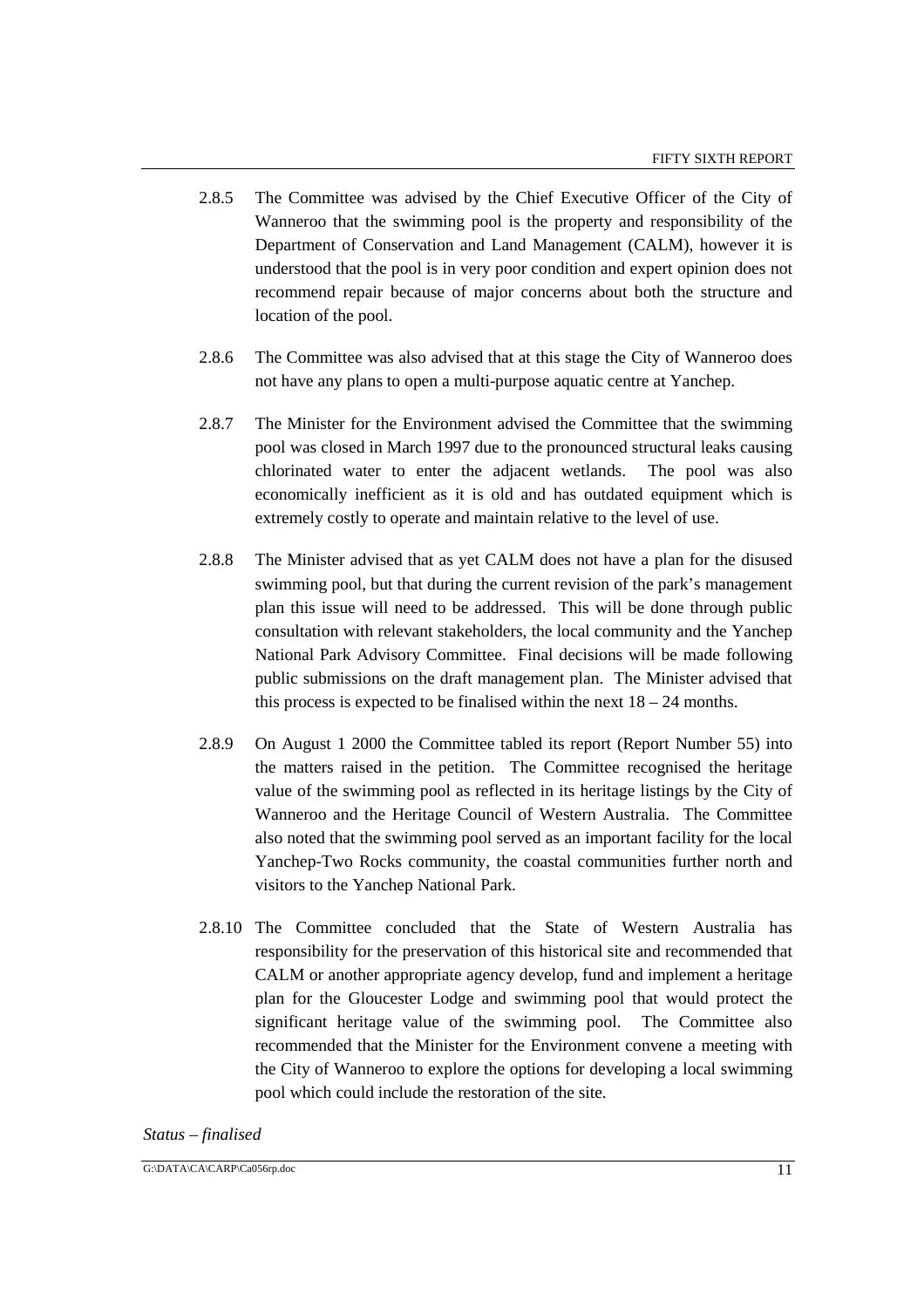- 2.8.5 The Committee was advised by the Chief Executive Officer of the City of Wanneroo that the swimming pool is the property and responsibility of the Department of Conservation and Land Management (CALM), however it is understood that the pool is in very poor condition and expert opinion does not recommend repair because of major concerns about both the structure and location of the pool.
- 2.8.6 The Committee was also advised that at this stage the City of Wanneroo does not have any plans to open a multi-purpose aquatic centre at Yanchep.
- 2.8.7 The Minister for the Environment advised the Committee that the swimming pool was closed in March 1997 due to the pronounced structural leaks causing chlorinated water to enter the adjacent wetlands. The pool was also economically inefficient as it is old and has outdated equipment which is extremely costly to operate and maintain relative to the level of use.
- 2.8.8 The Minister advised that as yet CALM does not have a plan for the disused swimming pool, but that during the current revision of the park's management plan this issue will need to be addressed. This will be done through public consultation with relevant stakeholders, the local community and the Yanchep National Park Advisory Committee. Final decisions will be made following public submissions on the draft management plan. The Minister advised that this process is expected to be finalised within the next  $18 - 24$  months.
- 2.8.9 On August 1 2000 the Committee tabled its report (Report Number 55) into the matters raised in the petition. The Committee recognised the heritage value of the swimming pool as reflected in its heritage listings by the City of Wanneroo and the Heritage Council of Western Australia. The Committee also noted that the swimming pool served as an important facility for the local Yanchep-Two Rocks community, the coastal communities further north and visitors to the Yanchep National Park.
- 2.8.10 The Committee concluded that the State of Western Australia has responsibility for the preservation of this historical site and recommended that CALM or another appropriate agency develop, fund and implement a heritage plan for the Gloucester Lodge and swimming pool that would protect the significant heritage value of the swimming pool. The Committee also recommended that the Minister for the Environment convene a meeting with the City of Wanneroo to explore the options for developing a local swimming pool which could include the restoration of the site.

#### *Status – finalised*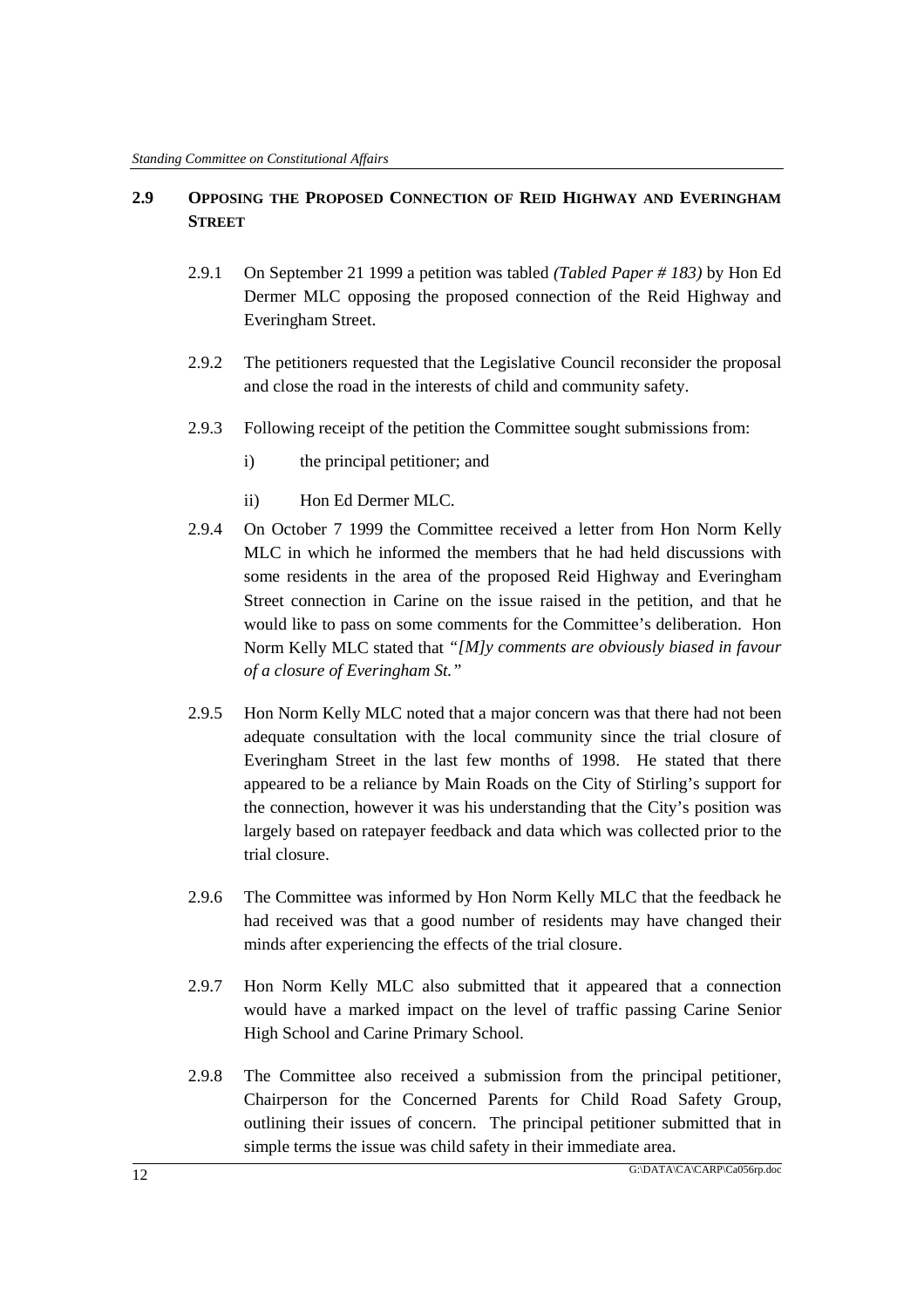# **2.9 OPPOSING THE PROPOSED CONNECTION OF REID HIGHWAY AND EVERINGHAM STREET**

- 2.9.1 On September 21 1999 a petition was tabled *(Tabled Paper # 183)* by Hon Ed Dermer MLC opposing the proposed connection of the Reid Highway and Everingham Street.
- 2.9.2 The petitioners requested that the Legislative Council reconsider the proposal and close the road in the interests of child and community safety.
- 2.9.3 Following receipt of the petition the Committee sought submissions from:
	- i) the principal petitioner; and
	- ii) Hon Ed Dermer MLC.
- 2.9.4 On October 7 1999 the Committee received a letter from Hon Norm Kelly MLC in which he informed the members that he had held discussions with some residents in the area of the proposed Reid Highway and Everingham Street connection in Carine on the issue raised in the petition, and that he would like to pass on some comments for the Committee's deliberation. Hon Norm Kelly MLC stated that *"[M]y comments are obviously biased in favour of a closure of Everingham St."*
- 2.9.5 Hon Norm Kelly MLC noted that a major concern was that there had not been adequate consultation with the local community since the trial closure of Everingham Street in the last few months of 1998. He stated that there appeared to be a reliance by Main Roads on the City of Stirling's support for the connection, however it was his understanding that the City's position was largely based on ratepayer feedback and data which was collected prior to the trial closure.
- 2.9.6 The Committee was informed by Hon Norm Kelly MLC that the feedback he had received was that a good number of residents may have changed their minds after experiencing the effects of the trial closure.
- 2.9.7 Hon Norm Kelly MLC also submitted that it appeared that a connection would have a marked impact on the level of traffic passing Carine Senior High School and Carine Primary School.
- 2.9.8 The Committee also received a submission from the principal petitioner, Chairperson for the Concerned Parents for Child Road Safety Group, outlining their issues of concern. The principal petitioner submitted that in simple terms the issue was child safety in their immediate area.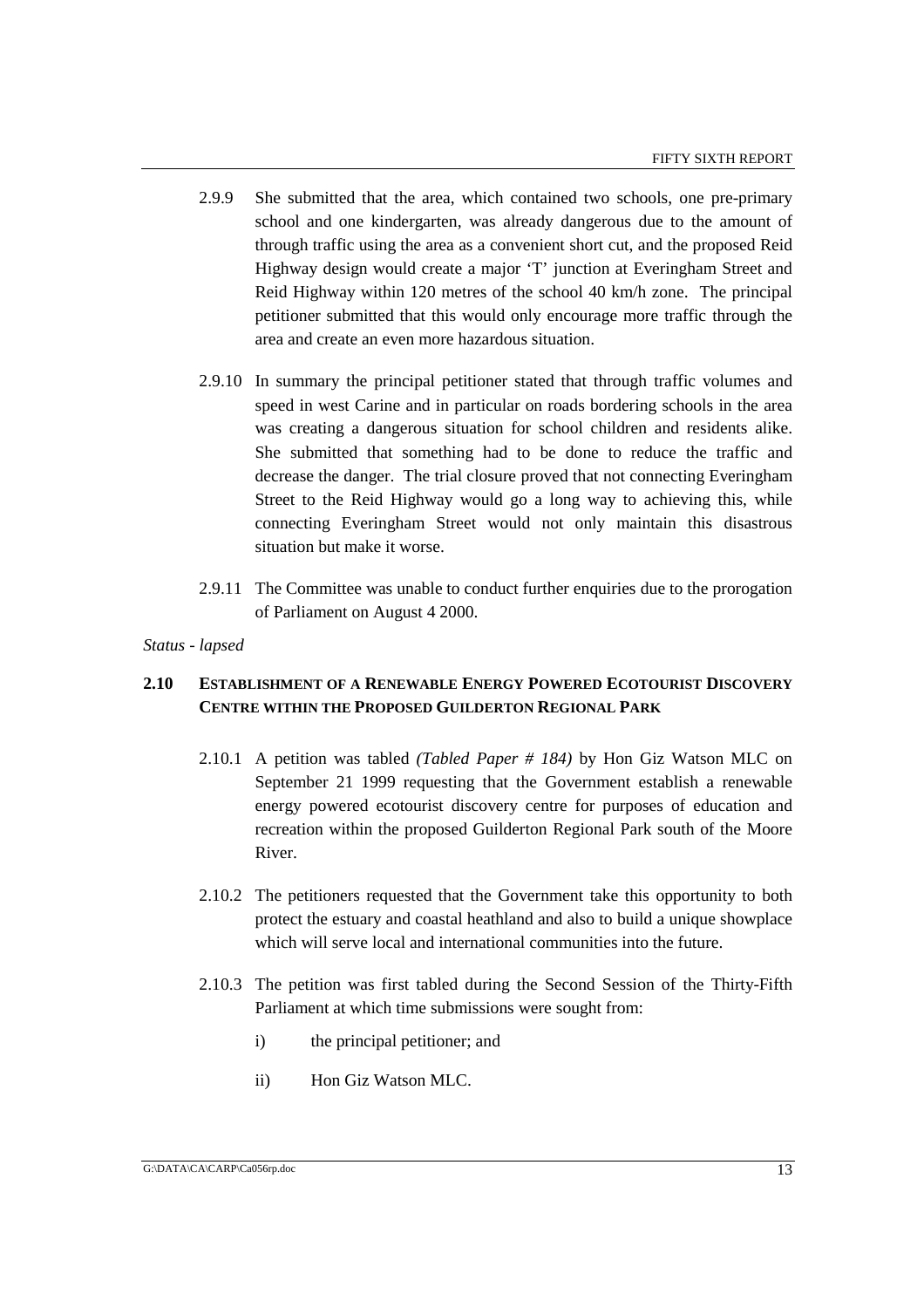- 2.9.9 She submitted that the area, which contained two schools, one pre-primary school and one kindergarten, was already dangerous due to the amount of through traffic using the area as a convenient short cut, and the proposed Reid Highway design would create a major 'T' junction at Everingham Street and Reid Highway within 120 metres of the school 40 km/h zone. The principal petitioner submitted that this would only encourage more traffic through the area and create an even more hazardous situation.
- 2.9.10 In summary the principal petitioner stated that through traffic volumes and speed in west Carine and in particular on roads bordering schools in the area was creating a dangerous situation for school children and residents alike. She submitted that something had to be done to reduce the traffic and decrease the danger. The trial closure proved that not connecting Everingham Street to the Reid Highway would go a long way to achieving this, while connecting Everingham Street would not only maintain this disastrous situation but make it worse.
- 2.9.11 The Committee was unable to conduct further enquiries due to the prorogation of Parliament on August 4 2000.

# **2.10 ESTABLISHMENT OF A RENEWABLE ENERGY POWERED ECOTOURIST DISCOVERY CENTRE WITHIN THE PROPOSED GUILDERTON REGIONAL PARK**

- 2.10.1 A petition was tabled *(Tabled Paper # 184)* by Hon Giz Watson MLC on September 21 1999 requesting that the Government establish a renewable energy powered ecotourist discovery centre for purposes of education and recreation within the proposed Guilderton Regional Park south of the Moore River.
- 2.10.2 The petitioners requested that the Government take this opportunity to both protect the estuary and coastal heathland and also to build a unique showplace which will serve local and international communities into the future.
- 2.10.3 The petition was first tabled during the Second Session of the Thirty-Fifth Parliament at which time submissions were sought from:
	- i) the principal petitioner; and
	- ii) Hon Giz Watson MLC.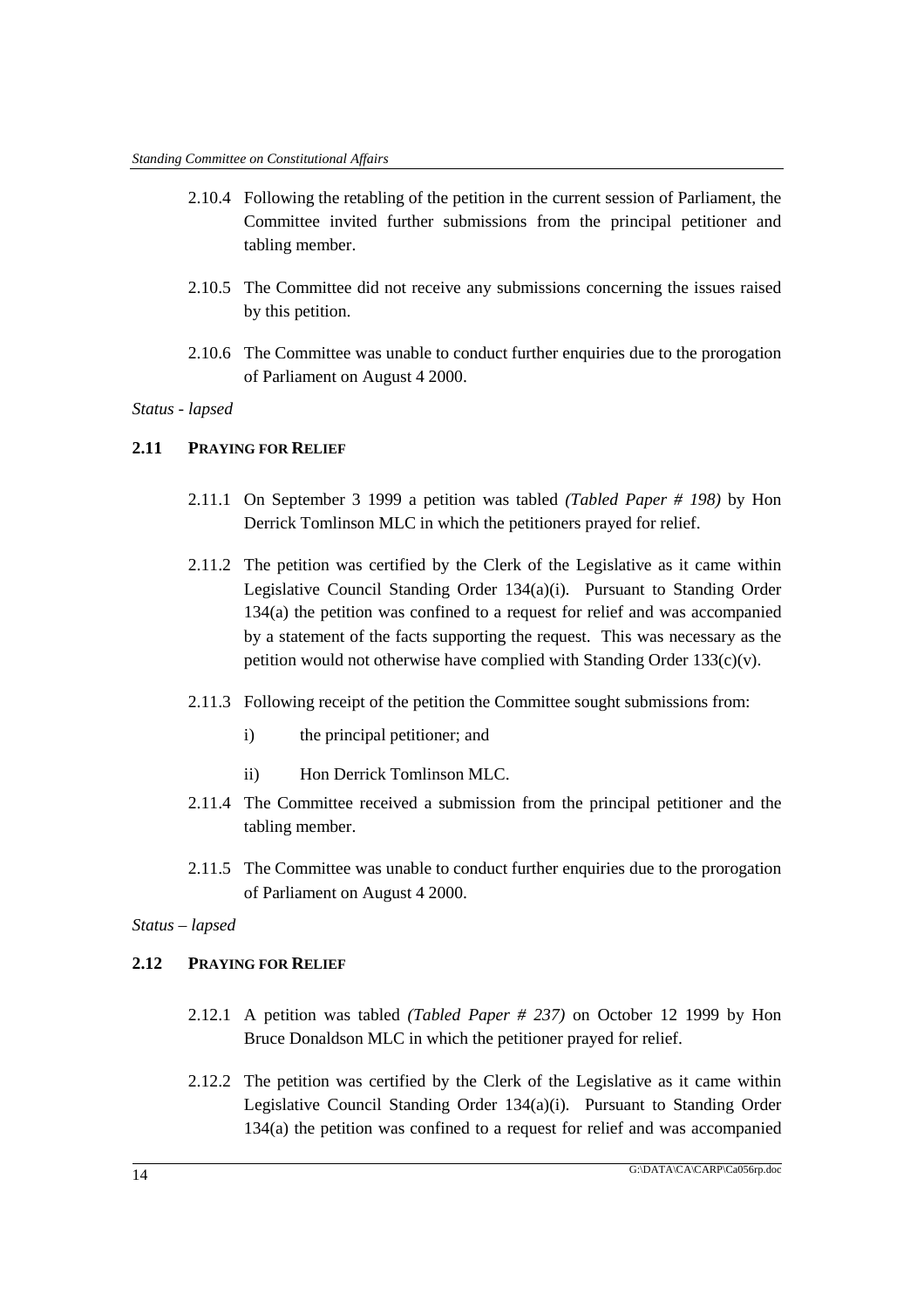- 2.10.4 Following the retabling of the petition in the current session of Parliament, the Committee invited further submissions from the principal petitioner and tabling member.
- 2.10.5 The Committee did not receive any submissions concerning the issues raised by this petition.
- 2.10.6 The Committee was unable to conduct further enquiries due to the prorogation of Parliament on August 4 2000.

# **2.11 PRAYING FOR RELIEF**

- 2.11.1 On September 3 1999 a petition was tabled *(Tabled Paper # 198)* by Hon Derrick Tomlinson MLC in which the petitioners prayed for relief.
- 2.11.2 The petition was certified by the Clerk of the Legislative as it came within Legislative Council Standing Order 134(a)(i). Pursuant to Standing Order 134(a) the petition was confined to a request for relief and was accompanied by a statement of the facts supporting the request. This was necessary as the petition would not otherwise have complied with Standing Order  $133(c)(v)$ .
- 2.11.3 Following receipt of the petition the Committee sought submissions from:
	- i) the principal petitioner; and
	- ii) Hon Derrick Tomlinson MLC.
- 2.11.4 The Committee received a submission from the principal petitioner and the tabling member.
- 2.11.5 The Committee was unable to conduct further enquiries due to the prorogation of Parliament on August 4 2000.

### *Status – lapsed*

# **2.12 PRAYING FOR RELIEF**

- 2.12.1 A petition was tabled *(Tabled Paper # 237)* on October 12 1999 by Hon Bruce Donaldson MLC in which the petitioner prayed for relief.
- 2.12.2 The petition was certified by the Clerk of the Legislative as it came within Legislative Council Standing Order 134(a)(i). Pursuant to Standing Order 134(a) the petition was confined to a request for relief and was accompanied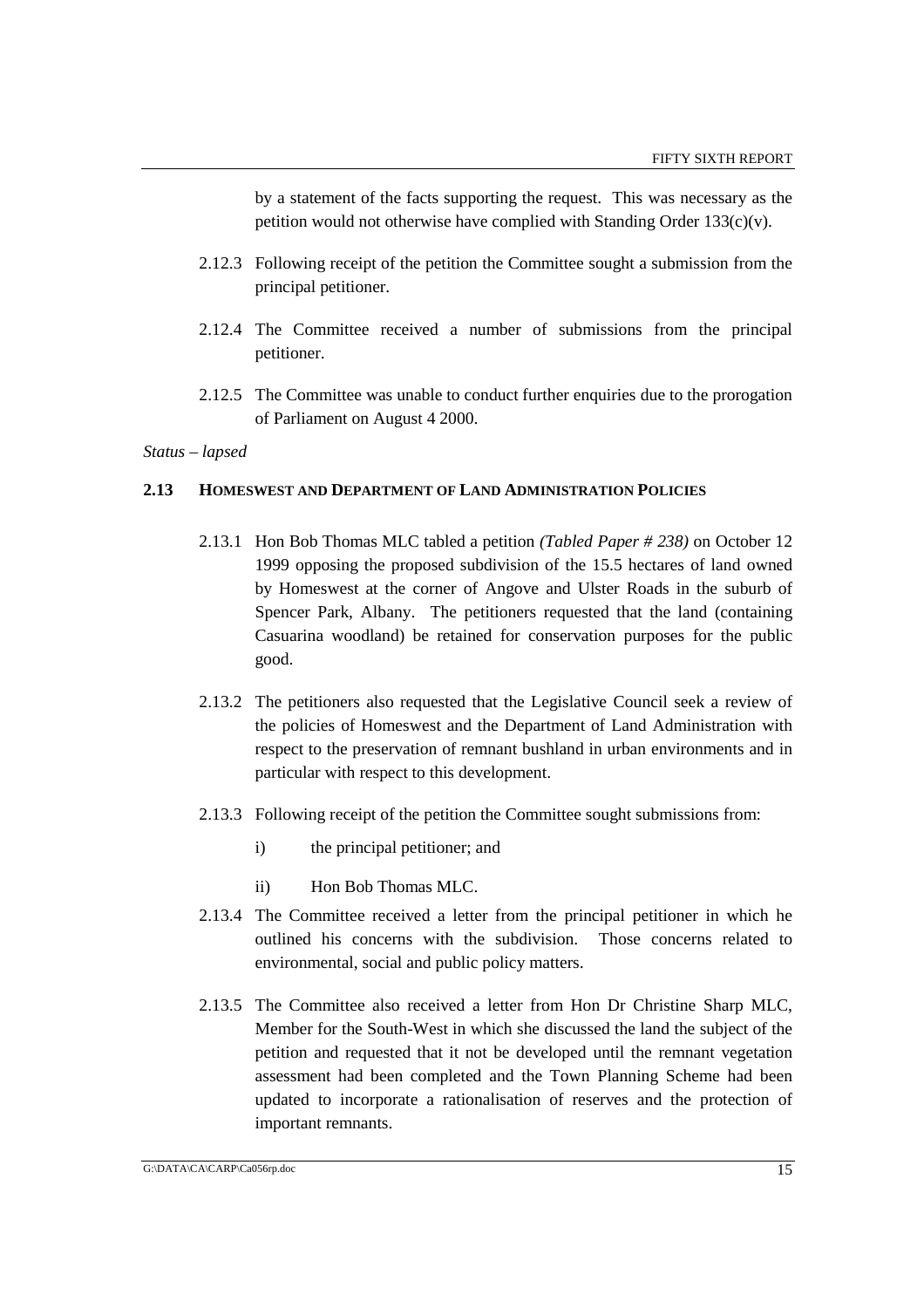by a statement of the facts supporting the request. This was necessary as the petition would not otherwise have complied with Standing Order  $133(c)(v)$ .

- 2.12.3 Following receipt of the petition the Committee sought a submission from the principal petitioner.
- 2.12.4 The Committee received a number of submissions from the principal petitioner.
- 2.12.5 The Committee was unable to conduct further enquiries due to the prorogation of Parliament on August 4 2000.

*Status – lapsed*

### **2.13 HOMESWEST AND DEPARTMENT OF LAND ADMINISTRATION POLICIES**

- 2.13.1 Hon Bob Thomas MLC tabled a petition *(Tabled Paper # 238)* on October 12 1999 opposing the proposed subdivision of the 15.5 hectares of land owned by Homeswest at the corner of Angove and Ulster Roads in the suburb of Spencer Park, Albany. The petitioners requested that the land (containing Casuarina woodland) be retained for conservation purposes for the public good.
- 2.13.2 The petitioners also requested that the Legislative Council seek a review of the policies of Homeswest and the Department of Land Administration with respect to the preservation of remnant bushland in urban environments and in particular with respect to this development.
- 2.13.3 Following receipt of the petition the Committee sought submissions from:
	- i) the principal petitioner; and
	- ii) Hon Bob Thomas MLC.
- 2.13.4 The Committee received a letter from the principal petitioner in which he outlined his concerns with the subdivision. Those concerns related to environmental, social and public policy matters.
- 2.13.5 The Committee also received a letter from Hon Dr Christine Sharp MLC, Member for the South-West in which she discussed the land the subject of the petition and requested that it not be developed until the remnant vegetation assessment had been completed and the Town Planning Scheme had been updated to incorporate a rationalisation of reserves and the protection of important remnants.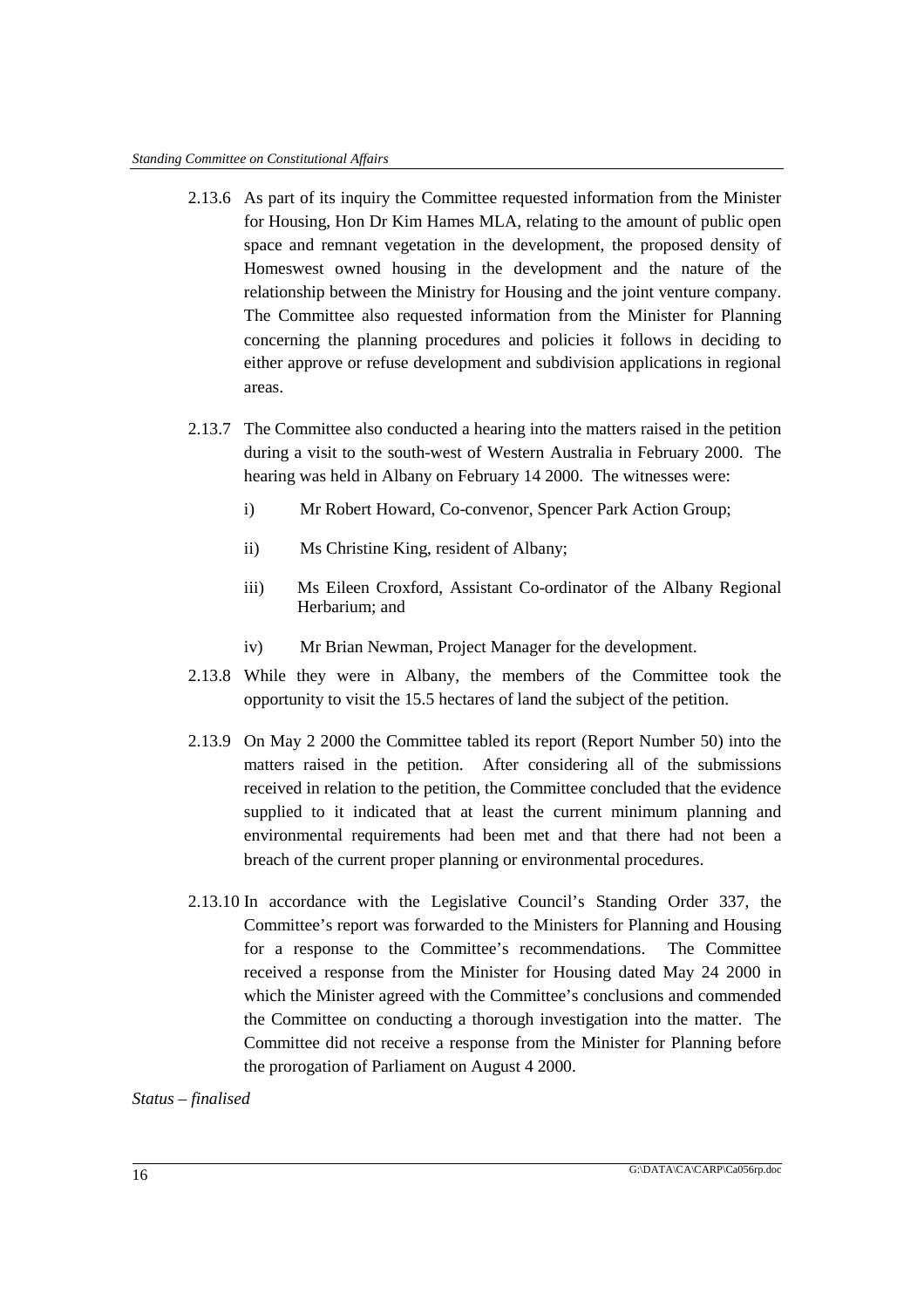- 2.13.6 As part of its inquiry the Committee requested information from the Minister for Housing, Hon Dr Kim Hames MLA, relating to the amount of public open space and remnant vegetation in the development, the proposed density of Homeswest owned housing in the development and the nature of the relationship between the Ministry for Housing and the joint venture company. The Committee also requested information from the Minister for Planning concerning the planning procedures and policies it follows in deciding to either approve or refuse development and subdivision applications in regional areas.
- 2.13.7 The Committee also conducted a hearing into the matters raised in the petition during a visit to the south-west of Western Australia in February 2000. The hearing was held in Albany on February 14 2000. The witnesses were:
	- i) Mr Robert Howard, Co-convenor, Spencer Park Action Group;
	- ii) Ms Christine King, resident of Albany;
	- iii) Ms Eileen Croxford, Assistant Co-ordinator of the Albany Regional Herbarium; and
	- iv) Mr Brian Newman, Project Manager for the development.
- 2.13.8 While they were in Albany, the members of the Committee took the opportunity to visit the 15.5 hectares of land the subject of the petition.
- 2.13.9 On May 2 2000 the Committee tabled its report (Report Number 50) into the matters raised in the petition. After considering all of the submissions received in relation to the petition, the Committee concluded that the evidence supplied to it indicated that at least the current minimum planning and environmental requirements had been met and that there had not been a breach of the current proper planning or environmental procedures.
- 2.13.10 In accordance with the Legislative Council's Standing Order 337, the Committee's report was forwarded to the Ministers for Planning and Housing for a response to the Committee's recommendations. The Committee received a response from the Minister for Housing dated May 24 2000 in which the Minister agreed with the Committee's conclusions and commended the Committee on conducting a thorough investigation into the matter. The Committee did not receive a response from the Minister for Planning before the prorogation of Parliament on August 4 2000.

*Status – finalised*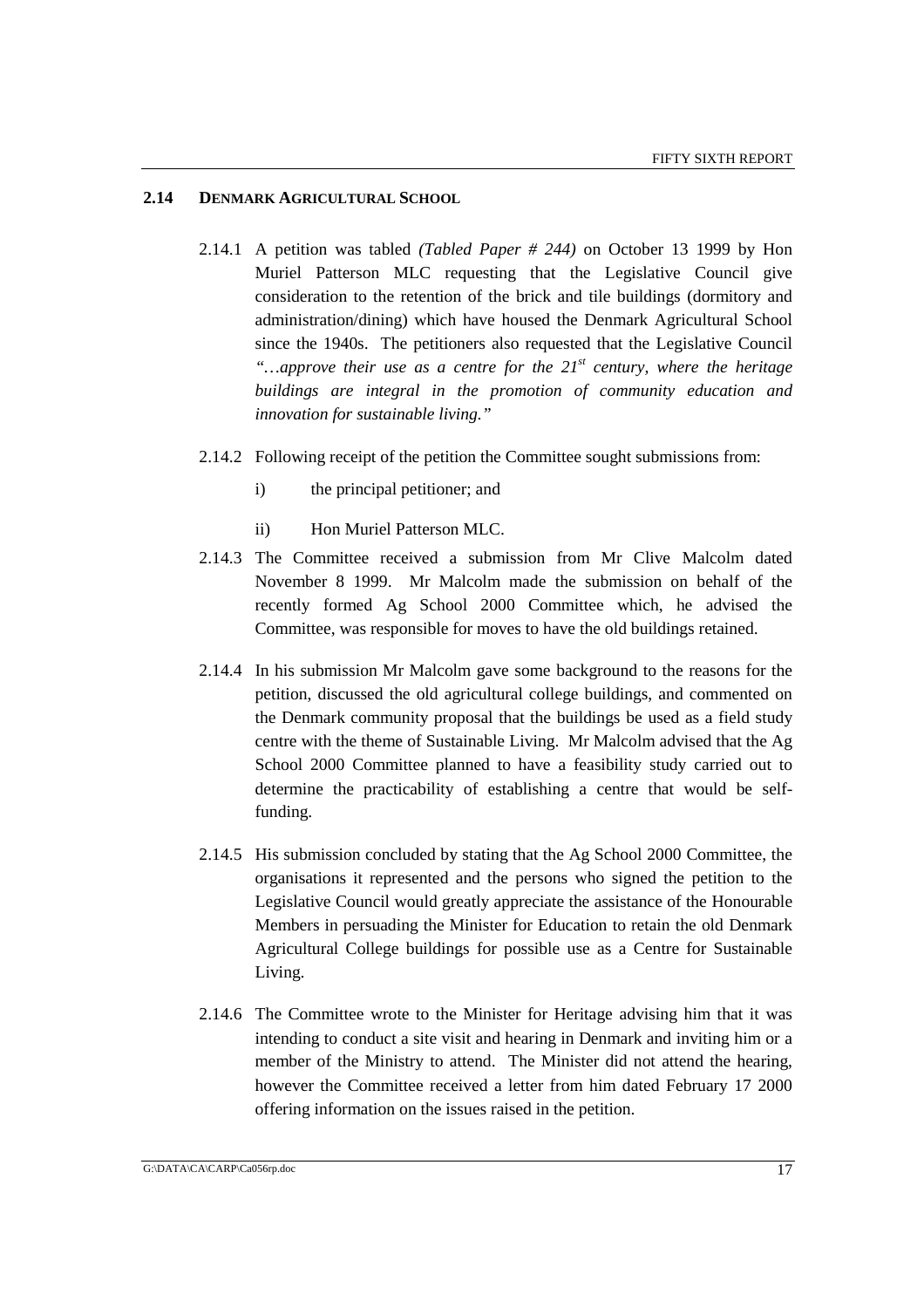### **2.14 DENMARK AGRICULTURAL SCHOOL**

- 2.14.1 A petition was tabled *(Tabled Paper # 244)* on October 13 1999 by Hon Muriel Patterson MLC requesting that the Legislative Council give consideration to the retention of the brick and tile buildings (dormitory and administration/dining) which have housed the Denmark Agricultural School since the 1940s. The petitioners also requested that the Legislative Council *"…approve their use as a centre for the 21st century, where the heritage buildings are integral in the promotion of community education and innovation for sustainable living."*
- 2.14.2 Following receipt of the petition the Committee sought submissions from:
	- i) the principal petitioner; and
	- ii) Hon Muriel Patterson MLC.
- 2.14.3 The Committee received a submission from Mr Clive Malcolm dated November 8 1999. Mr Malcolm made the submission on behalf of the recently formed Ag School 2000 Committee which, he advised the Committee, was responsible for moves to have the old buildings retained.
- 2.14.4 In his submission Mr Malcolm gave some background to the reasons for the petition, discussed the old agricultural college buildings, and commented on the Denmark community proposal that the buildings be used as a field study centre with the theme of Sustainable Living. Mr Malcolm advised that the Ag School 2000 Committee planned to have a feasibility study carried out to determine the practicability of establishing a centre that would be selffunding.
- 2.14.5 His submission concluded by stating that the Ag School 2000 Committee, the organisations it represented and the persons who signed the petition to the Legislative Council would greatly appreciate the assistance of the Honourable Members in persuading the Minister for Education to retain the old Denmark Agricultural College buildings for possible use as a Centre for Sustainable Living.
- 2.14.6 The Committee wrote to the Minister for Heritage advising him that it was intending to conduct a site visit and hearing in Denmark and inviting him or a member of the Ministry to attend. The Minister did not attend the hearing, however the Committee received a letter from him dated February 17 2000 offering information on the issues raised in the petition.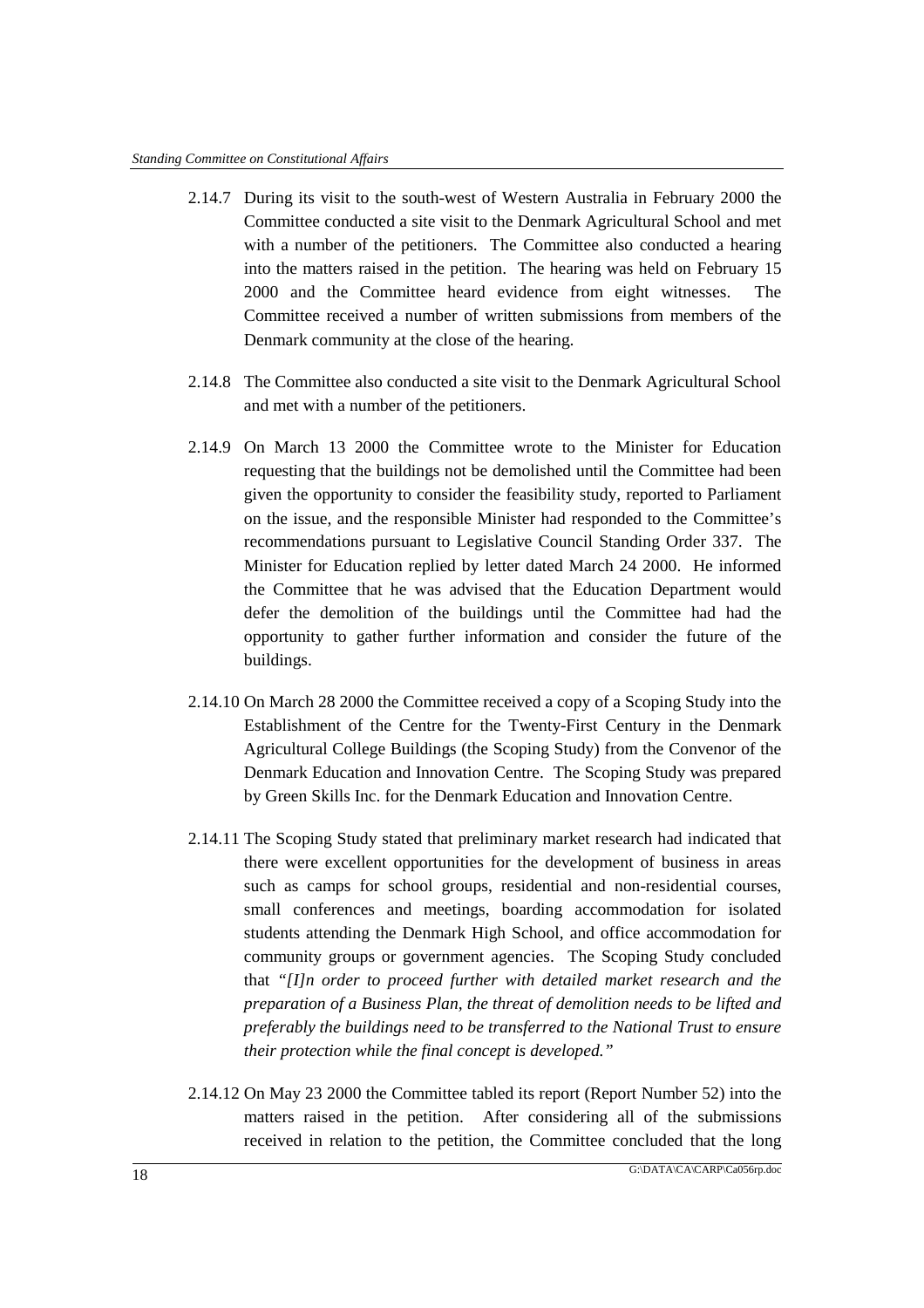- 2.14.7 During its visit to the south-west of Western Australia in February 2000 the Committee conducted a site visit to the Denmark Agricultural School and met with a number of the petitioners. The Committee also conducted a hearing into the matters raised in the petition. The hearing was held on February 15 2000 and the Committee heard evidence from eight witnesses. The Committee received a number of written submissions from members of the Denmark community at the close of the hearing.
- 2.14.8 The Committee also conducted a site visit to the Denmark Agricultural School and met with a number of the petitioners.
- 2.14.9 On March 13 2000 the Committee wrote to the Minister for Education requesting that the buildings not be demolished until the Committee had been given the opportunity to consider the feasibility study, reported to Parliament on the issue, and the responsible Minister had responded to the Committee's recommendations pursuant to Legislative Council Standing Order 337. The Minister for Education replied by letter dated March 24 2000. He informed the Committee that he was advised that the Education Department would defer the demolition of the buildings until the Committee had had the opportunity to gather further information and consider the future of the buildings.
- 2.14.10 On March 28 2000 the Committee received a copy of a Scoping Study into the Establishment of the Centre for the Twenty-First Century in the Denmark Agricultural College Buildings (the Scoping Study) from the Convenor of the Denmark Education and Innovation Centre. The Scoping Study was prepared by Green Skills Inc. for the Denmark Education and Innovation Centre.
- 2.14.11 The Scoping Study stated that preliminary market research had indicated that there were excellent opportunities for the development of business in areas such as camps for school groups, residential and non-residential courses, small conferences and meetings, boarding accommodation for isolated students attending the Denmark High School, and office accommodation for community groups or government agencies. The Scoping Study concluded that *"[I]n order to proceed further with detailed market research and the preparation of a Business Plan, the threat of demolition needs to be lifted and preferably the buildings need to be transferred to the National Trust to ensure their protection while the final concept is developed."*
- 2.14.12 On May 23 2000 the Committee tabled its report (Report Number 52) into the matters raised in the petition. After considering all of the submissions received in relation to the petition, the Committee concluded that the long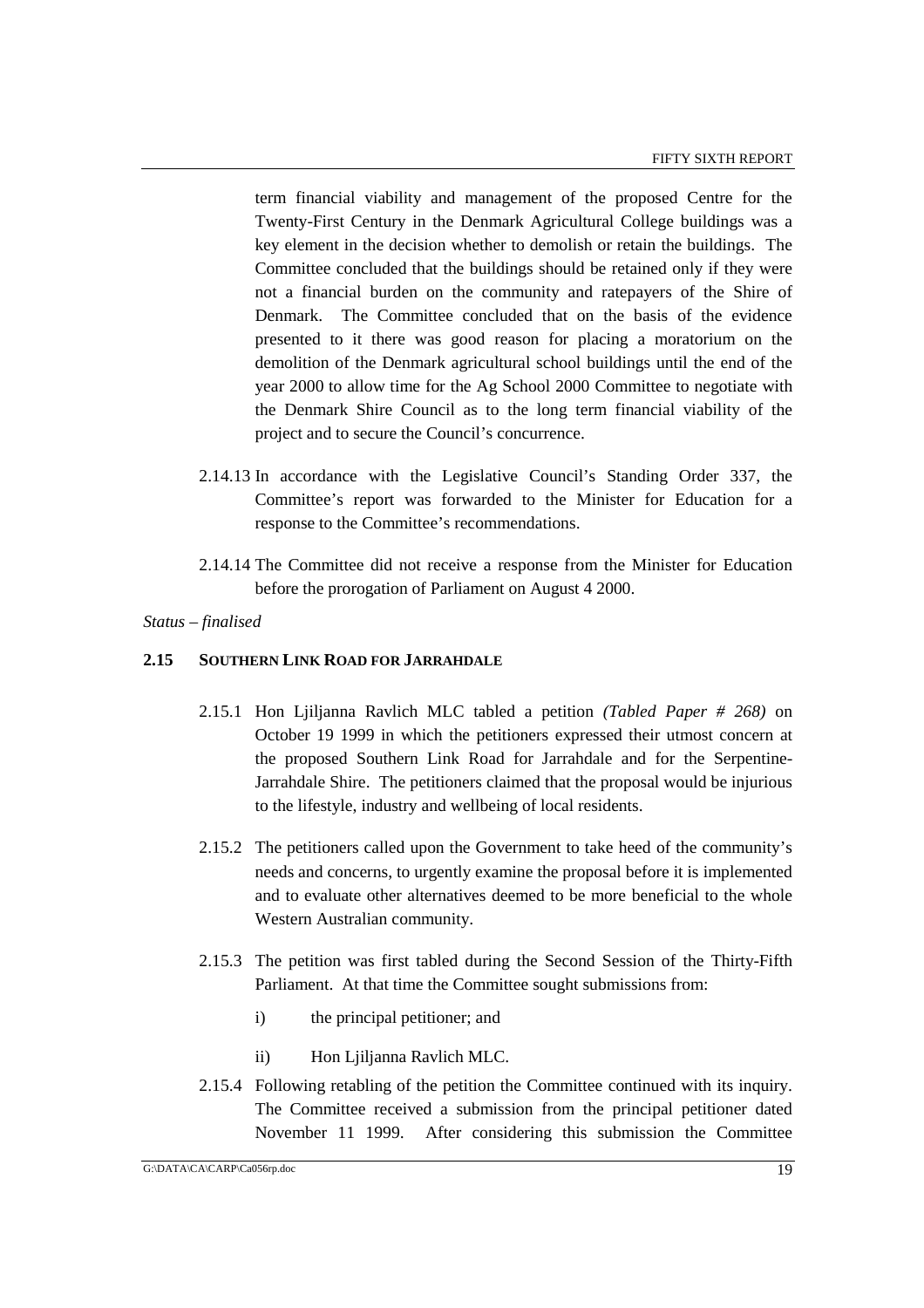term financial viability and management of the proposed Centre for the Twenty-First Century in the Denmark Agricultural College buildings was a key element in the decision whether to demolish or retain the buildings. The Committee concluded that the buildings should be retained only if they were not a financial burden on the community and ratepayers of the Shire of Denmark. The Committee concluded that on the basis of the evidence presented to it there was good reason for placing a moratorium on the demolition of the Denmark agricultural school buildings until the end of the year 2000 to allow time for the Ag School 2000 Committee to negotiate with the Denmark Shire Council as to the long term financial viability of the project and to secure the Council's concurrence.

- 2.14.13 In accordance with the Legislative Council's Standing Order 337, the Committee's report was forwarded to the Minister for Education for a response to the Committee's recommendations.
- 2.14.14 The Committee did not receive a response from the Minister for Education before the prorogation of Parliament on August 4 2000.
- *Status finalised*

### **2.15 SOUTHERN LINK ROAD FOR JARRAHDALE**

- 2.15.1 Hon Ljiljanna Ravlich MLC tabled a petition *(Tabled Paper # 268)* on October 19 1999 in which the petitioners expressed their utmost concern at the proposed Southern Link Road for Jarrahdale and for the Serpentine-Jarrahdale Shire. The petitioners claimed that the proposal would be injurious to the lifestyle, industry and wellbeing of local residents.
- 2.15.2 The petitioners called upon the Government to take heed of the community's needs and concerns, to urgently examine the proposal before it is implemented and to evaluate other alternatives deemed to be more beneficial to the whole Western Australian community.
- 2.15.3 The petition was first tabled during the Second Session of the Thirty-Fifth Parliament. At that time the Committee sought submissions from:
	- i) the principal petitioner; and
	- ii) Hon Ljiljanna Ravlich MLC.
- 2.15.4 Following retabling of the petition the Committee continued with its inquiry. The Committee received a submission from the principal petitioner dated November 11 1999. After considering this submission the Committee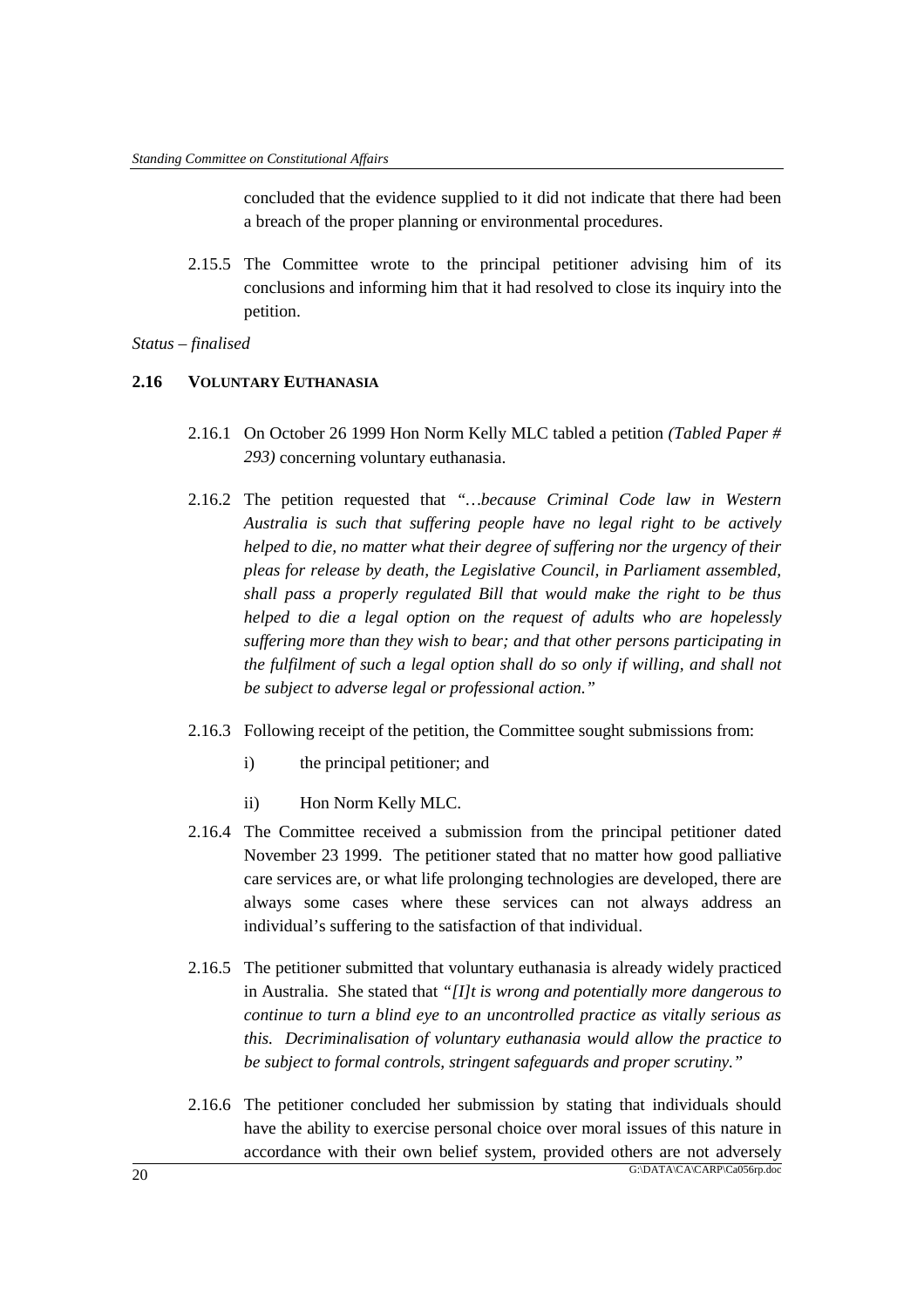concluded that the evidence supplied to it did not indicate that there had been a breach of the proper planning or environmental procedures.

2.15.5 The Committee wrote to the principal petitioner advising him of its conclusions and informing him that it had resolved to close its inquiry into the petition.

#### *Status – finalised*

### **2.16 VOLUNTARY EUTHANASIA**

- 2.16.1 On October 26 1999 Hon Norm Kelly MLC tabled a petition *(Tabled Paper # 293)* concerning voluntary euthanasia.
- 2.16.2 The petition requested that *"…because Criminal Code law in Western Australia is such that suffering people have no legal right to be actively helped to die, no matter what their degree of suffering nor the urgency of their pleas for release by death, the Legislative Council, in Parliament assembled, shall pass a properly regulated Bill that would make the right to be thus helped to die a legal option on the request of adults who are hopelessly suffering more than they wish to bear; and that other persons participating in the fulfilment of such a legal option shall do so only if willing, and shall not be subject to adverse legal or professional action."*
- 2.16.3 Following receipt of the petition, the Committee sought submissions from:
	- i) the principal petitioner; and
	- ii) Hon Norm Kelly MLC.
- 2.16.4 The Committee received a submission from the principal petitioner dated November 23 1999. The petitioner stated that no matter how good palliative care services are, or what life prolonging technologies are developed, there are always some cases where these services can not always address an individual's suffering to the satisfaction of that individual.
- 2.16.5 The petitioner submitted that voluntary euthanasia is already widely practiced in Australia. She stated that *"[I]t is wrong and potentially more dangerous to continue to turn a blind eye to an uncontrolled practice as vitally serious as this. Decriminalisation of voluntary euthanasia would allow the practice to be subject to formal controls, stringent safeguards and proper scrutiny."*
- $\frac{G\cdot\text{DATA}\text{ }CA\text{ }C\text{ }ARP\text{ }C\text{ }a056rp.doc}}{G\cdot\text{DATA}\text{ }CA\text{ }C\text{ }ARP\text{ }C\text{ }a056rp.doc}}$ 2.16.6 The petitioner concluded her submission by stating that individuals should have the ability to exercise personal choice over moral issues of this nature in accordance with their own belief system, provided others are not adversely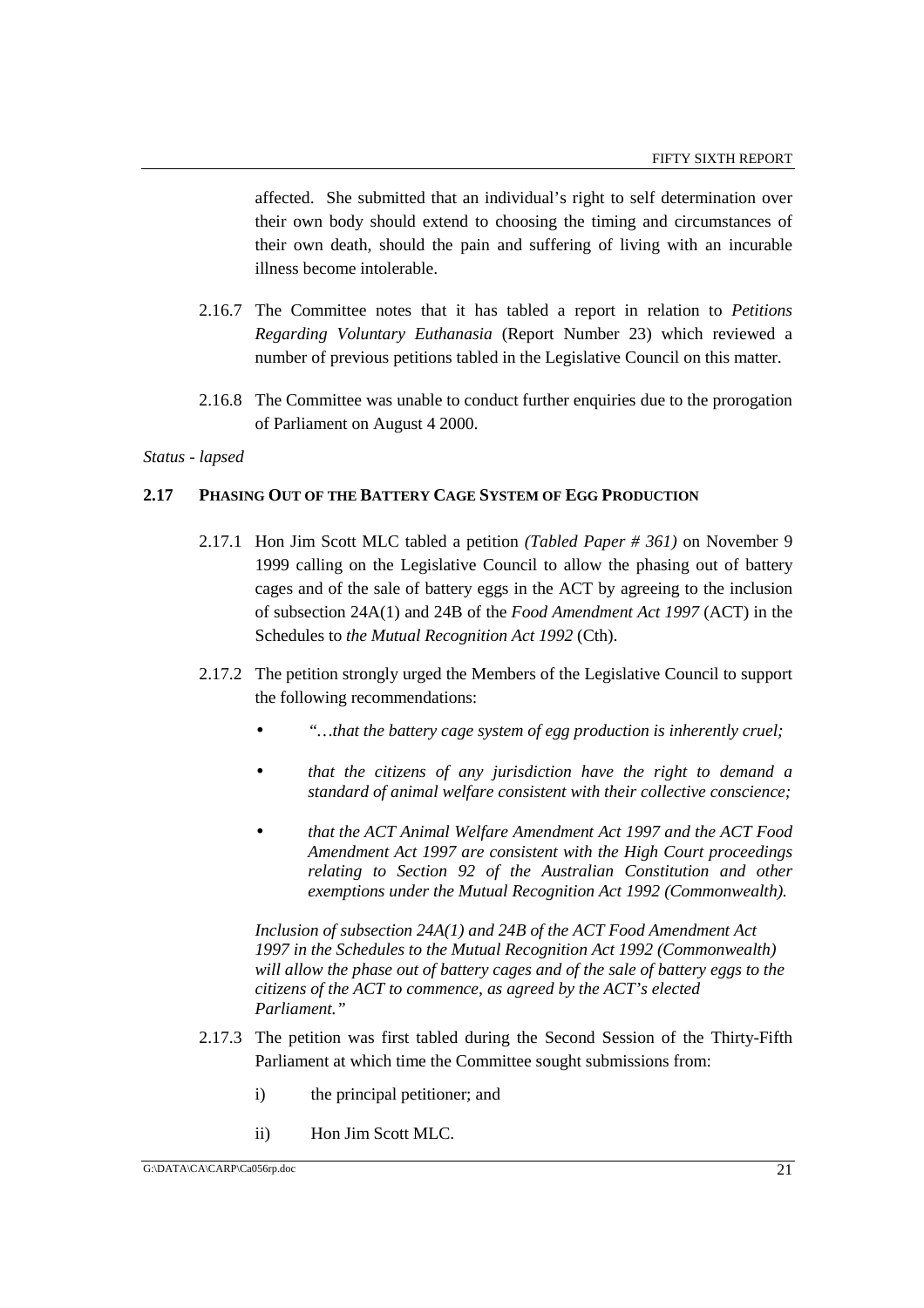affected. She submitted that an individual's right to self determination over their own body should extend to choosing the timing and circumstances of their own death, should the pain and suffering of living with an incurable illness become intolerable.

- 2.16.7 The Committee notes that it has tabled a report in relation to *Petitions Regarding Voluntary Euthanasia* (Report Number 23) which reviewed a number of previous petitions tabled in the Legislative Council on this matter.
- 2.16.8 The Committee was unable to conduct further enquiries due to the prorogation of Parliament on August 4 2000.

*Status - lapsed*

### **2.17 PHASING OUT OF THE BATTERY CAGE SYSTEM OF EGG PRODUCTION**

- 2.17.1 Hon Jim Scott MLC tabled a petition *(Tabled Paper # 361)* on November 9 1999 calling on the Legislative Council to allow the phasing out of battery cages and of the sale of battery eggs in the ACT by agreeing to the inclusion of subsection 24A(1) and 24B of the *Food Amendment Act 1997* (ACT) in the Schedules to *the Mutual Recognition Act 1992* (Cth).
- 2.17.2 The petition strongly urged the Members of the Legislative Council to support the following recommendations:
	- *"…that the battery cage system of egg production is inherently cruel;*
	- *that the citizens of any jurisdiction have the right to demand a standard of animal welfare consistent with their collective conscience;*
	- *that the ACT Animal Welfare Amendment Act 1997 and the ACT Food Amendment Act 1997 are consistent with the High Court proceedings relating to Section 92 of the Australian Constitution and other exemptions under the Mutual Recognition Act 1992 (Commonwealth).*

*Inclusion of subsection 24A(1) and 24B of the ACT Food Amendment Act 1997 in the Schedules to the Mutual Recognition Act 1992 (Commonwealth) will allow the phase out of battery cages and of the sale of battery eggs to the citizens of the ACT to commence, as agreed by the ACT's elected Parliament."*

- 2.17.3 The petition was first tabled during the Second Session of the Thirty-Fifth Parliament at which time the Committee sought submissions from:
	- i) the principal petitioner; and
	- ii) Hon Jim Scott MLC.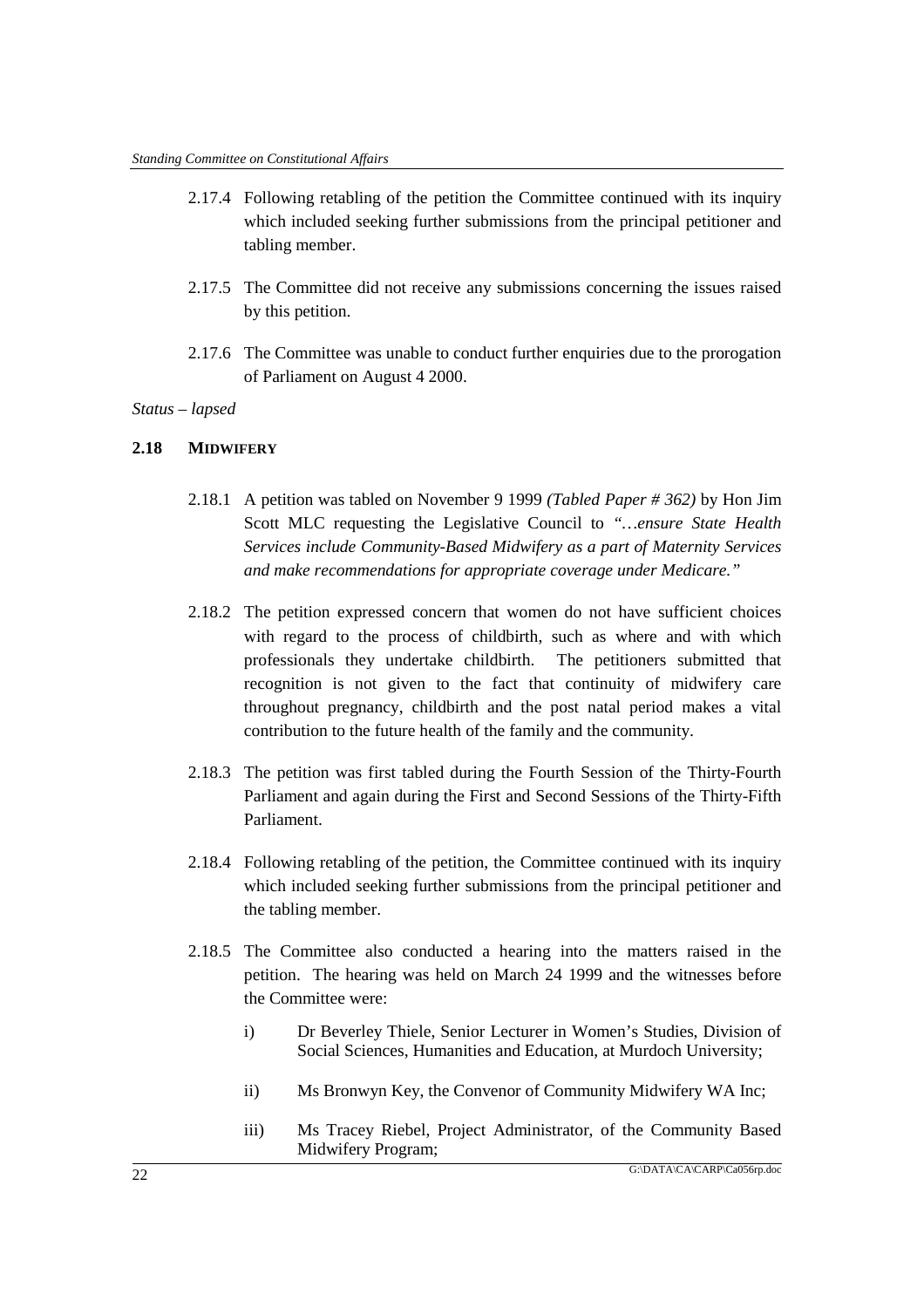- 2.17.4 Following retabling of the petition the Committee continued with its inquiry which included seeking further submissions from the principal petitioner and tabling member.
- 2.17.5 The Committee did not receive any submissions concerning the issues raised by this petition.
- 2.17.6 The Committee was unable to conduct further enquiries due to the prorogation of Parliament on August 4 2000.

#### **2.18 MIDWIFERY**

- 2.18.1 A petition was tabled on November 9 1999 *(Tabled Paper # 362)* by Hon Jim Scott MLC requesting the Legislative Council to *"…ensure State Health Services include Community-Based Midwifery as a part of Maternity Services and make recommendations for appropriate coverage under Medicare."*
- 2.18.2 The petition expressed concern that women do not have sufficient choices with regard to the process of childbirth, such as where and with which professionals they undertake childbirth. The petitioners submitted that recognition is not given to the fact that continuity of midwifery care throughout pregnancy, childbirth and the post natal period makes a vital contribution to the future health of the family and the community.
- 2.18.3 The petition was first tabled during the Fourth Session of the Thirty-Fourth Parliament and again during the First and Second Sessions of the Thirty-Fifth Parliament.
- 2.18.4 Following retabling of the petition, the Committee continued with its inquiry which included seeking further submissions from the principal petitioner and the tabling member.
- 2.18.5 The Committee also conducted a hearing into the matters raised in the petition. The hearing was held on March 24 1999 and the witnesses before the Committee were:
	- i) Dr Beverley Thiele, Senior Lecturer in Women's Studies, Division of Social Sciences, Humanities and Education, at Murdoch University;
	- ii) Ms Bronwyn Key, the Convenor of Community Midwifery WA Inc;
	- iii) Ms Tracey Riebel, Project Administrator, of the Community Based Midwifery Program;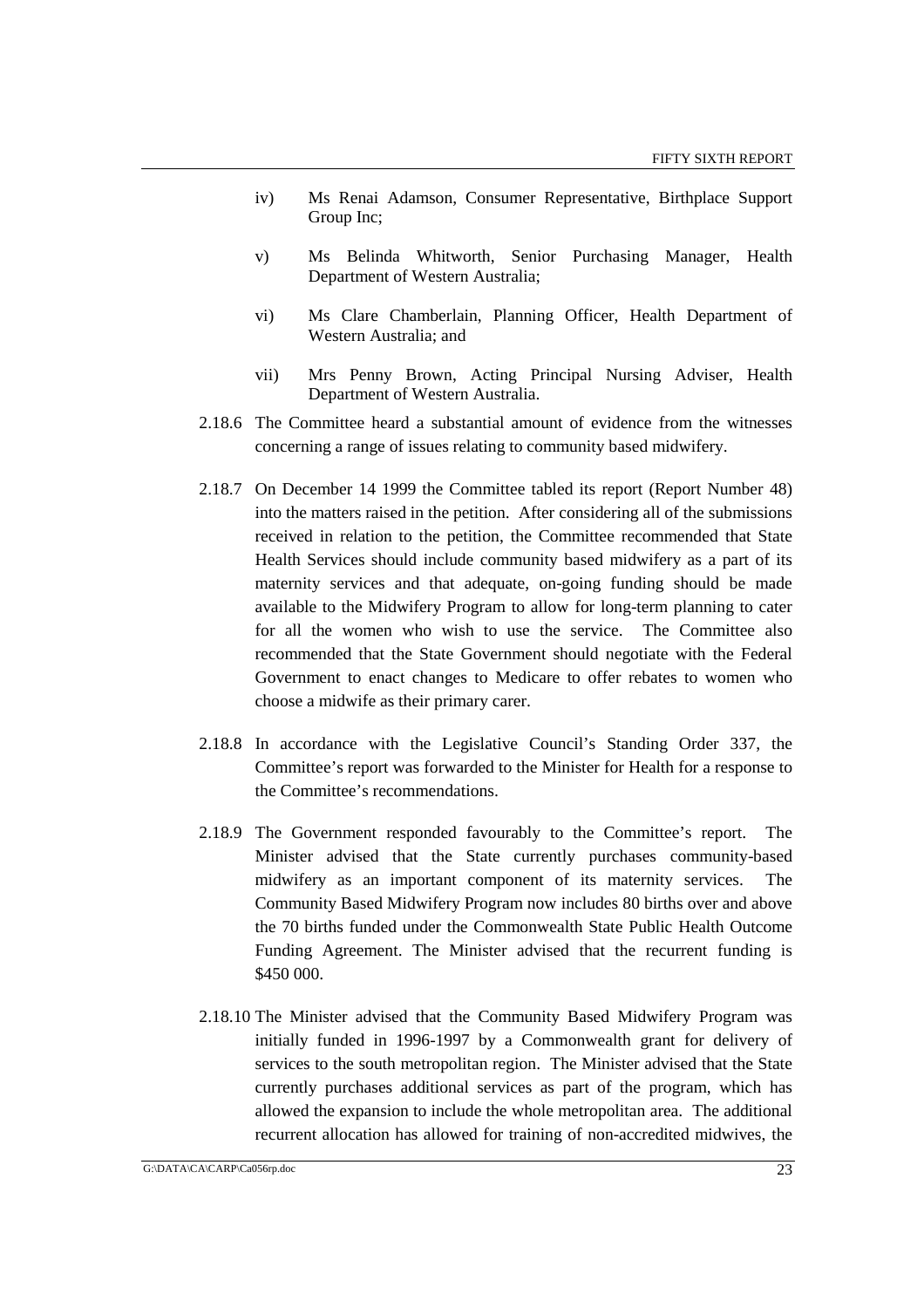- iv) Ms Renai Adamson, Consumer Representative, Birthplace Support Group Inc;
- v) Ms Belinda Whitworth, Senior Purchasing Manager, Health Department of Western Australia;
- vi) Ms Clare Chamberlain, Planning Officer, Health Department of Western Australia; and
- vii) Mrs Penny Brown, Acting Principal Nursing Adviser, Health Department of Western Australia.
- 2.18.6 The Committee heard a substantial amount of evidence from the witnesses concerning a range of issues relating to community based midwifery.
- 2.18.7 On December 14 1999 the Committee tabled its report (Report Number 48) into the matters raised in the petition. After considering all of the submissions received in relation to the petition, the Committee recommended that State Health Services should include community based midwifery as a part of its maternity services and that adequate, on-going funding should be made available to the Midwifery Program to allow for long-term planning to cater for all the women who wish to use the service. The Committee also recommended that the State Government should negotiate with the Federal Government to enact changes to Medicare to offer rebates to women who choose a midwife as their primary carer.
- 2.18.8 In accordance with the Legislative Council's Standing Order 337, the Committee's report was forwarded to the Minister for Health for a response to the Committee's recommendations.
- 2.18.9 The Government responded favourably to the Committee's report. The Minister advised that the State currently purchases community-based midwifery as an important component of its maternity services. The Community Based Midwifery Program now includes 80 births over and above the 70 births funded under the Commonwealth State Public Health Outcome Funding Agreement. The Minister advised that the recurrent funding is \$450 000.
- 2.18.10 The Minister advised that the Community Based Midwifery Program was initially funded in 1996-1997 by a Commonwealth grant for delivery of services to the south metropolitan region. The Minister advised that the State currently purchases additional services as part of the program, which has allowed the expansion to include the whole metropolitan area. The additional recurrent allocation has allowed for training of non-accredited midwives, the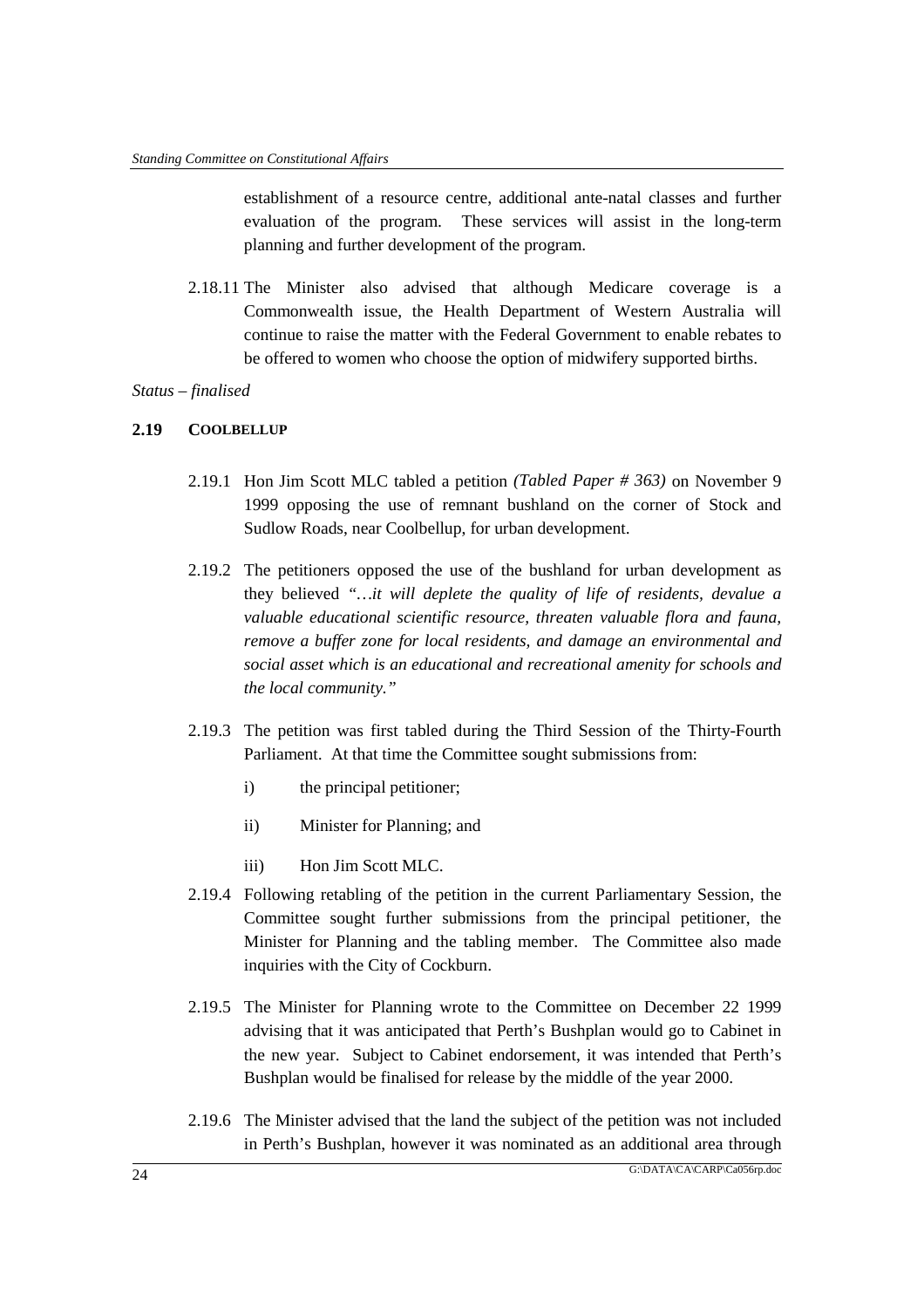establishment of a resource centre, additional ante-natal classes and further evaluation of the program. These services will assist in the long-term planning and further development of the program.

2.18.11 The Minister also advised that although Medicare coverage is a Commonwealth issue, the Health Department of Western Australia will continue to raise the matter with the Federal Government to enable rebates to be offered to women who choose the option of midwifery supported births.

### *Status – finalised*

#### **2.19 COOLBELLUP**

- 2.19.1 Hon Jim Scott MLC tabled a petition *(Tabled Paper # 363)* on November 9 1999 opposing the use of remnant bushland on the corner of Stock and Sudlow Roads, near Coolbellup, for urban development.
- 2.19.2 The petitioners opposed the use of the bushland for urban development as they believed *"…it will deplete the quality of life of residents, devalue a valuable educational scientific resource, threaten valuable flora and fauna, remove a buffer zone for local residents, and damage an environmental and social asset which is an educational and recreational amenity for schools and the local community."*
- 2.19.3 The petition was first tabled during the Third Session of the Thirty-Fourth Parliament. At that time the Committee sought submissions from:
	- i) the principal petitioner;
	- ii) Minister for Planning; and
	- iii) Hon Jim Scott MLC.
- 2.19.4 Following retabling of the petition in the current Parliamentary Session, the Committee sought further submissions from the principal petitioner, the Minister for Planning and the tabling member. The Committee also made inquiries with the City of Cockburn.
- 2.19.5 The Minister for Planning wrote to the Committee on December 22 1999 advising that it was anticipated that Perth's Bushplan would go to Cabinet in the new year. Subject to Cabinet endorsement, it was intended that Perth's Bushplan would be finalised for release by the middle of the year 2000.
- 2.19.6 The Minister advised that the land the subject of the petition was not included in Perth's Bushplan, however it was nominated as an additional area through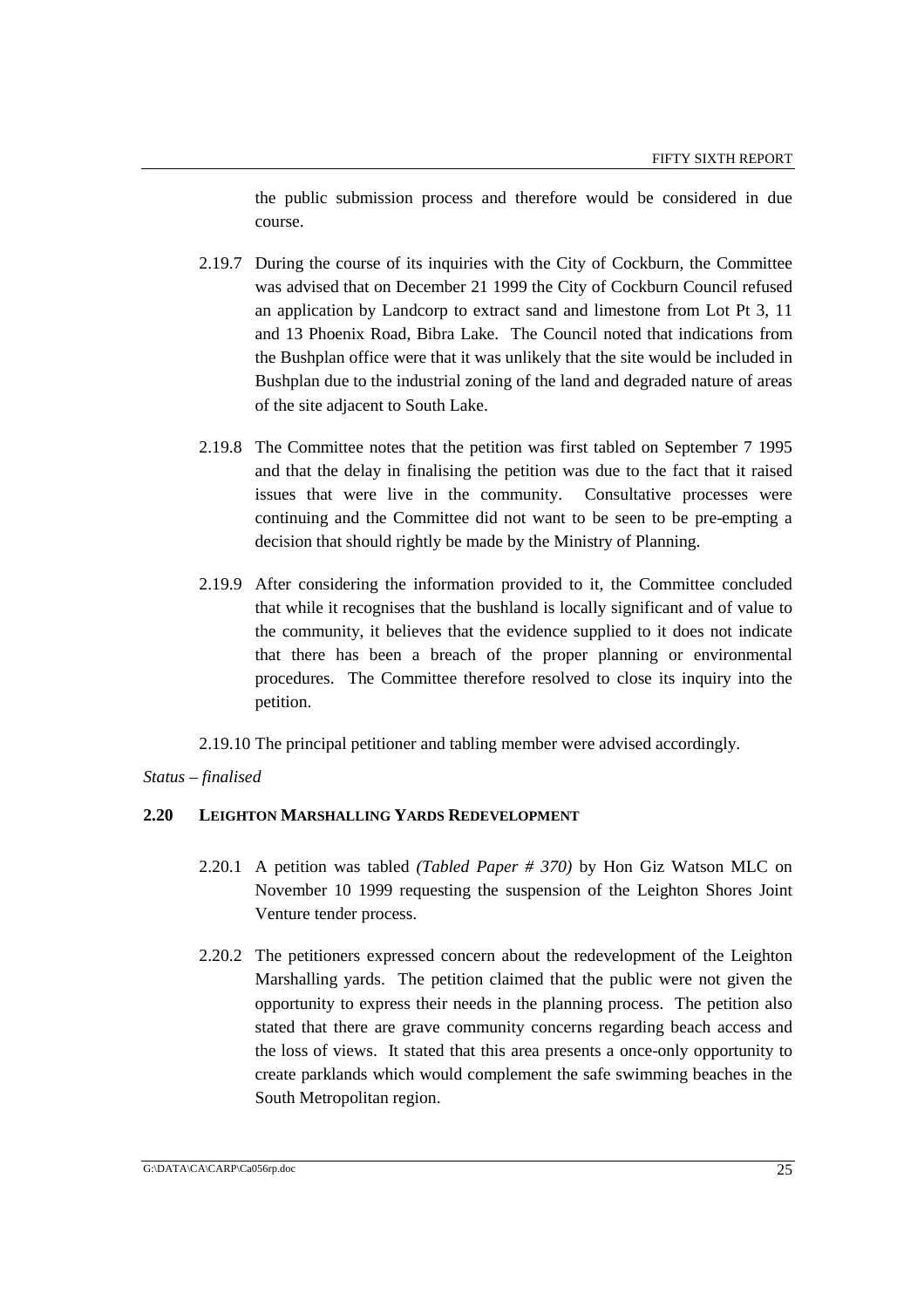the public submission process and therefore would be considered in due course.

- 2.19.7 During the course of its inquiries with the City of Cockburn, the Committee was advised that on December 21 1999 the City of Cockburn Council refused an application by Landcorp to extract sand and limestone from Lot Pt 3, 11 and 13 Phoenix Road, Bibra Lake. The Council noted that indications from the Bushplan office were that it was unlikely that the site would be included in Bushplan due to the industrial zoning of the land and degraded nature of areas of the site adjacent to South Lake.
- 2.19.8 The Committee notes that the petition was first tabled on September 7 1995 and that the delay in finalising the petition was due to the fact that it raised issues that were live in the community. Consultative processes were continuing and the Committee did not want to be seen to be pre-empting a decision that should rightly be made by the Ministry of Planning.
- 2.19.9 After considering the information provided to it, the Committee concluded that while it recognises that the bushland is locally significant and of value to the community, it believes that the evidence supplied to it does not indicate that there has been a breach of the proper planning or environmental procedures. The Committee therefore resolved to close its inquiry into the petition.

2.19.10 The principal petitioner and tabling member were advised accordingly.

*Status – finalised*

# **2.20 LEIGHTON MARSHALLING YARDS REDEVELOPMENT**

- 2.20.1 A petition was tabled *(Tabled Paper # 370)* by Hon Giz Watson MLC on November 10 1999 requesting the suspension of the Leighton Shores Joint Venture tender process.
- 2.20.2 The petitioners expressed concern about the redevelopment of the Leighton Marshalling yards. The petition claimed that the public were not given the opportunity to express their needs in the planning process. The petition also stated that there are grave community concerns regarding beach access and the loss of views. It stated that this area presents a once-only opportunity to create parklands which would complement the safe swimming beaches in the South Metropolitan region.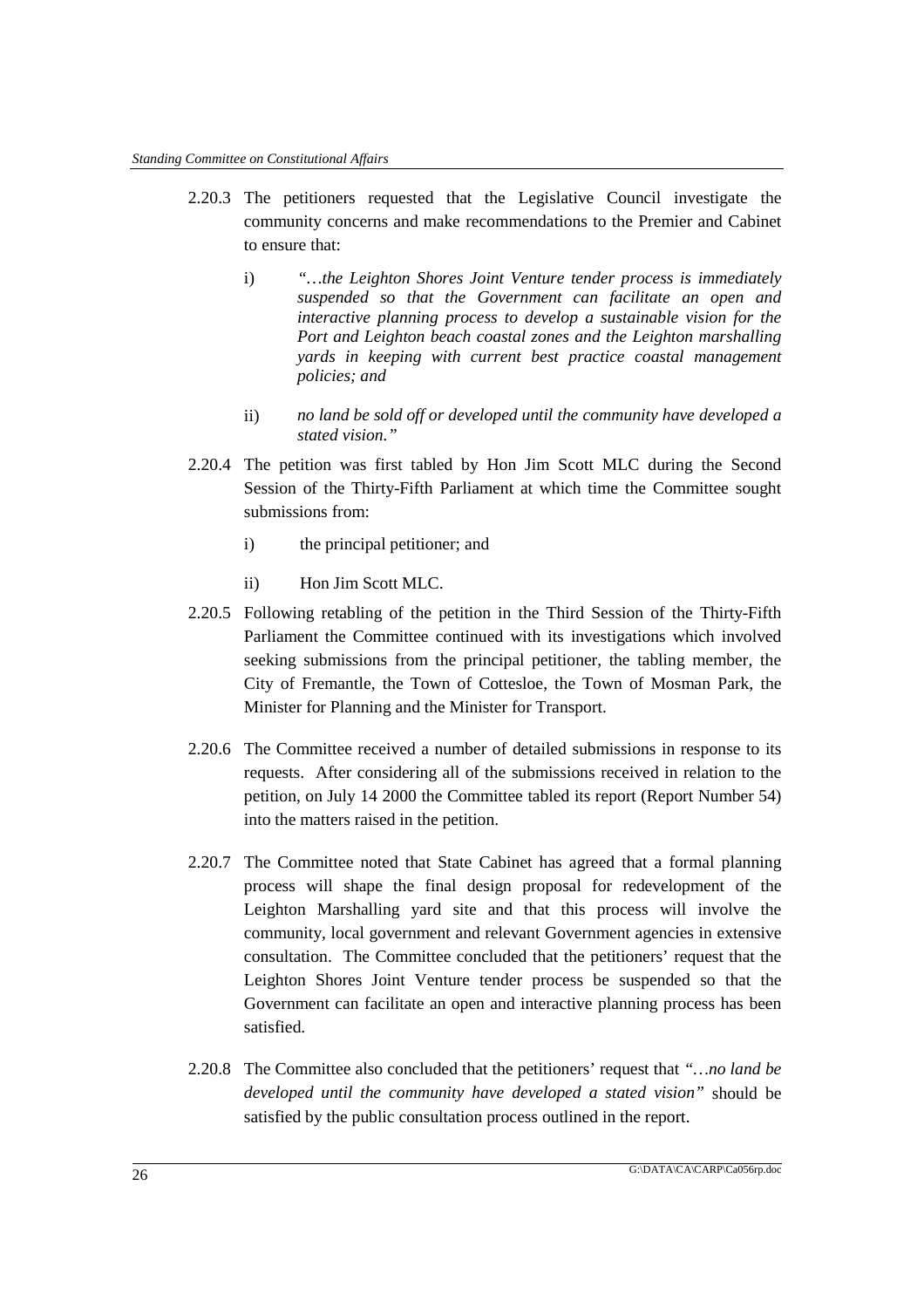- 2.20.3 The petitioners requested that the Legislative Council investigate the community concerns and make recommendations to the Premier and Cabinet to ensure that:
	- i) *"…the Leighton Shores Joint Venture tender process is immediately suspended so that the Government can facilitate an open and interactive planning process to develop a sustainable vision for the Port and Leighton beach coastal zones and the Leighton marshalling yards in keeping with current best practice coastal management policies; and*
	- ii) *no land be sold off or developed until the community have developed a stated vision."*
- 2.20.4 The petition was first tabled by Hon Jim Scott MLC during the Second Session of the Thirty-Fifth Parliament at which time the Committee sought submissions from:
	- i) the principal petitioner; and
	- ii) Hon Jim Scott MLC.
- 2.20.5 Following retabling of the petition in the Third Session of the Thirty-Fifth Parliament the Committee continued with its investigations which involved seeking submissions from the principal petitioner, the tabling member, the City of Fremantle, the Town of Cottesloe, the Town of Mosman Park, the Minister for Planning and the Minister for Transport.
- 2.20.6 The Committee received a number of detailed submissions in response to its requests. After considering all of the submissions received in relation to the petition, on July 14 2000 the Committee tabled its report (Report Number 54) into the matters raised in the petition.
- 2.20.7 The Committee noted that State Cabinet has agreed that a formal planning process will shape the final design proposal for redevelopment of the Leighton Marshalling yard site and that this process will involve the community, local government and relevant Government agencies in extensive consultation. The Committee concluded that the petitioners' request that the Leighton Shores Joint Venture tender process be suspended so that the Government can facilitate an open and interactive planning process has been satisfied.
- 2.20.8 The Committee also concluded that the petitioners' request that *"…no land be developed until the community have developed a stated vision"* should be satisfied by the public consultation process outlined in the report.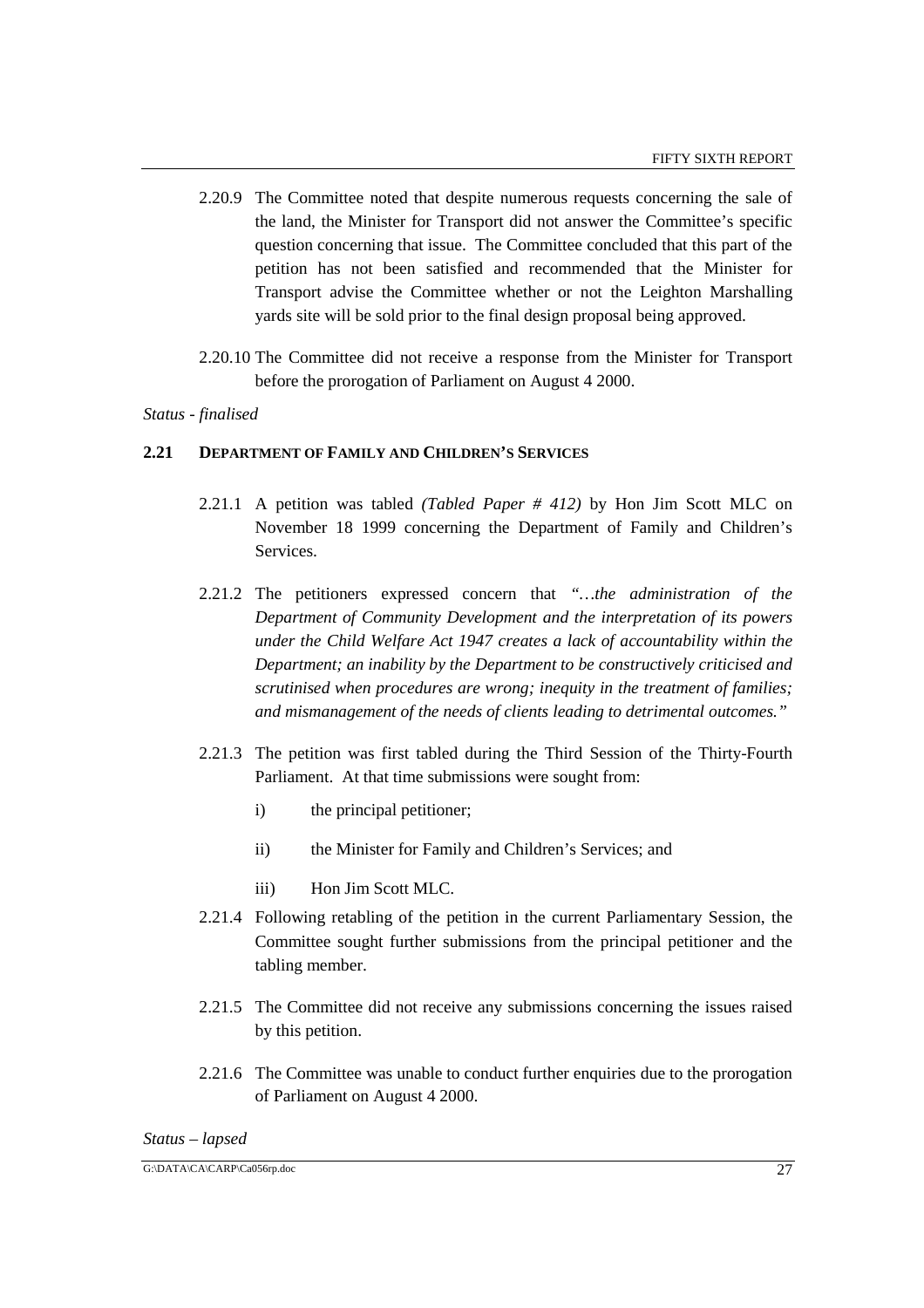- 2.20.9 The Committee noted that despite numerous requests concerning the sale of the land, the Minister for Transport did not answer the Committee's specific question concerning that issue. The Committee concluded that this part of the petition has not been satisfied and recommended that the Minister for Transport advise the Committee whether or not the Leighton Marshalling yards site will be sold prior to the final design proposal being approved.
- 2.20.10 The Committee did not receive a response from the Minister for Transport before the prorogation of Parliament on August 4 2000.

#### *Status - finalised*

#### **2.21 DEPARTMENT OF FAMILY AND CHILDREN'S SERVICES**

- 2.21.1 A petition was tabled *(Tabled Paper # 412)* by Hon Jim Scott MLC on November 18 1999 concerning the Department of Family and Children's Services.
- 2.21.2 The petitioners expressed concern that *"…the administration of the Department of Community Development and the interpretation of its powers under the Child Welfare Act 1947 creates a lack of accountability within the Department; an inability by the Department to be constructively criticised and scrutinised when procedures are wrong; inequity in the treatment of families; and mismanagement of the needs of clients leading to detrimental outcomes."*
- 2.21.3 The petition was first tabled during the Third Session of the Thirty-Fourth Parliament. At that time submissions were sought from:
	- i) the principal petitioner;
	- ii) the Minister for Family and Children's Services; and
	- iii) Hon Jim Scott MLC.
- 2.21.4 Following retabling of the petition in the current Parliamentary Session, the Committee sought further submissions from the principal petitioner and the tabling member.
- 2.21.5 The Committee did not receive any submissions concerning the issues raised by this petition.
- 2.21.6 The Committee was unable to conduct further enquiries due to the prorogation of Parliament on August 4 2000.

#### *Status – lapsed*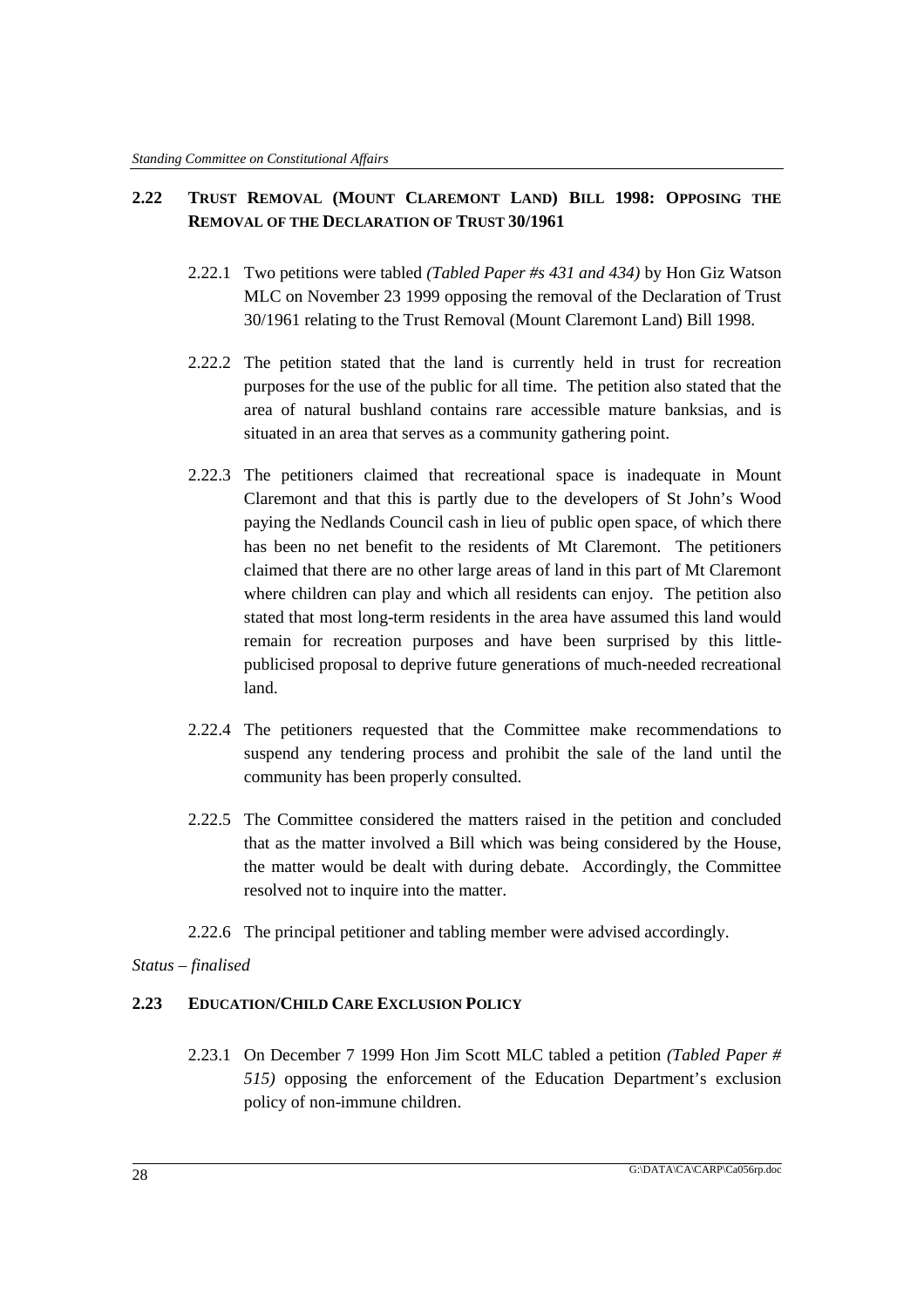# **2.22 TRUST REMOVAL (MOUNT CLAREMONT LAND) BILL 1998: OPPOSING THE REMOVAL OF THE DECLARATION OF TRUST 30/1961**

- 2.22.1 Two petitions were tabled *(Tabled Paper #s 431 and 434)* by Hon Giz Watson MLC on November 23 1999 opposing the removal of the Declaration of Trust 30/1961 relating to the Trust Removal (Mount Claremont Land) Bill 1998.
- 2.22.2 The petition stated that the land is currently held in trust for recreation purposes for the use of the public for all time. The petition also stated that the area of natural bushland contains rare accessible mature banksias, and is situated in an area that serves as a community gathering point.
- 2.22.3 The petitioners claimed that recreational space is inadequate in Mount Claremont and that this is partly due to the developers of St John's Wood paying the Nedlands Council cash in lieu of public open space, of which there has been no net benefit to the residents of Mt Claremont. The petitioners claimed that there are no other large areas of land in this part of Mt Claremont where children can play and which all residents can enjoy. The petition also stated that most long-term residents in the area have assumed this land would remain for recreation purposes and have been surprised by this littlepublicised proposal to deprive future generations of much-needed recreational land.
- 2.22.4 The petitioners requested that the Committee make recommendations to suspend any tendering process and prohibit the sale of the land until the community has been properly consulted.
- 2.22.5 The Committee considered the matters raised in the petition and concluded that as the matter involved a Bill which was being considered by the House, the matter would be dealt with during debate. Accordingly, the Committee resolved not to inquire into the matter.
- 2.22.6 The principal petitioner and tabling member were advised accordingly.

# *Status – finalised*

# **2.23 EDUCATION/CHILD CARE EXCLUSION POLICY**

2.23.1 On December 7 1999 Hon Jim Scott MLC tabled a petition *(Tabled Paper # 515)* opposing the enforcement of the Education Department's exclusion policy of non-immune children.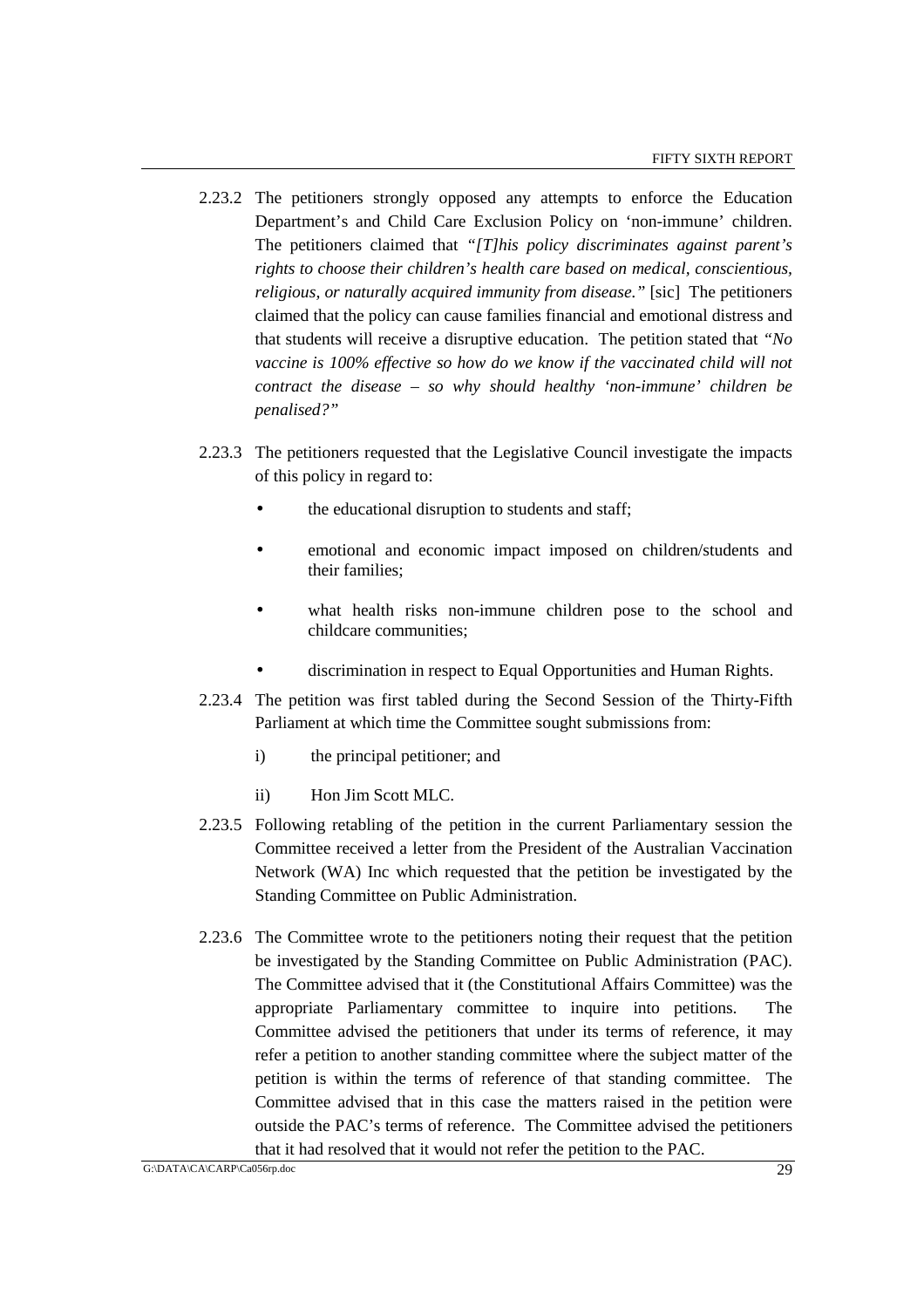- 2.23.2 The petitioners strongly opposed any attempts to enforce the Education Department's and Child Care Exclusion Policy on 'non-immune' children. The petitioners claimed that *"[T]his policy discriminates against parent's rights to choose their children's health care based on medical, conscientious, religious, or naturally acquired immunity from disease."* [sic] The petitioners claimed that the policy can cause families financial and emotional distress and that students will receive a disruptive education. The petition stated that *"No vaccine is 100% effective so how do we know if the vaccinated child will not contract the disease – so why should healthy 'non-immune' children be penalised?"*
- 2.23.3 The petitioners requested that the Legislative Council investigate the impacts of this policy in regard to:
	- the educational disruption to students and staff:
	- emotional and economic impact imposed on children/students and their families;
	- what health risks non-immune children pose to the school and childcare communities;
	- discrimination in respect to Equal Opportunities and Human Rights.
- 2.23.4 The petition was first tabled during the Second Session of the Thirty-Fifth Parliament at which time the Committee sought submissions from:
	- i) the principal petitioner; and
	- ii) Hon Jim Scott MLC.
- 2.23.5 Following retabling of the petition in the current Parliamentary session the Committee received a letter from the President of the Australian Vaccination Network (WA) Inc which requested that the petition be investigated by the Standing Committee on Public Administration.
- 2.23.6 The Committee wrote to the petitioners noting their request that the petition be investigated by the Standing Committee on Public Administration (PAC). The Committee advised that it (the Constitutional Affairs Committee) was the appropriate Parliamentary committee to inquire into petitions. The Committee advised the petitioners that under its terms of reference, it may refer a petition to another standing committee where the subject matter of the petition is within the terms of reference of that standing committee. The Committee advised that in this case the matters raised in the petition were outside the PAC's terms of reference. The Committee advised the petitioners that it had resolved that it would not refer the petition to the PAC.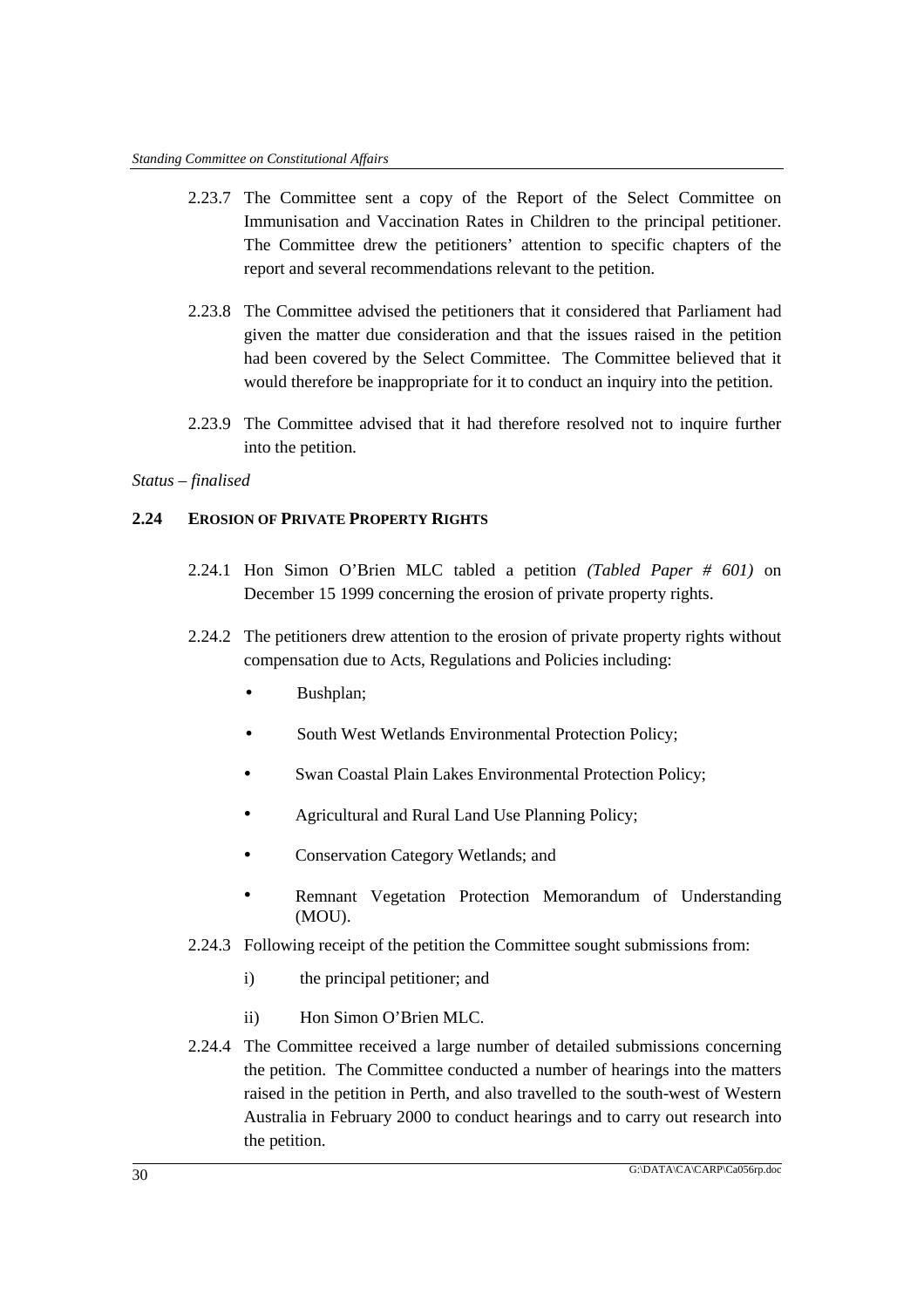- 2.23.7 The Committee sent a copy of the Report of the Select Committee on Immunisation and Vaccination Rates in Children to the principal petitioner. The Committee drew the petitioners' attention to specific chapters of the report and several recommendations relevant to the petition.
- 2.23.8 The Committee advised the petitioners that it considered that Parliament had given the matter due consideration and that the issues raised in the petition had been covered by the Select Committee. The Committee believed that it would therefore be inappropriate for it to conduct an inquiry into the petition.
- 2.23.9 The Committee advised that it had therefore resolved not to inquire further into the petition.

### *Status – finalised*

# **2.24 EROSION OF PRIVATE PROPERTY RIGHTS**

- 2.24.1 Hon Simon O'Brien MLC tabled a petition *(Tabled Paper # 601)* on December 15 1999 concerning the erosion of private property rights.
- 2.24.2 The petitioners drew attention to the erosion of private property rights without compensation due to Acts, Regulations and Policies including:
	- Bushplan;
	- South West Wetlands Environmental Protection Policy;
	- Swan Coastal Plain Lakes Environmental Protection Policy;
	- Agricultural and Rural Land Use Planning Policy;
	- Conservation Category Wetlands; and
	- Remnant Vegetation Protection Memorandum of Understanding (MOU).
- 2.24.3 Following receipt of the petition the Committee sought submissions from:
	- i) the principal petitioner; and
	- ii) Hon Simon O'Brien MLC.
- 2.24.4 The Committee received a large number of detailed submissions concerning the petition. The Committee conducted a number of hearings into the matters raised in the petition in Perth, and also travelled to the south-west of Western Australia in February 2000 to conduct hearings and to carry out research into the petition.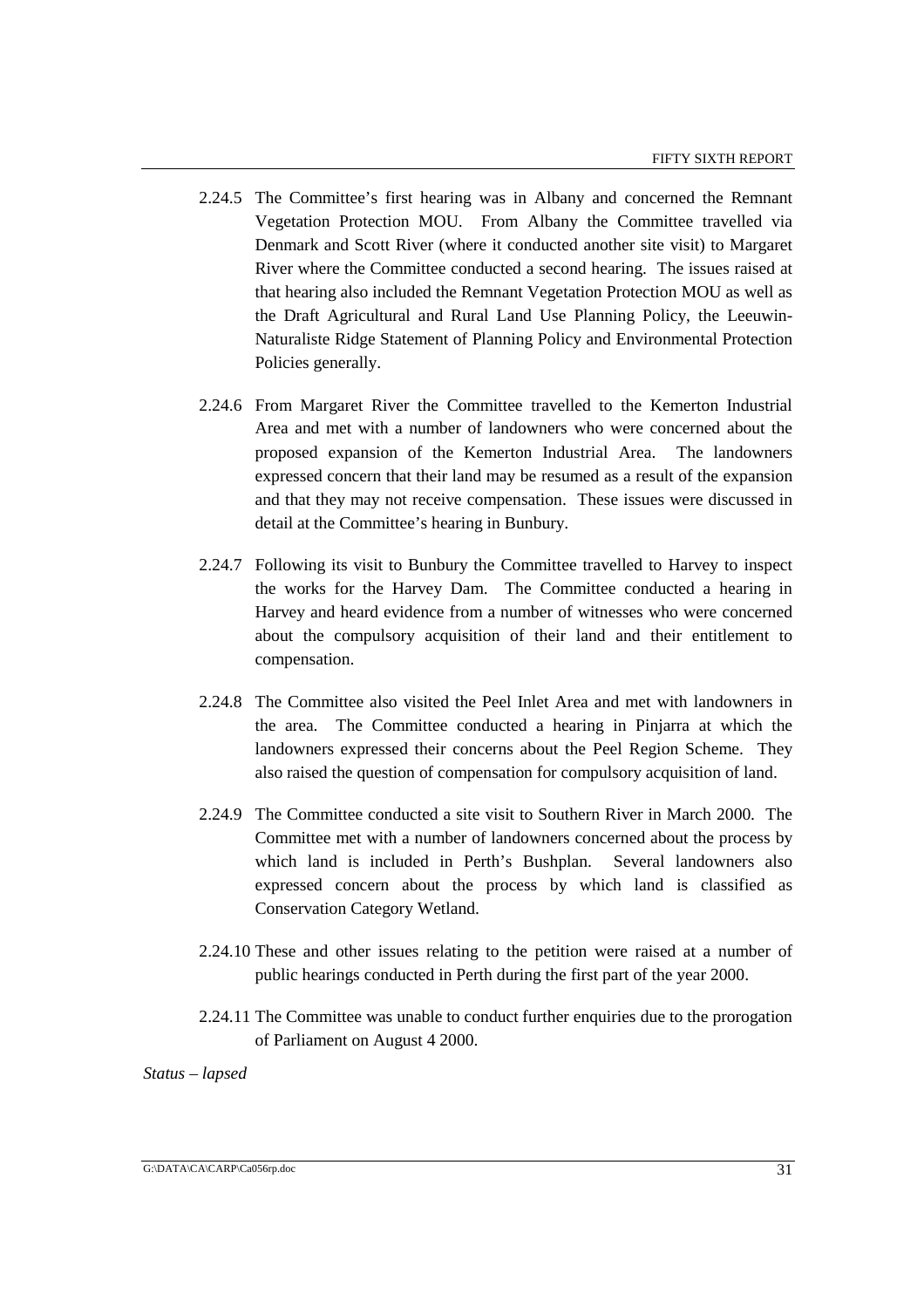- 2.24.5 The Committee's first hearing was in Albany and concerned the Remnant Vegetation Protection MOU. From Albany the Committee travelled via Denmark and Scott River (where it conducted another site visit) to Margaret River where the Committee conducted a second hearing. The issues raised at that hearing also included the Remnant Vegetation Protection MOU as well as the Draft Agricultural and Rural Land Use Planning Policy, the Leeuwin-Naturaliste Ridge Statement of Planning Policy and Environmental Protection Policies generally.
- 2.24.6 From Margaret River the Committee travelled to the Kemerton Industrial Area and met with a number of landowners who were concerned about the proposed expansion of the Kemerton Industrial Area. The landowners expressed concern that their land may be resumed as a result of the expansion and that they may not receive compensation. These issues were discussed in detail at the Committee's hearing in Bunbury.
- 2.24.7 Following its visit to Bunbury the Committee travelled to Harvey to inspect the works for the Harvey Dam. The Committee conducted a hearing in Harvey and heard evidence from a number of witnesses who were concerned about the compulsory acquisition of their land and their entitlement to compensation.
- 2.24.8 The Committee also visited the Peel Inlet Area and met with landowners in the area. The Committee conducted a hearing in Pinjarra at which the landowners expressed their concerns about the Peel Region Scheme. They also raised the question of compensation for compulsory acquisition of land.
- 2.24.9 The Committee conducted a site visit to Southern River in March 2000. The Committee met with a number of landowners concerned about the process by which land is included in Perth's Bushplan. Several landowners also expressed concern about the process by which land is classified as Conservation Category Wetland.
- 2.24.10 These and other issues relating to the petition were raised at a number of public hearings conducted in Perth during the first part of the year 2000.
- 2.24.11 The Committee was unable to conduct further enquiries due to the prorogation of Parliament on August 4 2000.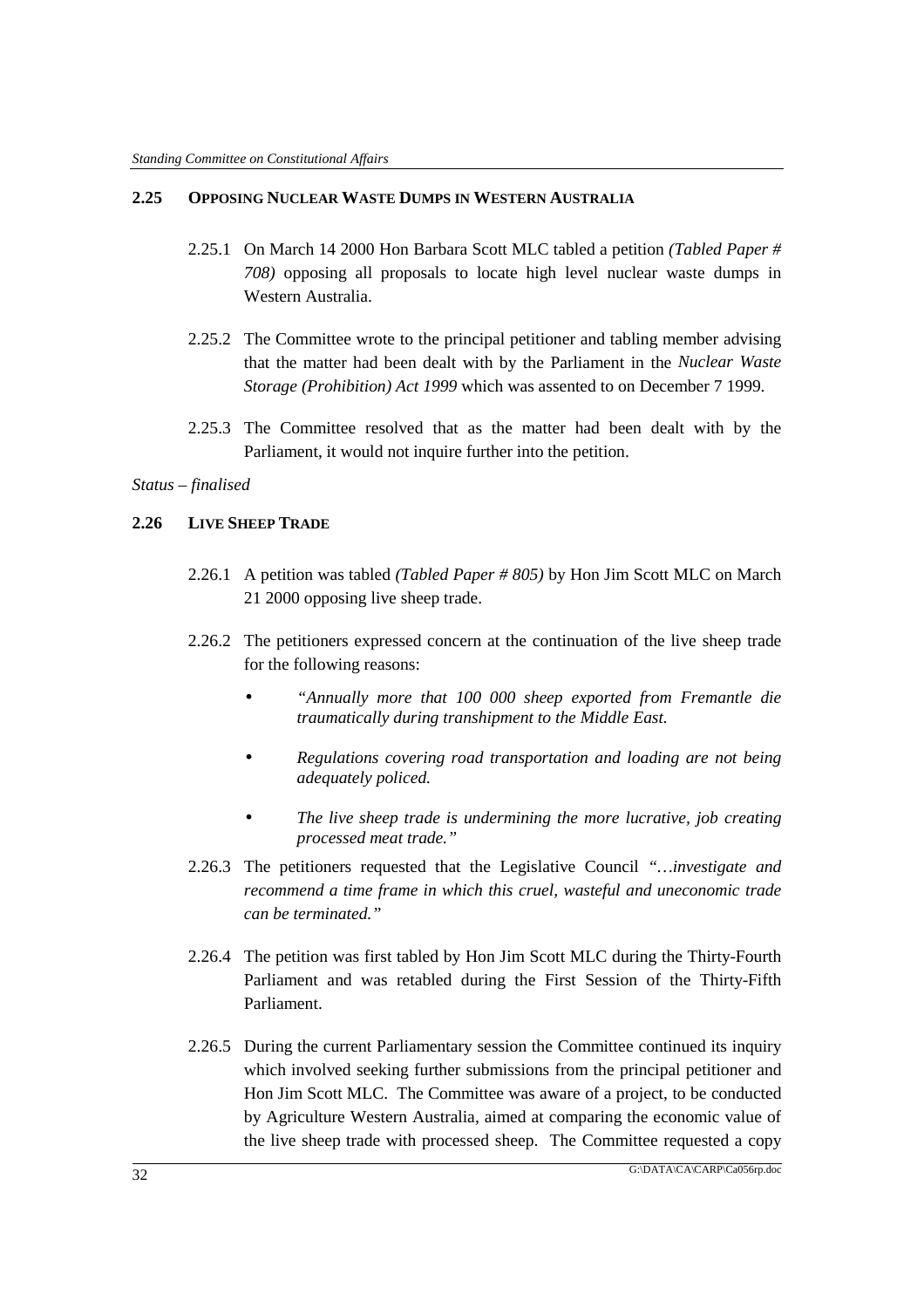### **2.25 OPPOSING NUCLEAR WASTE DUMPS IN WESTERN AUSTRALIA**

- 2.25.1 On March 14 2000 Hon Barbara Scott MLC tabled a petition *(Tabled Paper # 708)* opposing all proposals to locate high level nuclear waste dumps in Western Australia.
- 2.25.2 The Committee wrote to the principal petitioner and tabling member advising that the matter had been dealt with by the Parliament in the *Nuclear Waste Storage (Prohibition) Act 1999* which was assented to on December 7 1999.
- 2.25.3 The Committee resolved that as the matter had been dealt with by the Parliament, it would not inquire further into the petition.

# *Status – finalised*

# **2.26 LIVE SHEEP TRADE**

- 2.26.1 A petition was tabled *(Tabled Paper # 805)* by Hon Jim Scott MLC on March 21 2000 opposing live sheep trade.
- 2.26.2 The petitioners expressed concern at the continuation of the live sheep trade for the following reasons:
	- *"Annually more that 100 000 sheep exported from Fremantle die traumatically during transhipment to the Middle East.*
	- *Regulations covering road transportation and loading are not being adequately policed.*
	- *The live sheep trade is undermining the more lucrative, job creating processed meat trade."*
- 2.26.3 The petitioners requested that the Legislative Council *"…investigate and recommend a time frame in which this cruel, wasteful and uneconomic trade can be terminated."*
- 2.26.4 The petition was first tabled by Hon Jim Scott MLC during the Thirty-Fourth Parliament and was retabled during the First Session of the Thirty-Fifth Parliament.
- 2.26.5 During the current Parliamentary session the Committee continued its inquiry which involved seeking further submissions from the principal petitioner and Hon Jim Scott MLC. The Committee was aware of a project, to be conducted by Agriculture Western Australia, aimed at comparing the economic value of the live sheep trade with processed sheep. The Committee requested a copy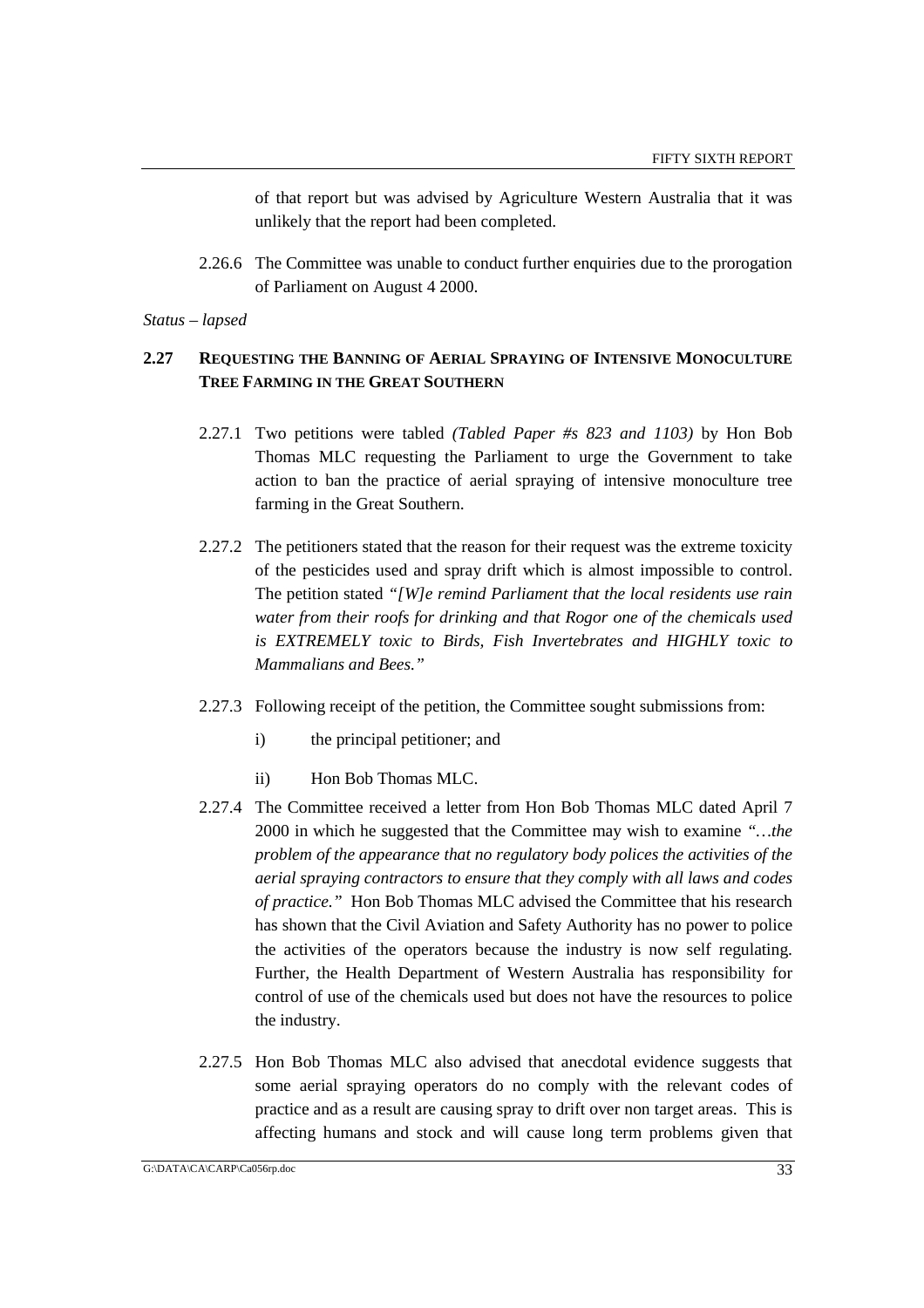of that report but was advised by Agriculture Western Australia that it was unlikely that the report had been completed.

2.26.6 The Committee was unable to conduct further enquiries due to the prorogation of Parliament on August 4 2000.

*Status – lapsed*

# **2.27 REQUESTING THE BANNING OF AERIAL SPRAYING OF INTENSIVE MONOCULTURE TREE FARMING IN THE GREAT SOUTHERN**

- 2.27.1 Two petitions were tabled *(Tabled Paper #s 823 and 1103)* by Hon Bob Thomas MLC requesting the Parliament to urge the Government to take action to ban the practice of aerial spraying of intensive monoculture tree farming in the Great Southern.
- 2.27.2 The petitioners stated that the reason for their request was the extreme toxicity of the pesticides used and spray drift which is almost impossible to control. The petition stated *"[W]e remind Parliament that the local residents use rain water from their roofs for drinking and that Rogor one of the chemicals used is EXTREMELY toxic to Birds, Fish Invertebrates and HIGHLY toxic to Mammalians and Bees."*
- 2.27.3 Following receipt of the petition, the Committee sought submissions from:
	- i) the principal petitioner; and
	- ii) Hon Bob Thomas MLC.
- 2.27.4 The Committee received a letter from Hon Bob Thomas MLC dated April 7 2000 in which he suggested that the Committee may wish to examine *"…the problem of the appearance that no regulatory body polices the activities of the aerial spraying contractors to ensure that they comply with all laws and codes of practice."* Hon Bob Thomas MLC advised the Committee that his research has shown that the Civil Aviation and Safety Authority has no power to police the activities of the operators because the industry is now self regulating. Further, the Health Department of Western Australia has responsibility for control of use of the chemicals used but does not have the resources to police the industry.
- 2.27.5 Hon Bob Thomas MLC also advised that anecdotal evidence suggests that some aerial spraying operators do no comply with the relevant codes of practice and as a result are causing spray to drift over non target areas. This is affecting humans and stock and will cause long term problems given that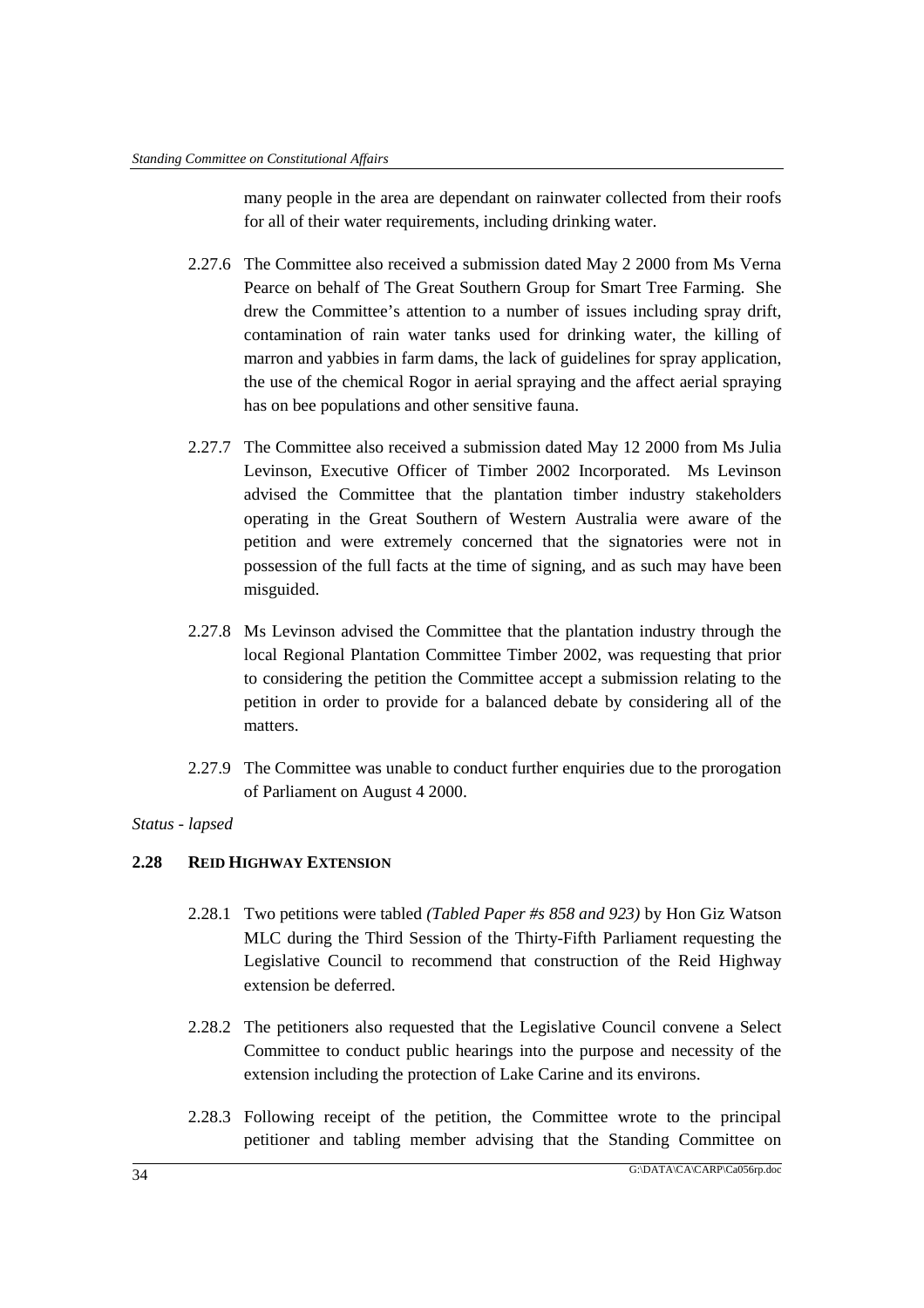many people in the area are dependant on rainwater collected from their roofs for all of their water requirements, including drinking water.

- 2.27.6 The Committee also received a submission dated May 2 2000 from Ms Verna Pearce on behalf of The Great Southern Group for Smart Tree Farming. She drew the Committee's attention to a number of issues including spray drift, contamination of rain water tanks used for drinking water, the killing of marron and yabbies in farm dams, the lack of guidelines for spray application, the use of the chemical Rogor in aerial spraying and the affect aerial spraying has on bee populations and other sensitive fauna.
- 2.27.7 The Committee also received a submission dated May 12 2000 from Ms Julia Levinson, Executive Officer of Timber 2002 Incorporated. Ms Levinson advised the Committee that the plantation timber industry stakeholders operating in the Great Southern of Western Australia were aware of the petition and were extremely concerned that the signatories were not in possession of the full facts at the time of signing, and as such may have been misguided.
- 2.27.8 Ms Levinson advised the Committee that the plantation industry through the local Regional Plantation Committee Timber 2002, was requesting that prior to considering the petition the Committee accept a submission relating to the petition in order to provide for a balanced debate by considering all of the matters.
- 2.27.9 The Committee was unable to conduct further enquiries due to the prorogation of Parliament on August 4 2000.

### *Status - lapsed*

# **2.28 REID HIGHWAY EXTENSION**

- 2.28.1 Two petitions were tabled *(Tabled Paper #s 858 and 923)* by Hon Giz Watson MLC during the Third Session of the Thirty-Fifth Parliament requesting the Legislative Council to recommend that construction of the Reid Highway extension be deferred.
- 2.28.2 The petitioners also requested that the Legislative Council convene a Select Committee to conduct public hearings into the purpose and necessity of the extension including the protection of Lake Carine and its environs.
- 2.28.3 Following receipt of the petition, the Committee wrote to the principal petitioner and tabling member advising that the Standing Committee on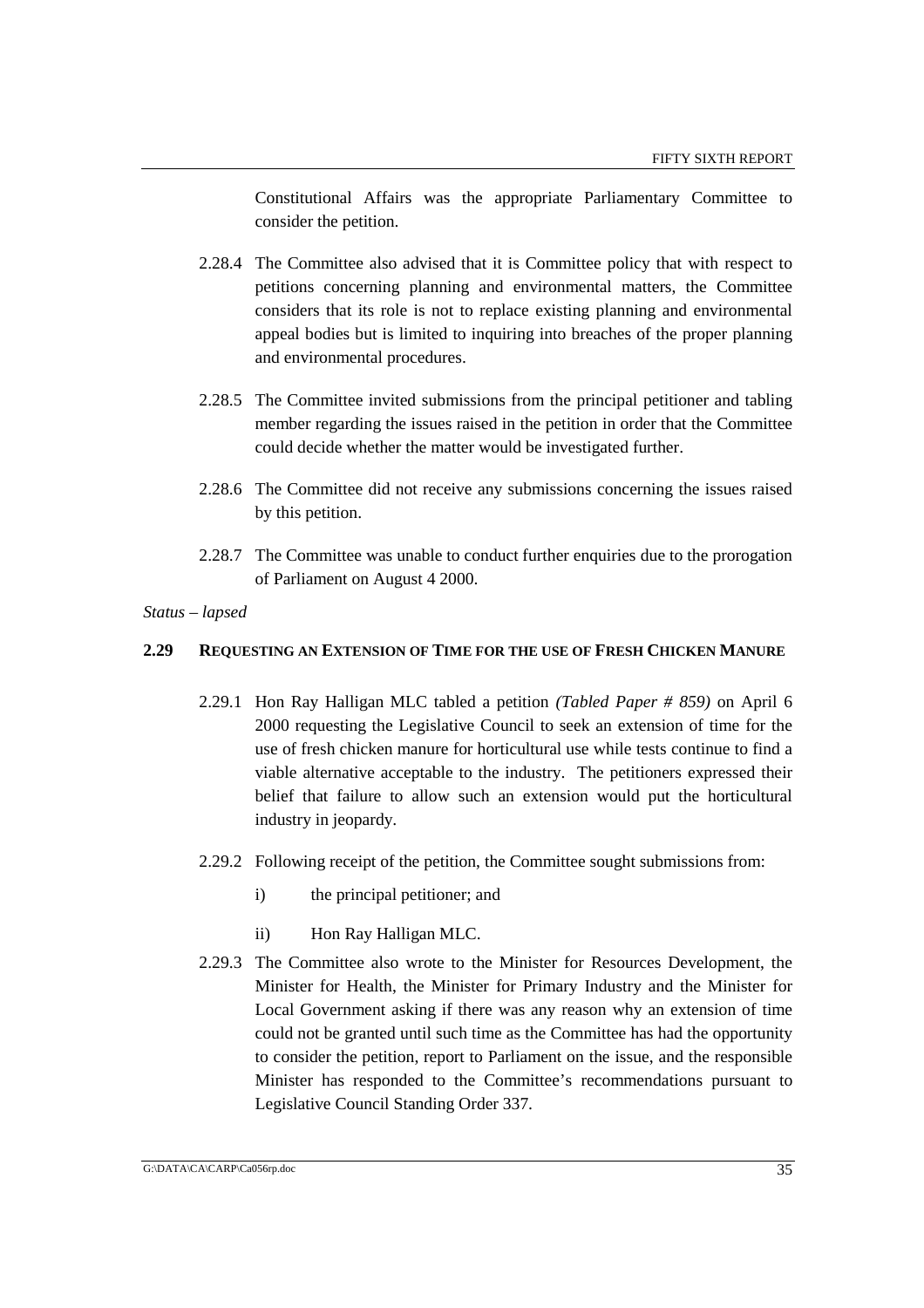Constitutional Affairs was the appropriate Parliamentary Committee to consider the petition.

- 2.28.4 The Committee also advised that it is Committee policy that with respect to petitions concerning planning and environmental matters, the Committee considers that its role is not to replace existing planning and environmental appeal bodies but is limited to inquiring into breaches of the proper planning and environmental procedures.
- 2.28.5 The Committee invited submissions from the principal petitioner and tabling member regarding the issues raised in the petition in order that the Committee could decide whether the matter would be investigated further.
- 2.28.6 The Committee did not receive any submissions concerning the issues raised by this petition.
- 2.28.7 The Committee was unable to conduct further enquiries due to the prorogation of Parliament on August 4 2000.

#### *Status – lapsed*

#### **2.29 REQUESTING AN EXTENSION OF TIME FOR THE USE OF FRESH CHICKEN MANURE**

- 2.29.1 Hon Ray Halligan MLC tabled a petition *(Tabled Paper # 859)* on April 6 2000 requesting the Legislative Council to seek an extension of time for the use of fresh chicken manure for horticultural use while tests continue to find a viable alternative acceptable to the industry. The petitioners expressed their belief that failure to allow such an extension would put the horticultural industry in jeopardy.
- 2.29.2 Following receipt of the petition, the Committee sought submissions from:
	- i) the principal petitioner; and
	- ii) Hon Ray Halligan MLC.
- 2.29.3 The Committee also wrote to the Minister for Resources Development, the Minister for Health, the Minister for Primary Industry and the Minister for Local Government asking if there was any reason why an extension of time could not be granted until such time as the Committee has had the opportunity to consider the petition, report to Parliament on the issue, and the responsible Minister has responded to the Committee's recommendations pursuant to Legislative Council Standing Order 337.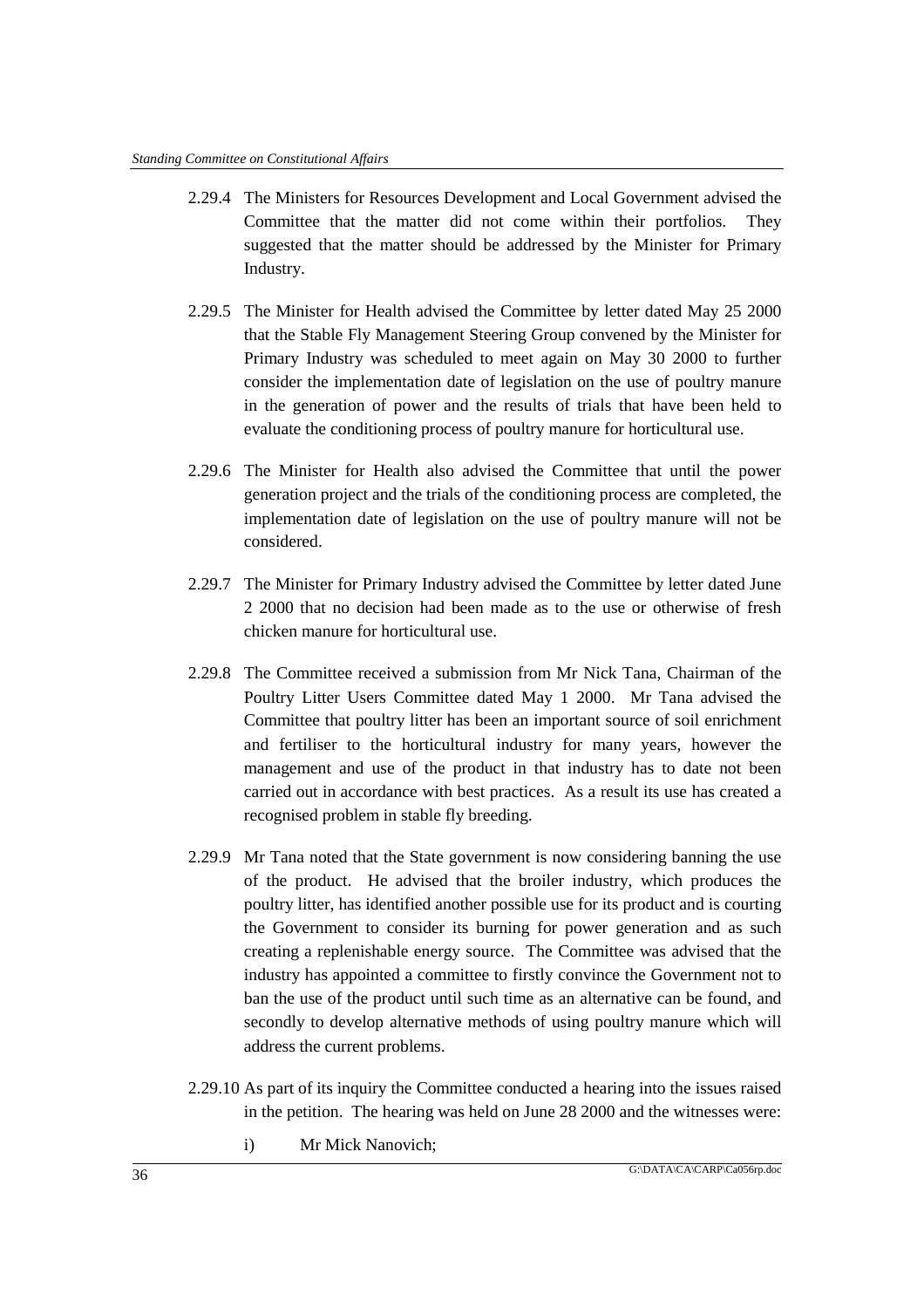- 2.29.4 The Ministers for Resources Development and Local Government advised the Committee that the matter did not come within their portfolios. They suggested that the matter should be addressed by the Minister for Primary Industry.
- 2.29.5 The Minister for Health advised the Committee by letter dated May 25 2000 that the Stable Fly Management Steering Group convened by the Minister for Primary Industry was scheduled to meet again on May 30 2000 to further consider the implementation date of legislation on the use of poultry manure in the generation of power and the results of trials that have been held to evaluate the conditioning process of poultry manure for horticultural use.
- 2.29.6 The Minister for Health also advised the Committee that until the power generation project and the trials of the conditioning process are completed, the implementation date of legislation on the use of poultry manure will not be considered.
- 2.29.7 The Minister for Primary Industry advised the Committee by letter dated June 2 2000 that no decision had been made as to the use or otherwise of fresh chicken manure for horticultural use.
- 2.29.8 The Committee received a submission from Mr Nick Tana, Chairman of the Poultry Litter Users Committee dated May 1 2000. Mr Tana advised the Committee that poultry litter has been an important source of soil enrichment and fertiliser to the horticultural industry for many years, however the management and use of the product in that industry has to date not been carried out in accordance with best practices. As a result its use has created a recognised problem in stable fly breeding.
- 2.29.9 Mr Tana noted that the State government is now considering banning the use of the product. He advised that the broiler industry, which produces the poultry litter, has identified another possible use for its product and is courting the Government to consider its burning for power generation and as such creating a replenishable energy source. The Committee was advised that the industry has appointed a committee to firstly convince the Government not to ban the use of the product until such time as an alternative can be found, and secondly to develop alternative methods of using poultry manure which will address the current problems.
- 2.29.10 As part of its inquiry the Committee conducted a hearing into the issues raised in the petition. The hearing was held on June 28 2000 and the witnesses were:
	- i) Mr Mick Nanovich;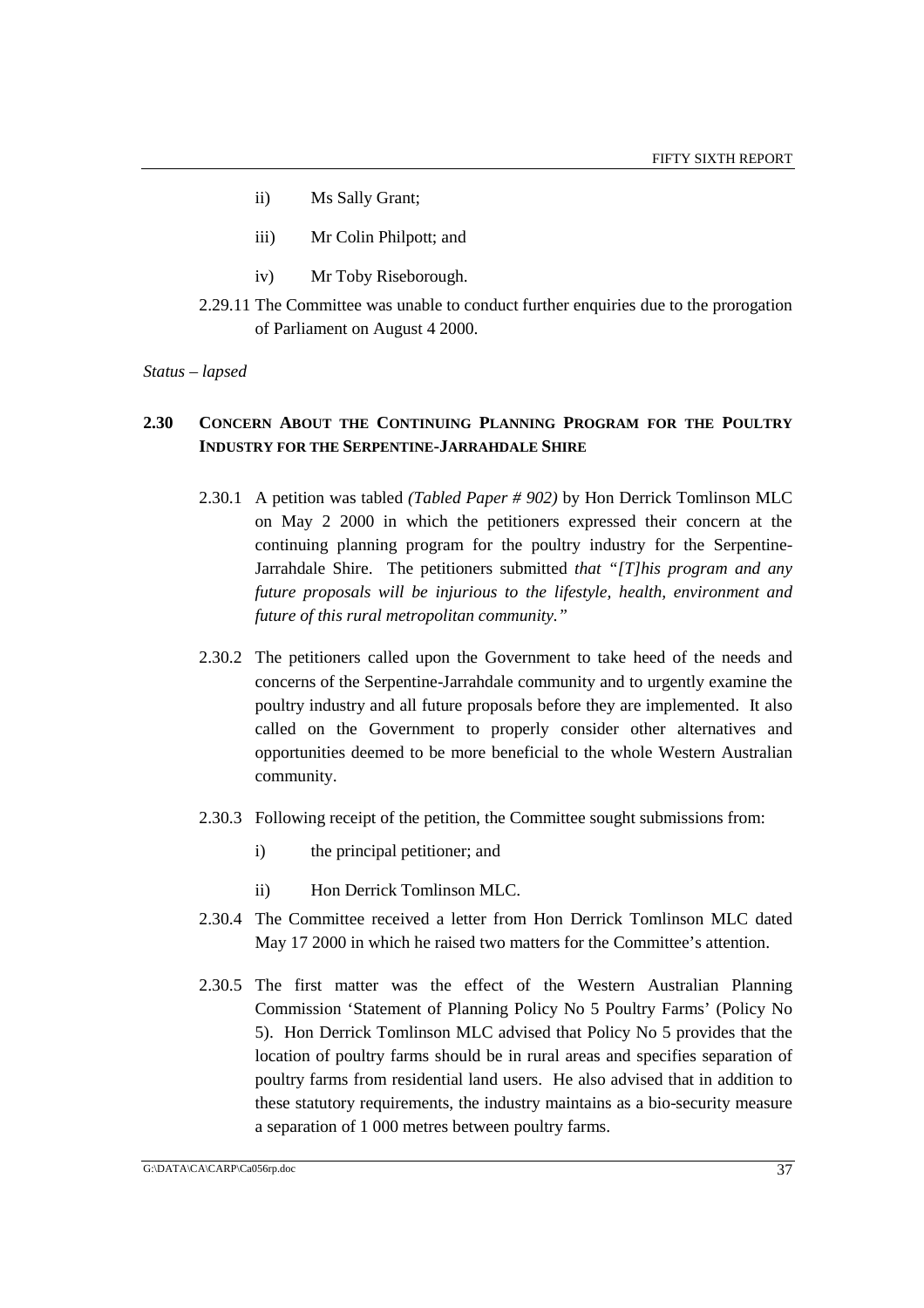- ii) Ms Sally Grant;
- iii) Mr Colin Philpott; and
- iv) Mr Toby Riseborough.
- 2.29.11 The Committee was unable to conduct further enquiries due to the prorogation of Parliament on August 4 2000.

# **2.30 CONCERN ABOUT THE CONTINUING PLANNING PROGRAM FOR THE POULTRY INDUSTRY FOR THE SERPENTINE-JARRAHDALE SHIRE**

- 2.30.1 A petition was tabled *(Tabled Paper # 902)* by Hon Derrick Tomlinson MLC on May 2 2000 in which the petitioners expressed their concern at the continuing planning program for the poultry industry for the Serpentine-Jarrahdale Shire. The petitioners submitted *that "[T]his program and any future proposals will be injurious to the lifestyle, health, environment and future of this rural metropolitan community."*
- 2.30.2 The petitioners called upon the Government to take heed of the needs and concerns of the Serpentine-Jarrahdale community and to urgently examine the poultry industry and all future proposals before they are implemented. It also called on the Government to properly consider other alternatives and opportunities deemed to be more beneficial to the whole Western Australian community.
- 2.30.3 Following receipt of the petition, the Committee sought submissions from:
	- i) the principal petitioner; and
	- ii) Hon Derrick Tomlinson MLC.
- 2.30.4 The Committee received a letter from Hon Derrick Tomlinson MLC dated May 17 2000 in which he raised two matters for the Committee's attention.
- 2.30.5 The first matter was the effect of the Western Australian Planning Commission 'Statement of Planning Policy No 5 Poultry Farms' (Policy No 5). Hon Derrick Tomlinson MLC advised that Policy No 5 provides that the location of poultry farms should be in rural areas and specifies separation of poultry farms from residential land users. He also advised that in addition to these statutory requirements, the industry maintains as a bio-security measure a separation of 1 000 metres between poultry farms.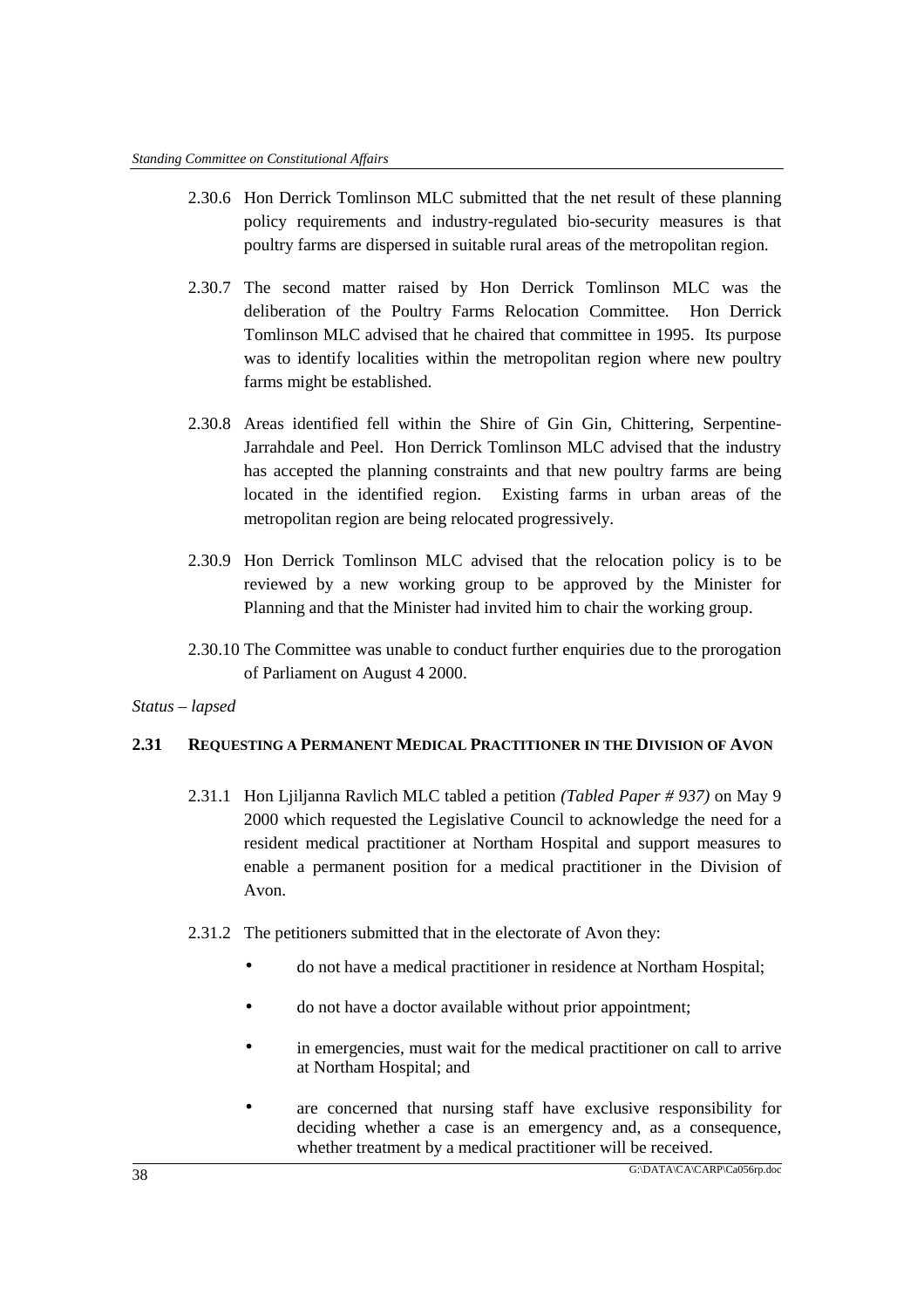- 2.30.6 Hon Derrick Tomlinson MLC submitted that the net result of these planning policy requirements and industry-regulated bio-security measures is that poultry farms are dispersed in suitable rural areas of the metropolitan region.
- 2.30.7 The second matter raised by Hon Derrick Tomlinson MLC was the deliberation of the Poultry Farms Relocation Committee. Hon Derrick Tomlinson MLC advised that he chaired that committee in 1995. Its purpose was to identify localities within the metropolitan region where new poultry farms might be established.
- 2.30.8 Areas identified fell within the Shire of Gin Gin, Chittering, Serpentine-Jarrahdale and Peel. Hon Derrick Tomlinson MLC advised that the industry has accepted the planning constraints and that new poultry farms are being located in the identified region. Existing farms in urban areas of the metropolitan region are being relocated progressively.
- 2.30.9 Hon Derrick Tomlinson MLC advised that the relocation policy is to be reviewed by a new working group to be approved by the Minister for Planning and that the Minister had invited him to chair the working group.
- 2.30.10 The Committee was unable to conduct further enquiries due to the prorogation of Parliament on August 4 2000.

# **2.31 REQUESTING A PERMANENT MEDICAL PRACTITIONER IN THE DIVISION OF AVON**

- 2.31.1 Hon Ljiljanna Ravlich MLC tabled a petition *(Tabled Paper # 937)* on May 9 2000 which requested the Legislative Council to acknowledge the need for a resident medical practitioner at Northam Hospital and support measures to enable a permanent position for a medical practitioner in the Division of Avon.
- 2.31.2 The petitioners submitted that in the electorate of Avon they:
	- do not have a medical practitioner in residence at Northam Hospital;
	- do not have a doctor available without prior appointment;
	- in emergencies, must wait for the medical practitioner on call to arrive at Northam Hospital; and
	- are concerned that nursing staff have exclusive responsibility for deciding whether a case is an emergency and, as a consequence, whether treatment by a medical practitioner will be received.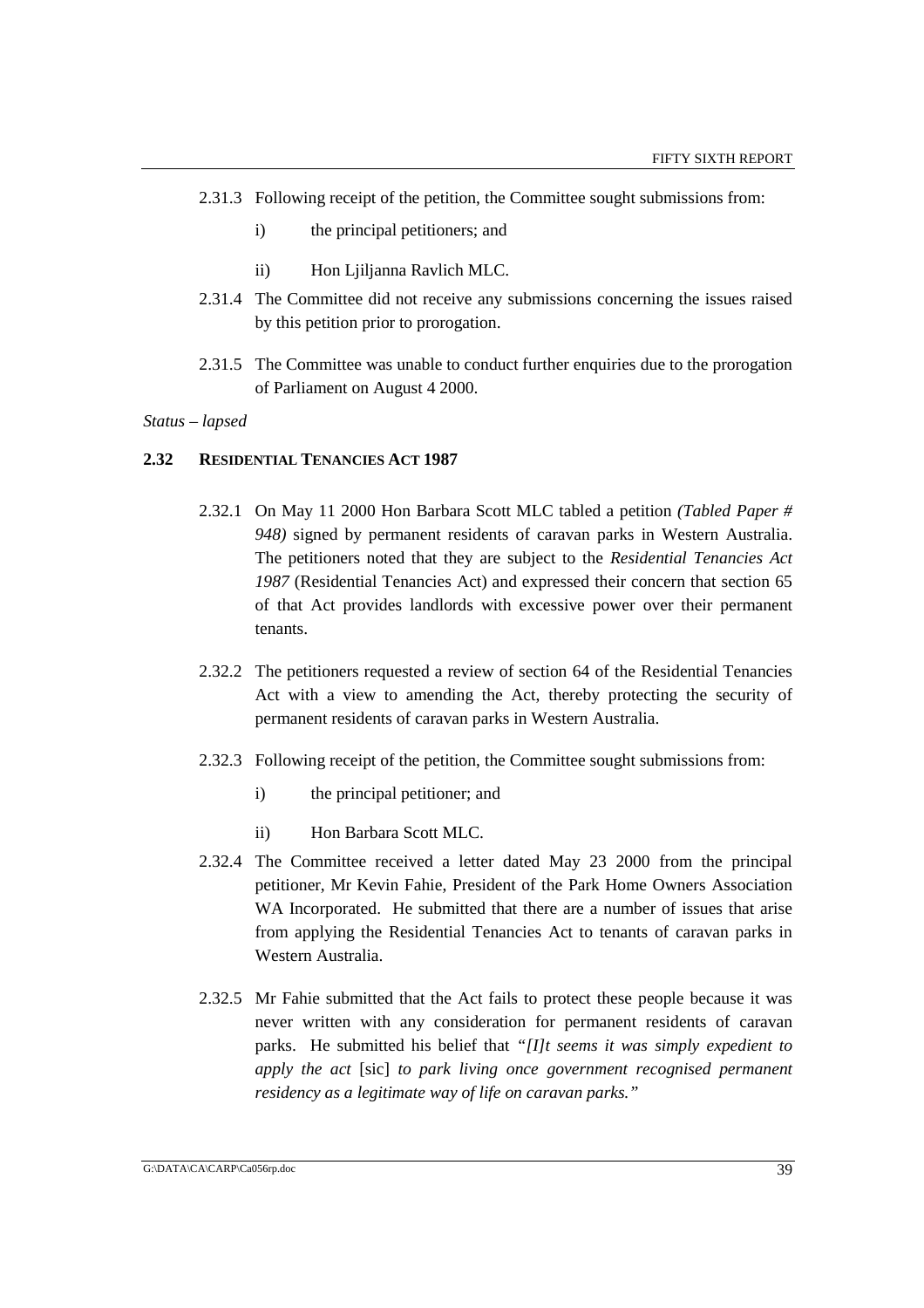- 2.31.3 Following receipt of the petition, the Committee sought submissions from:
	- i) the principal petitioners; and
	- ii) Hon Ljiljanna Ravlich MLC.
- 2.31.4 The Committee did not receive any submissions concerning the issues raised by this petition prior to prorogation.
- 2.31.5 The Committee was unable to conduct further enquiries due to the prorogation of Parliament on August 4 2000.

### **2.32 RESIDENTIAL TENANCIES ACT 1987**

- 2.32.1 On May 11 2000 Hon Barbara Scott MLC tabled a petition *(Tabled Paper # 948)* signed by permanent residents of caravan parks in Western Australia. The petitioners noted that they are subject to the *Residential Tenancies Act 1987* (Residential Tenancies Act) and expressed their concern that section 65 of that Act provides landlords with excessive power over their permanent tenants.
- 2.32.2 The petitioners requested a review of section 64 of the Residential Tenancies Act with a view to amending the Act, thereby protecting the security of permanent residents of caravan parks in Western Australia.
- 2.32.3 Following receipt of the petition, the Committee sought submissions from:
	- i) the principal petitioner; and
	- ii) Hon Barbara Scott MLC.
- 2.32.4 The Committee received a letter dated May 23 2000 from the principal petitioner, Mr Kevin Fahie, President of the Park Home Owners Association WA Incorporated. He submitted that there are a number of issues that arise from applying the Residential Tenancies Act to tenants of caravan parks in Western Australia.
- 2.32.5 Mr Fahie submitted that the Act fails to protect these people because it was never written with any consideration for permanent residents of caravan parks. He submitted his belief that *"[I]t seems it was simply expedient to apply the act* [sic] *to park living once government recognised permanent residency as a legitimate way of life on caravan parks."*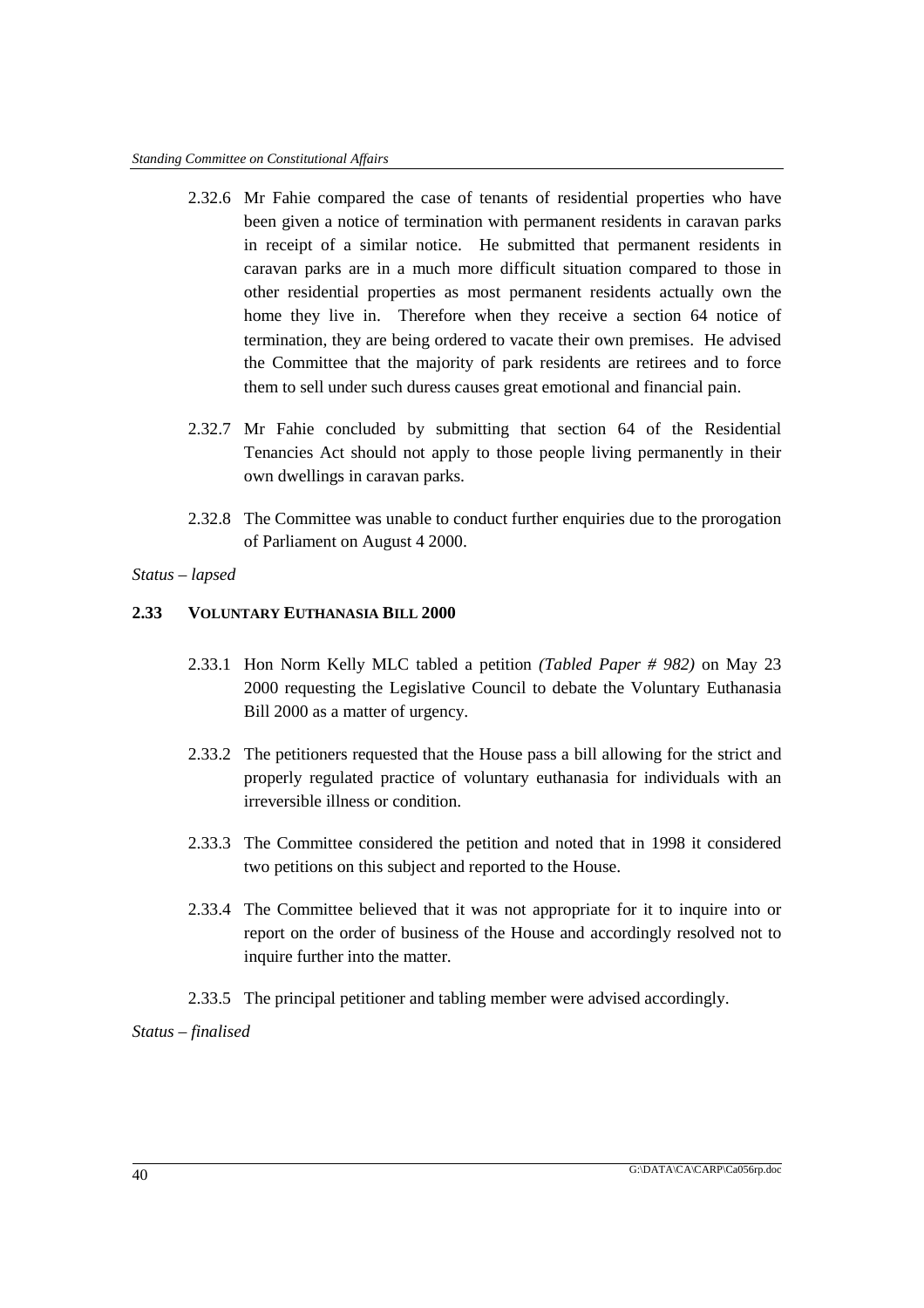- 2.32.6 Mr Fahie compared the case of tenants of residential properties who have been given a notice of termination with permanent residents in caravan parks in receipt of a similar notice. He submitted that permanent residents in caravan parks are in a much more difficult situation compared to those in other residential properties as most permanent residents actually own the home they live in. Therefore when they receive a section 64 notice of termination, they are being ordered to vacate their own premises. He advised the Committee that the majority of park residents are retirees and to force them to sell under such duress causes great emotional and financial pain.
- 2.32.7 Mr Fahie concluded by submitting that section 64 of the Residential Tenancies Act should not apply to those people living permanently in their own dwellings in caravan parks.
- 2.32.8 The Committee was unable to conduct further enquiries due to the prorogation of Parliament on August 4 2000.
- *Status lapsed*

# **2.33 VOLUNTARY EUTHANASIA BILL 2000**

- 2.33.1 Hon Norm Kelly MLC tabled a petition *(Tabled Paper # 982)* on May 23 2000 requesting the Legislative Council to debate the Voluntary Euthanasia Bill 2000 as a matter of urgency.
- 2.33.2 The petitioners requested that the House pass a bill allowing for the strict and properly regulated practice of voluntary euthanasia for individuals with an irreversible illness or condition.
- 2.33.3 The Committee considered the petition and noted that in 1998 it considered two petitions on this subject and reported to the House.
- 2.33.4 The Committee believed that it was not appropriate for it to inquire into or report on the order of business of the House and accordingly resolved not to inquire further into the matter.
- 2.33.5 The principal petitioner and tabling member were advised accordingly.

*Status – finalised*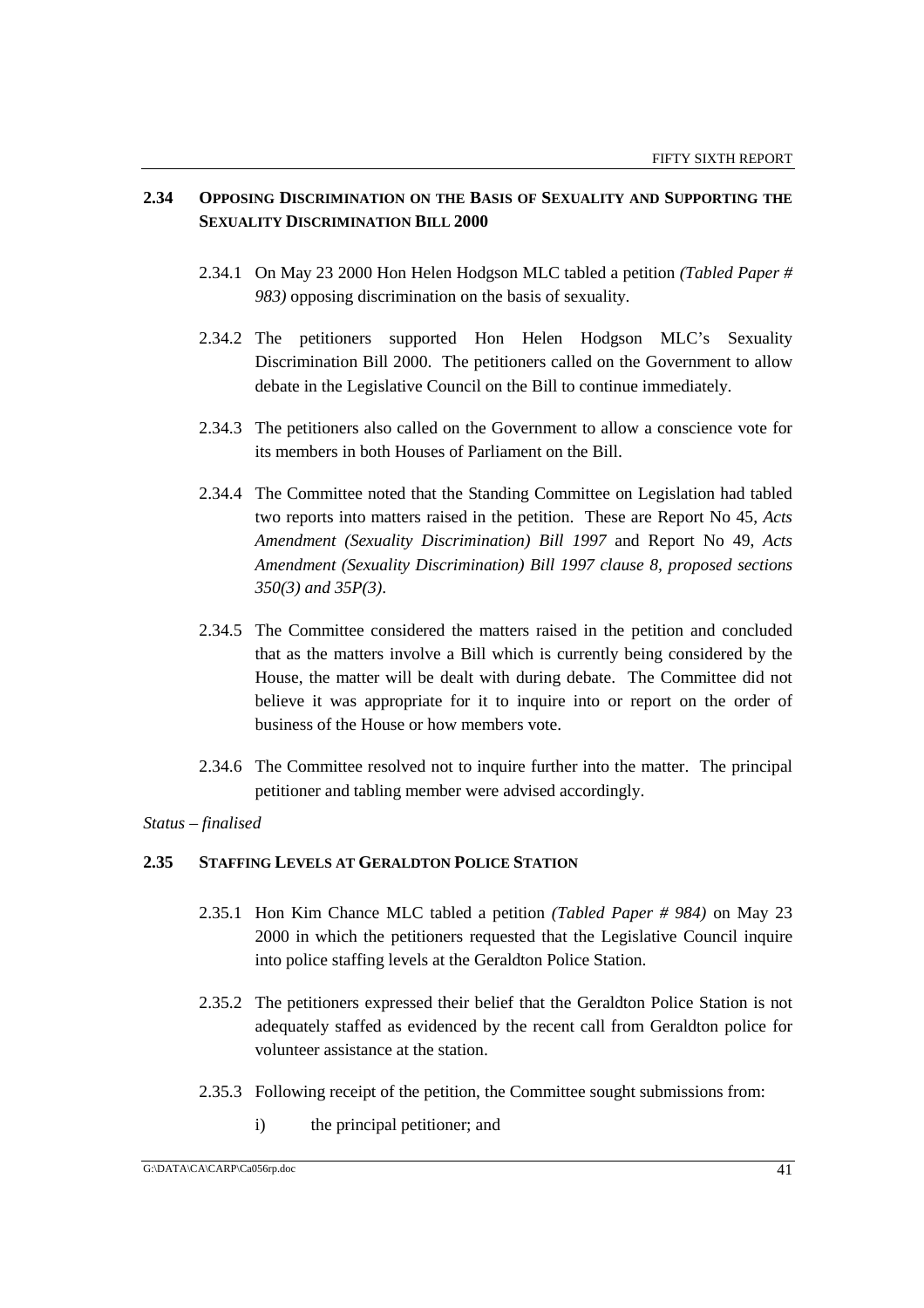# **2.34 OPPOSING DISCRIMINATION ON THE BASIS OF SEXUALITY AND SUPPORTING THE SEXUALITY DISCRIMINATION BILL 2000**

- 2.34.1 On May 23 2000 Hon Helen Hodgson MLC tabled a petition *(Tabled Paper # 983)* opposing discrimination on the basis of sexuality.
- 2.34.2 The petitioners supported Hon Helen Hodgson MLC's Sexuality Discrimination Bill 2000. The petitioners called on the Government to allow debate in the Legislative Council on the Bill to continue immediately.
- 2.34.3 The petitioners also called on the Government to allow a conscience vote for its members in both Houses of Parliament on the Bill.
- 2.34.4 The Committee noted that the Standing Committee on Legislation had tabled two reports into matters raised in the petition. These are Report No 45, *Acts Amendment (Sexuality Discrimination) Bill 1997* and Report No 49, *Acts Amendment (Sexuality Discrimination) Bill 1997 clause 8, proposed sections 350(3) and 35P(3)*.
- 2.34.5 The Committee considered the matters raised in the petition and concluded that as the matters involve a Bill which is currently being considered by the House, the matter will be dealt with during debate. The Committee did not believe it was appropriate for it to inquire into or report on the order of business of the House or how members vote.
- 2.34.6 The Committee resolved not to inquire further into the matter. The principal petitioner and tabling member were advised accordingly.

*Status – finalised*

### **2.35 STAFFING LEVELS AT GERALDTON POLICE STATION**

- 2.35.1 Hon Kim Chance MLC tabled a petition *(Tabled Paper # 984)* on May 23 2000 in which the petitioners requested that the Legislative Council inquire into police staffing levels at the Geraldton Police Station.
- 2.35.2 The petitioners expressed their belief that the Geraldton Police Station is not adequately staffed as evidenced by the recent call from Geraldton police for volunteer assistance at the station.
- 2.35.3 Following receipt of the petition, the Committee sought submissions from:
	- i) the principal petitioner; and

G:\DATA\CA\CARP\Ca056rp.doc 41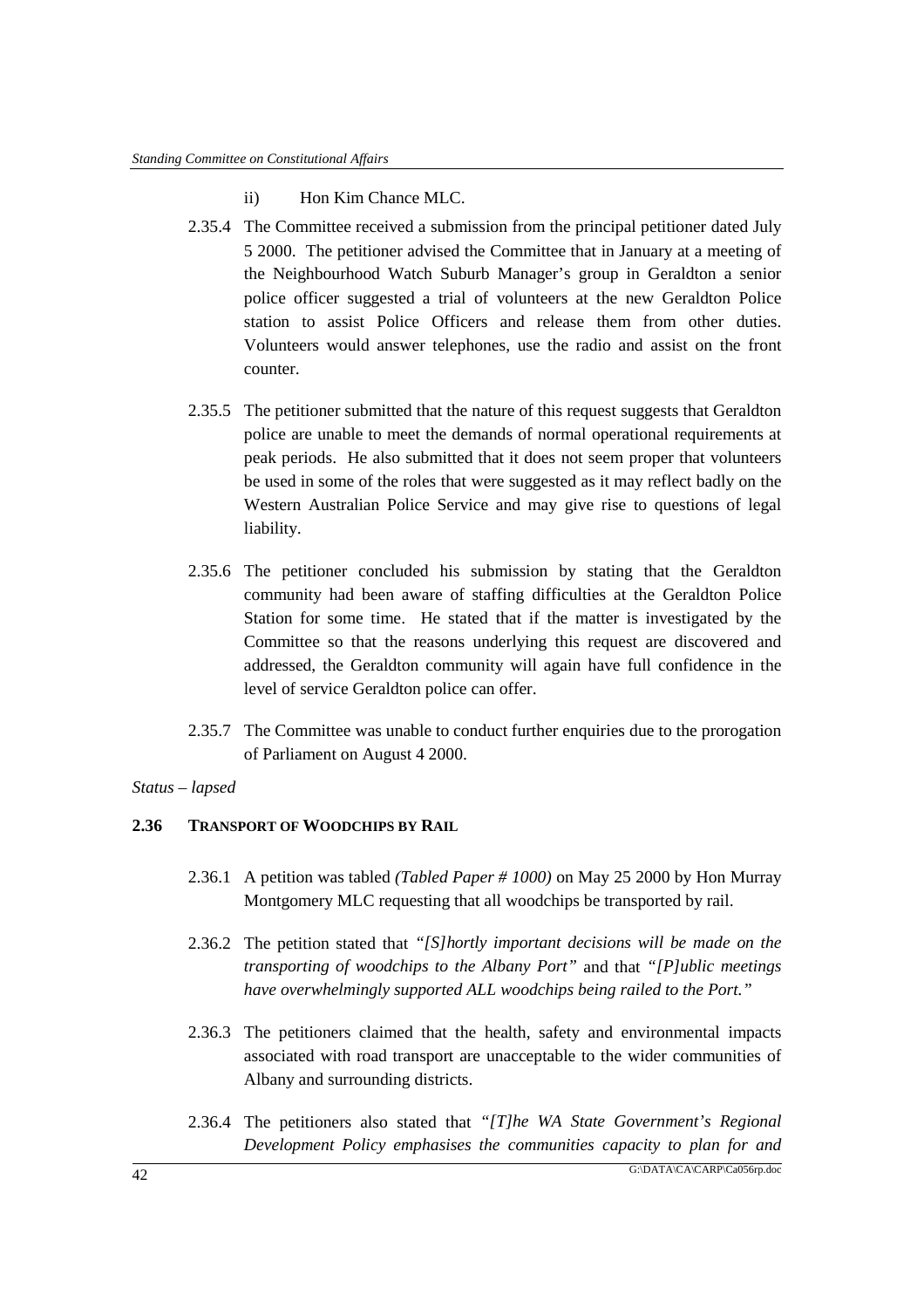- ii) Hon Kim Chance MLC.
- 2.35.4 The Committee received a submission from the principal petitioner dated July 5 2000. The petitioner advised the Committee that in January at a meeting of the Neighbourhood Watch Suburb Manager's group in Geraldton a senior police officer suggested a trial of volunteers at the new Geraldton Police station to assist Police Officers and release them from other duties. Volunteers would answer telephones, use the radio and assist on the front counter.
- 2.35.5 The petitioner submitted that the nature of this request suggests that Geraldton police are unable to meet the demands of normal operational requirements at peak periods. He also submitted that it does not seem proper that volunteers be used in some of the roles that were suggested as it may reflect badly on the Western Australian Police Service and may give rise to questions of legal liability.
- 2.35.6 The petitioner concluded his submission by stating that the Geraldton community had been aware of staffing difficulties at the Geraldton Police Station for some time. He stated that if the matter is investigated by the Committee so that the reasons underlying this request are discovered and addressed, the Geraldton community will again have full confidence in the level of service Geraldton police can offer.
- 2.35.7 The Committee was unable to conduct further enquiries due to the prorogation of Parliament on August 4 2000.

# **2.36 TRANSPORT OF WOODCHIPS BY RAIL**

- 2.36.1 A petition was tabled *(Tabled Paper # 1000)* on May 25 2000 by Hon Murray Montgomery MLC requesting that all woodchips be transported by rail.
- 2.36.2 The petition stated that *"[S]hortly important decisions will be made on the transporting of woodchips to the Albany Port"* and that *"[P]ublic meetings have overwhelmingly supported ALL woodchips being railed to the Port."*
- 2.36.3 The petitioners claimed that the health, safety and environmental impacts associated with road transport are unacceptable to the wider communities of Albany and surrounding districts.
- 2.36.4 The petitioners also stated that *"[T]he WA State Government's Regional Development Policy emphasises the communities capacity to plan for and*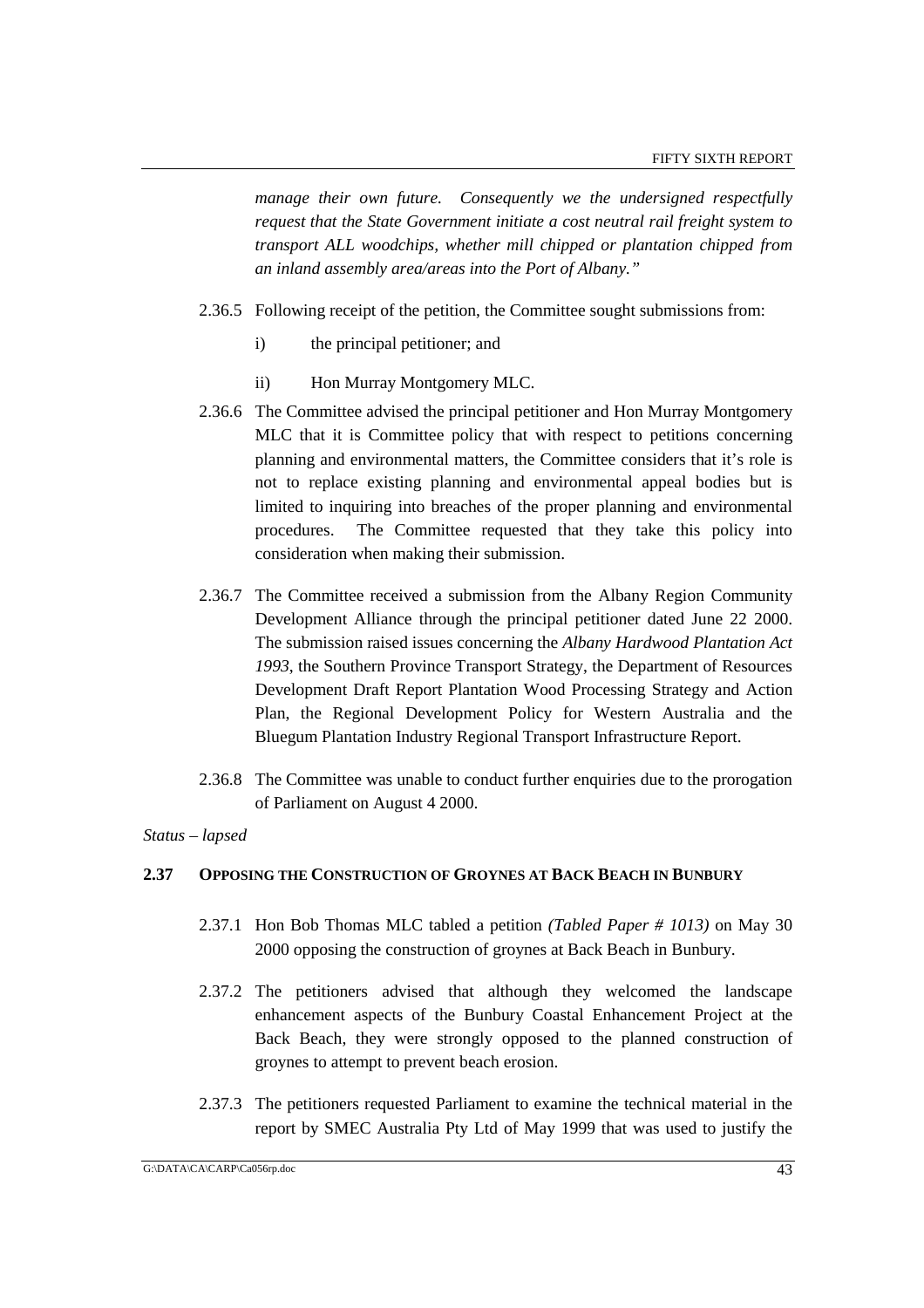*manage their own future. Consequently we the undersigned respectfully request that the State Government initiate a cost neutral rail freight system to transport ALL woodchips, whether mill chipped or plantation chipped from an inland assembly area/areas into the Port of Albany."*

- 2.36.5 Following receipt of the petition, the Committee sought submissions from:
	- i) the principal petitioner; and
	- ii) Hon Murray Montgomery MLC.
- 2.36.6 The Committee advised the principal petitioner and Hon Murray Montgomery MLC that it is Committee policy that with respect to petitions concerning planning and environmental matters, the Committee considers that it's role is not to replace existing planning and environmental appeal bodies but is limited to inquiring into breaches of the proper planning and environmental procedures. The Committee requested that they take this policy into consideration when making their submission.
- 2.36.7 The Committee received a submission from the Albany Region Community Development Alliance through the principal petitioner dated June 22 2000. The submission raised issues concerning the *Albany Hardwood Plantation Act 1993*, the Southern Province Transport Strategy, the Department of Resources Development Draft Report Plantation Wood Processing Strategy and Action Plan, the Regional Development Policy for Western Australia and the Bluegum Plantation Industry Regional Transport Infrastructure Report.
- 2.36.8 The Committee was unable to conduct further enquiries due to the prorogation of Parliament on August 4 2000.

### *Status – lapsed*

### **2.37 OPPOSING THE CONSTRUCTION OF GROYNES AT BACK BEACH IN BUNBURY**

- 2.37.1 Hon Bob Thomas MLC tabled a petition *(Tabled Paper # 1013)* on May 30 2000 opposing the construction of groynes at Back Beach in Bunbury.
- 2.37.2 The petitioners advised that although they welcomed the landscape enhancement aspects of the Bunbury Coastal Enhancement Project at the Back Beach, they were strongly opposed to the planned construction of groynes to attempt to prevent beach erosion.
- 2.37.3 The petitioners requested Parliament to examine the technical material in the report by SMEC Australia Pty Ltd of May 1999 that was used to justify the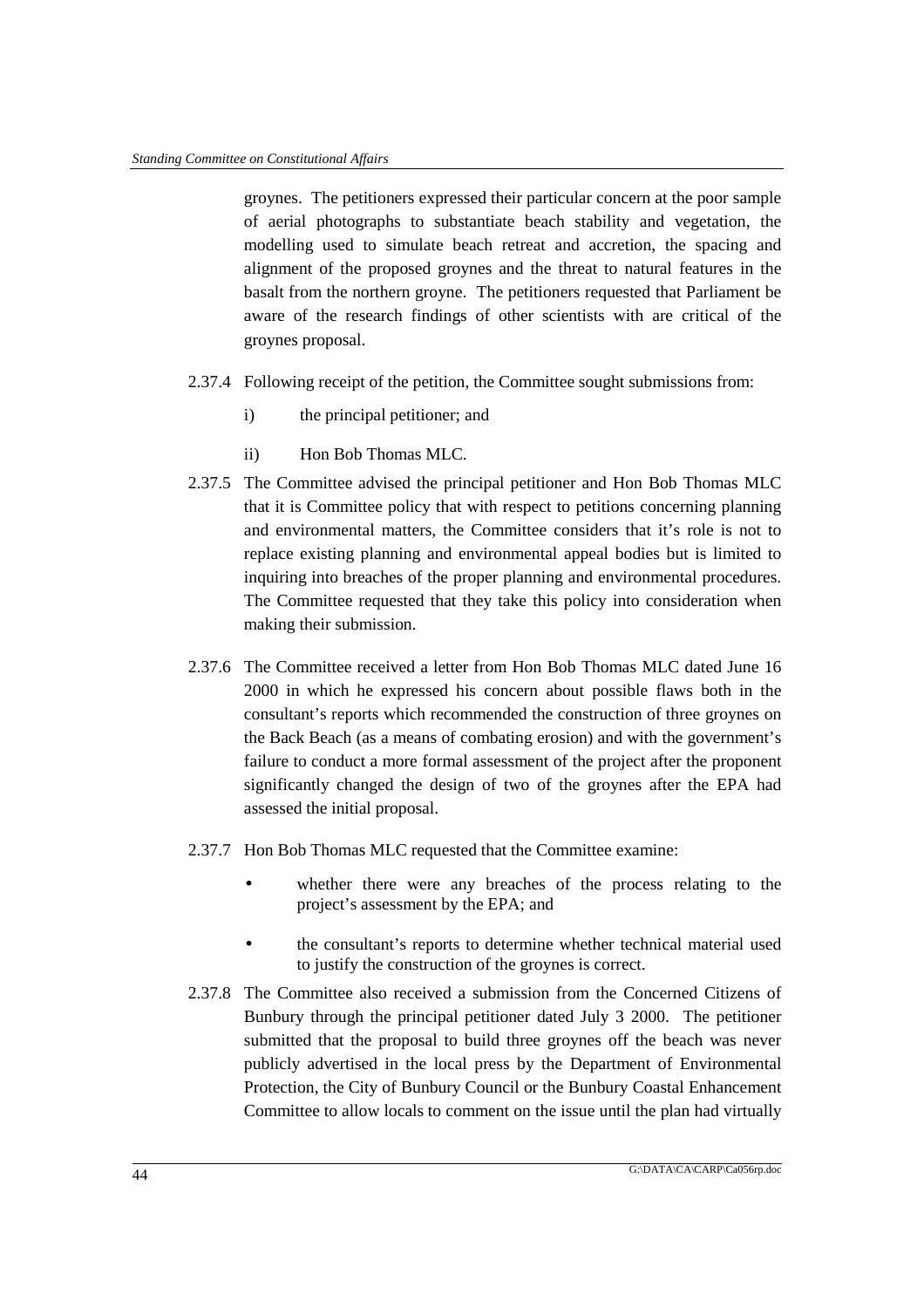groynes. The petitioners expressed their particular concern at the poor sample of aerial photographs to substantiate beach stability and vegetation, the modelling used to simulate beach retreat and accretion, the spacing and alignment of the proposed groynes and the threat to natural features in the basalt from the northern groyne. The petitioners requested that Parliament be aware of the research findings of other scientists with are critical of the groynes proposal.

- 2.37.4 Following receipt of the petition, the Committee sought submissions from:
	- i) the principal petitioner; and
	- ii) Hon Bob Thomas MLC.
- 2.37.5 The Committee advised the principal petitioner and Hon Bob Thomas MLC that it is Committee policy that with respect to petitions concerning planning and environmental matters, the Committee considers that it's role is not to replace existing planning and environmental appeal bodies but is limited to inquiring into breaches of the proper planning and environmental procedures. The Committee requested that they take this policy into consideration when making their submission.
- 2.37.6 The Committee received a letter from Hon Bob Thomas MLC dated June 16 2000 in which he expressed his concern about possible flaws both in the consultant's reports which recommended the construction of three groynes on the Back Beach (as a means of combating erosion) and with the government's failure to conduct a more formal assessment of the project after the proponent significantly changed the design of two of the groynes after the EPA had assessed the initial proposal.
- 2.37.7 Hon Bob Thomas MLC requested that the Committee examine:
	- whether there were any breaches of the process relating to the project's assessment by the EPA; and
	- the consultant's reports to determine whether technical material used to justify the construction of the groynes is correct.
- 2.37.8 The Committee also received a submission from the Concerned Citizens of Bunbury through the principal petitioner dated July 3 2000. The petitioner submitted that the proposal to build three groynes off the beach was never publicly advertised in the local press by the Department of Environmental Protection, the City of Bunbury Council or the Bunbury Coastal Enhancement Committee to allow locals to comment on the issue until the plan had virtually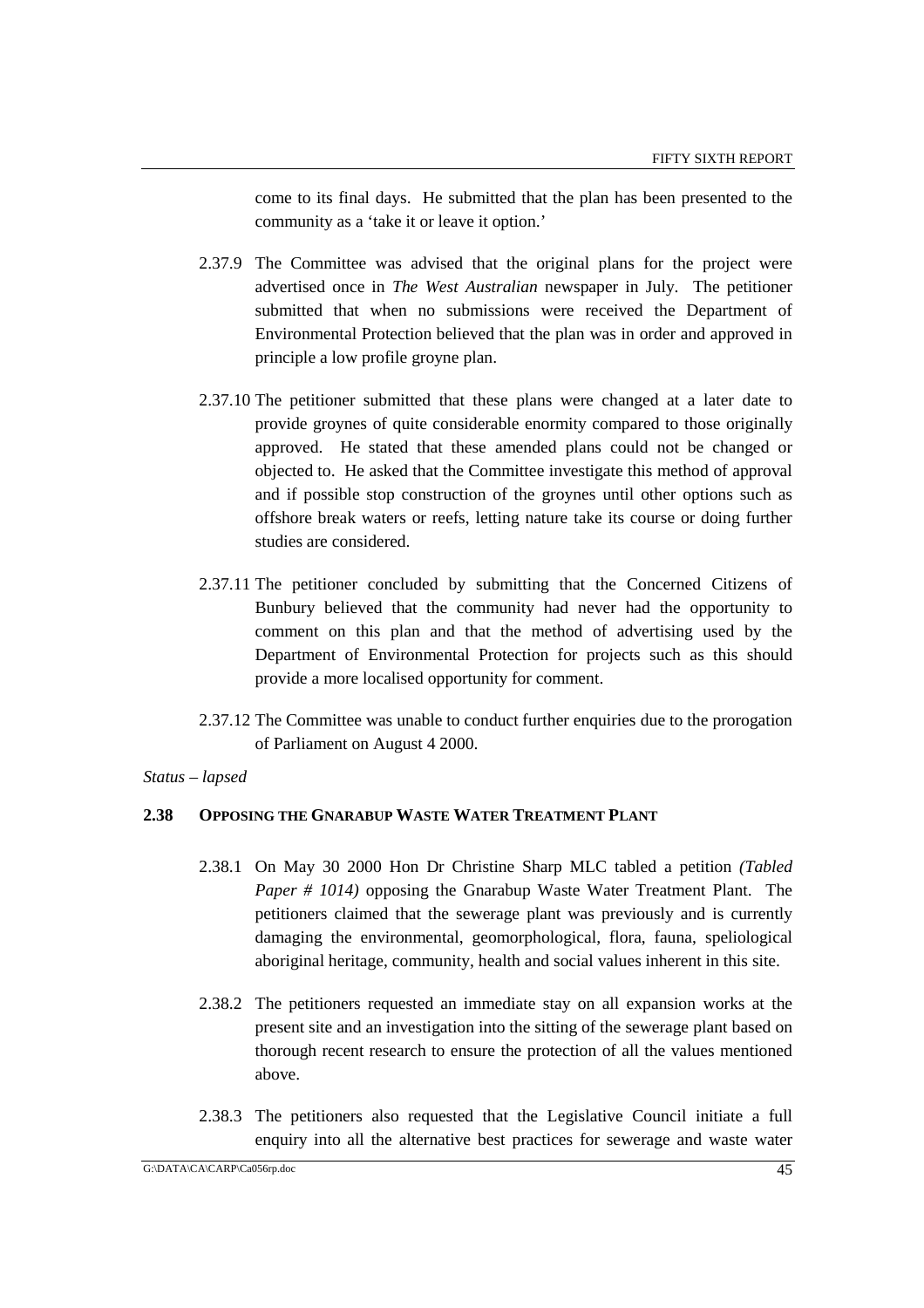come to its final days. He submitted that the plan has been presented to the community as a 'take it or leave it option.'

- 2.37.9 The Committee was advised that the original plans for the project were advertised once in *The West Australian* newspaper in July. The petitioner submitted that when no submissions were received the Department of Environmental Protection believed that the plan was in order and approved in principle a low profile groyne plan.
- 2.37.10 The petitioner submitted that these plans were changed at a later date to provide groynes of quite considerable enormity compared to those originally approved. He stated that these amended plans could not be changed or objected to. He asked that the Committee investigate this method of approval and if possible stop construction of the groynes until other options such as offshore break waters or reefs, letting nature take its course or doing further studies are considered.
- 2.37.11 The petitioner concluded by submitting that the Concerned Citizens of Bunbury believed that the community had never had the opportunity to comment on this plan and that the method of advertising used by the Department of Environmental Protection for projects such as this should provide a more localised opportunity for comment.
- 2.37.12 The Committee was unable to conduct further enquiries due to the prorogation of Parliament on August 4 2000.

*Status – lapsed*

### **2.38 OPPOSING THE GNARABUP WASTE WATER TREATMENT PLANT**

- 2.38.1 On May 30 2000 Hon Dr Christine Sharp MLC tabled a petition *(Tabled Paper # 1014)* opposing the Gnarabup Waste Water Treatment Plant. The petitioners claimed that the sewerage plant was previously and is currently damaging the environmental, geomorphological, flora, fauna, speliological aboriginal heritage, community, health and social values inherent in this site.
- 2.38.2 The petitioners requested an immediate stay on all expansion works at the present site and an investigation into the sitting of the sewerage plant based on thorough recent research to ensure the protection of all the values mentioned above.
- 2.38.3 The petitioners also requested that the Legislative Council initiate a full enquiry into all the alternative best practices for sewerage and waste water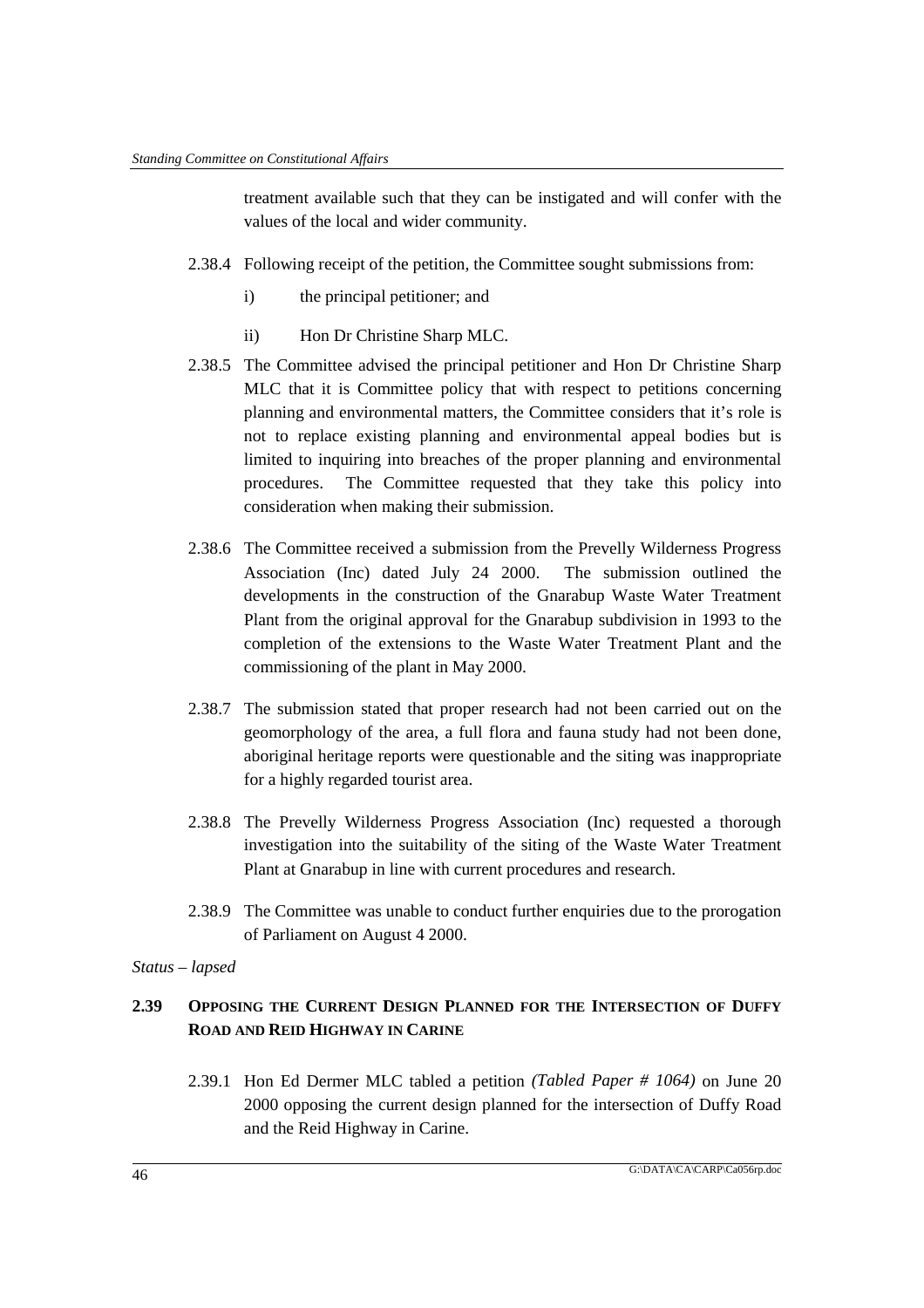treatment available such that they can be instigated and will confer with the values of the local and wider community.

- 2.38.4 Following receipt of the petition, the Committee sought submissions from:
	- i) the principal petitioner; and
	- ii) Hon Dr Christine Sharp MLC.
- 2.38.5 The Committee advised the principal petitioner and Hon Dr Christine Sharp MLC that it is Committee policy that with respect to petitions concerning planning and environmental matters, the Committee considers that it's role is not to replace existing planning and environmental appeal bodies but is limited to inquiring into breaches of the proper planning and environmental procedures. The Committee requested that they take this policy into consideration when making their submission.
- 2.38.6 The Committee received a submission from the Prevelly Wilderness Progress Association (Inc) dated July 24 2000. The submission outlined the developments in the construction of the Gnarabup Waste Water Treatment Plant from the original approval for the Gnarabup subdivision in 1993 to the completion of the extensions to the Waste Water Treatment Plant and the commissioning of the plant in May 2000.
- 2.38.7 The submission stated that proper research had not been carried out on the geomorphology of the area, a full flora and fauna study had not been done, aboriginal heritage reports were questionable and the siting was inappropriate for a highly regarded tourist area.
- 2.38.8 The Prevelly Wilderness Progress Association (Inc) requested a thorough investigation into the suitability of the siting of the Waste Water Treatment Plant at Gnarabup in line with current procedures and research.
- 2.38.9 The Committee was unable to conduct further enquiries due to the prorogation of Parliament on August 4 2000.

### *Status – lapsed*

# **2.39 OPPOSING THE CURRENT DESIGN PLANNED FOR THE INTERSECTION OF DUFFY ROAD AND REID HIGHWAY IN CARINE**

2.39.1 Hon Ed Dermer MLC tabled a petition *(Tabled Paper # 1064)* on June 20 2000 opposing the current design planned for the intersection of Duffy Road and the Reid Highway in Carine.